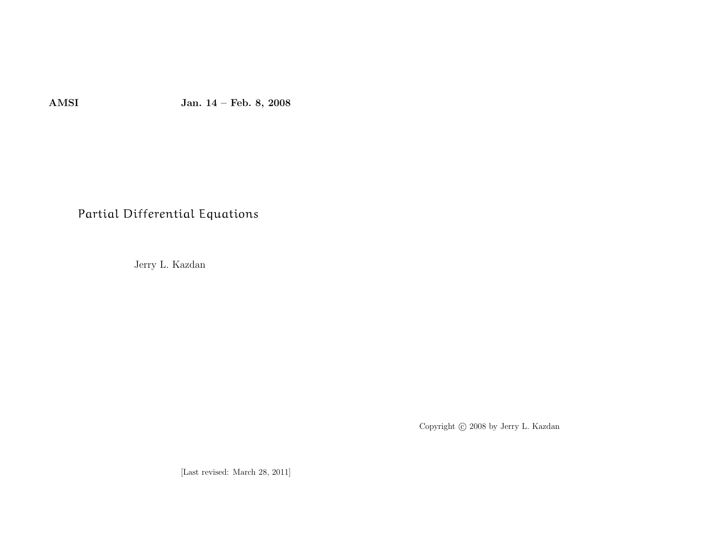AMSI Jan. <sup>14</sup> – Feb. 8, <sup>2008</sup>

# Partial Differential Equations

Jerry L. Kazdan

Copyright © 2008 by Jerry L. Kazdan

[Last revised: March 28, 2011]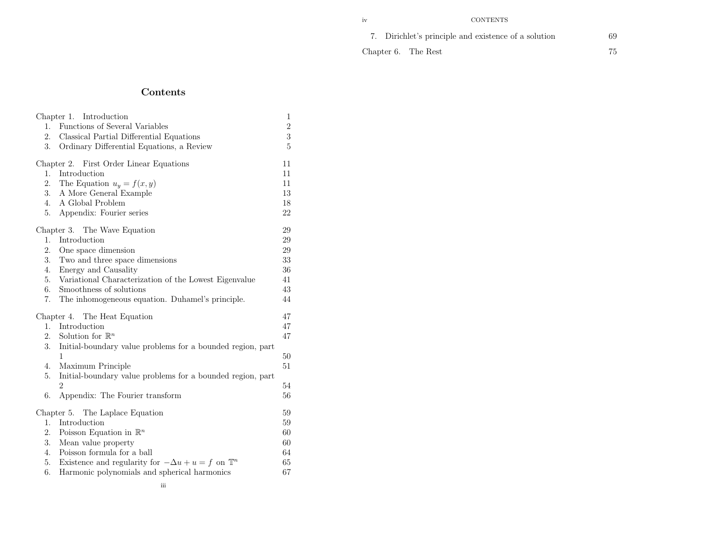### **CONTENTS**

|  | 7. Dirichlet's principle and existence of a solution | 69 |
|--|------------------------------------------------------|----|
|  | Chapter 6. The Rest                                  |    |

### Chapter 6. The Rest

## Contents

|                              | Chapter 1. Introduction                                                      | $\mathbf{1}$   |  |
|------------------------------|------------------------------------------------------------------------------|----------------|--|
| 1.                           | Functions of Several Variables                                               | $\overline{2}$ |  |
| 2.                           | Classical Partial Differential Equations                                     | 3              |  |
| 3.                           | Ordinary Differential Equations, a Review                                    | 5              |  |
|                              | Chapter 2. First Order Linear Equations                                      | 11             |  |
| 1.                           | Introduction                                                                 | 11             |  |
| 2.                           | The Equation $u_y = f(x, y)$                                                 | 11             |  |
| 3.                           | A More General Example                                                       | 13             |  |
| 4.                           | A Global Problem                                                             | 18             |  |
| 5.                           | Appendix: Fourier series                                                     | 22             |  |
| Chapter 3. The Wave Equation |                                                                              |                |  |
| 1.                           | Introduction                                                                 | 29             |  |
| 2.                           | One space dimension                                                          | 29             |  |
| 3.                           | Two and three space dimensions                                               | $33\,$         |  |
| 4.                           | Energy and Causality                                                         | 36             |  |
| 5.                           | Variational Characterization of the Lowest Eigenvalue                        | 41             |  |
| 6.                           | Smoothness of solutions                                                      | 43             |  |
| 7.                           | The inhomogeneous equation. Duhamel's principle.                             | 44             |  |
|                              | Chapter 4. The Heat Equation                                                 | 47             |  |
| 1.                           | Introduction                                                                 | 47             |  |
| 2.                           | Solution for $\mathbb{R}^n$                                                  | 47             |  |
| 3.                           | Initial-boundary value problems for a bounded region, part                   |                |  |
|                              | 1                                                                            | 50             |  |
| 4.                           | Maximum Principle                                                            | 51             |  |
| 5.                           | Initial-boundary value problems for a bounded region, part<br>$\overline{2}$ | 54             |  |
| 6.                           | Appendix: The Fourier transform                                              | 56             |  |
|                              |                                                                              | 59             |  |
| 1.                           | Chapter 5. The Laplace Equation<br>Introduction                              | 59             |  |
|                              |                                                                              | 60             |  |
| 2.<br>3.                     | Poisson Equation in $\mathbb{R}^n$<br>60                                     |                |  |
| 4.                           | Mean value property                                                          |                |  |
| 5.                           | Poisson formula for a ball                                                   | 64<br>65       |  |
| 6.                           | Existence and regularity for $-\Delta u + u = f$ on $\mathbb{T}^n$           |                |  |
|                              | Harmonic polynomials and spherical harmonics                                 | 67             |  |

### iv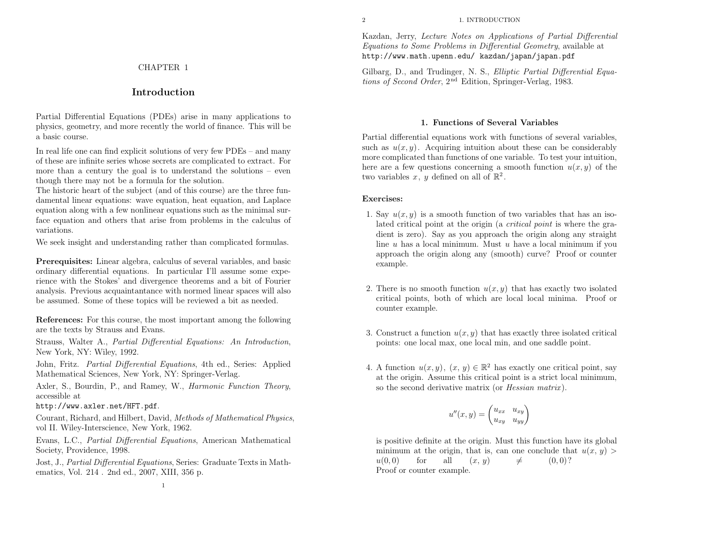2 1. INTRODUCTION

Kazdan, Jerry, Lecture Notes on Applications of Partial Differential Equations to Some Problems in Differential Geometry, available athttp://www.math.upenn.edu/ kazdan/japan/japan.pdf

Gilbarg, D., and Trudinger, N. S., *Elliptic Partial Differential Equa*tions of Second Order, <sup>2</sup>nd Edition, Springer-Verlag, 1983.

### 1. Functions of Several Variables

Partial differential equations work with functions of several variables, such as  $u(x, y)$ . Acquiring intuition about these can be considerably more complicated than functions of one variable. To test your intuition, here are a few questions concerning a smooth function  $u(x, y)$  of the two variables x, y defined on all of  $\mathbb{R}^2$ .

### Exercises:

- 1. Say  $u(x, y)$  is a smooth function of two variables that has an isolated critical point at the origin (a *critical point* is where the gradient is zero). Say as you approac<sup>h</sup> the origin along any straightline  $u$  has a local minimum. Must  $u$  have a local minimum if you approac<sup>h</sup> the origin along any (smooth) curve? Proof or counterexample.
- 2. There is no smooth function  $u(x, y)$  that has exactly two isolated critical points, both of which are local local minima. Proof orcounter example.
- 3. Construct a function  $u(x, y)$  that has exactly three isolated critical points: one local max, one local min, and one saddle point.
- 4. A function  $u(x, y)$ ,  $(x, y) \in \mathbb{R}^2$  has exactly one critical point, say at the origin. Assume this critical point is <sup>a</sup> strict local minimum, so the second derivative matrix (or *Hessian matrix*).

$$
u''(x,y) = \begin{pmatrix} u_{xx} & u_{xy} \\ u_{xy} & u_{yy} \end{pmatrix}
$$

is positive definite at the origin. Must this function have its <sup>g</sup>lobal minimum at the origin, that is, can one conclude that  $u(x, y)$  $u(0,0)$ for all  $(x, y)$  $\neq$   $(0, 0)$ ? Proof or counter example.

### CHAPTER <sup>1</sup>

### Introduction

Partial Differential Equations (PDEs) arise in many applications to <sup>p</sup>hysics, geometry, and more recently the world of finance. This will be<sup>a</sup> basic course.

In real life one can find explicit solutions of very few PDEs – and many of these are infinite series whose secrets are complicated to extract. For more than <sup>a</sup> century the goa<sup>l</sup> is to understand the solutions – eventhough there may not be <sup>a</sup> formula for the solution.

The historic heart of the subject (and of this course) are the three fundamental linear equations: wave equation, heat equation, and Laplace equation along with <sup>a</sup> few nonlinear equations such as the minimal surface equation and others that arise from problems in the calculus of variations.

We seek insight and understanding rather than complicated formulas.

Prerequisites: Linear algebra, calculus of several variables, and basic ordinary differential equations. In particular I'll assume some experience with the Stokes' and divergence theorems and <sup>a</sup> bit of Fourier analysis. Previous acquaintantance with normed linear spaces will alsobe assumed. Some of these topics will be reviewed <sup>a</sup> bit as needed.

References: For this course, the most important among the followingare the texts by Strauss and Evans.

Strauss, Walter A., Partial Differential Equations: An Introduction, New York, NY: Wiley, 1992.

John, Fritz. Partial Differential Equations, 4th ed., Series: AppliedMathematical Sciences, New York, NY: Springer-Verlag.

Axler, S., Bourdin, P., and Ramey, W., *Harmonic Function Theory*, accessible at

http://www.axler.net/HFT.pdf.

Courant, Richard, and Hilbert, David, Methods of Mathematical Physics, vol II. Wiley-Interscience, New York, 1962.

Evans, L.C., Partial Differential Equations, American Mathematical Society, Providence, 1998.

Jost, J., Partial Differential Equations, Series: Graduate Texts in Mathematics, Vol. <sup>214</sup> . 2nd ed., 2007, XIII, <sup>356</sup> p.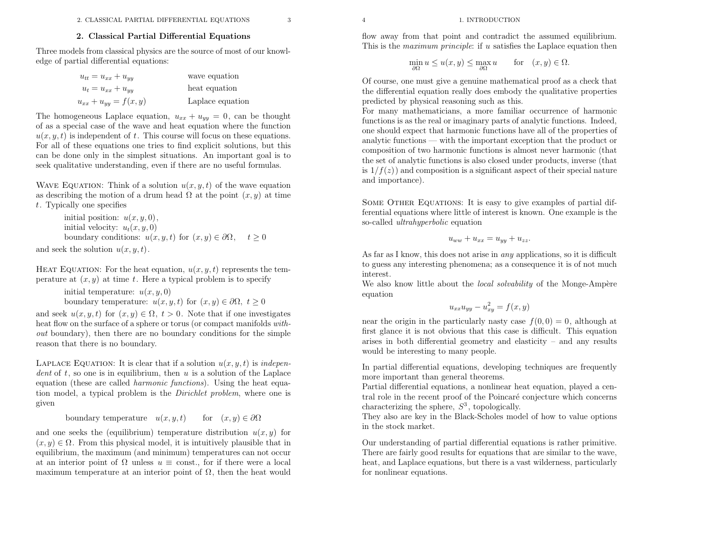### 2. Classical Partial Differential Equations

Three models from classical <sup>p</sup>hysics are the source of most of our knowledge of partial differential equations:

| $u_{tt} = u_{xx} + u_{yy}$  | wave equation    |
|-----------------------------|------------------|
| $u_t = u_{xx} + u_{yy}$     | heat equation    |
| $u_{xx} + u_{yy} = f(x, y)$ | Laplace equation |

The homogeneous Laplace equation,  $u_{xx} + u_{yy} = 0$ , can be thought of as <sup>a</sup> special case of the wave and heat equation where the function $u(x, y, t)$  is independent of t. This course will focus on these equations. For all of these equations one tries to find explicit solutions, but this can be done only in the simplest situations. An important goa<sup>l</sup> is toseek qualitative understanding, even if there are no useful formulas.

WAVE EQUATION: Think of a solution  $u(x, y, t)$  of the wave equation as describing the motion of a drum head  $\Omega$  at the point  $(x, y)$  at time <sup>t</sup>. Typically one specifies

```
initial position: u(x, y, 0),
initial velocity: u_t(x, y, 0)boundary conditions: u(x, y, t) for (x, y) \in \partial \Omega, t \ge 0
```
and seek the solution  $u(x, y, t)$ .

HEAT EQUATION: For the heat equation,  $u(x, y, t)$  represents the temperature at  $(x, y)$  at time t. Here a typical problem is to specify

> initial temperature:  $u(x, y, 0)$ boundary temperature:  $u(x, y, t)$  for  $(x, y) \in \partial \Omega$ ,  $t \ge 0$

and seek  $u(x, y, t)$  for  $(x, y) \in \Omega$ ,  $t > 0$ . Note that if one investigates heat flow on the surface of a sphere or torus (or compact manifolds  $with$ out boundary), then there are no boundary conditions for the simplereason that there is no boundary.

LAPLACE EQUATION: It is clear that if a solution  $u(x, y, t)$  is *indepen*dent of  $t$ , so one is in equilibrium, then  $u$  is a solution of the Laplace equation (these are called *harmonic functions*). Using the heat equation model, <sup>a</sup> typical problem is the Dirichlet problem, where one is given

> boundary temperature  $u(x, y, t)$  $u(x, y, t)$  for  $(x, y) \in \partial\Omega$

and one seeks the (equilibrium) temperature distribution  $u(x, y)$  for  $(x, y) \in \Omega$ . From this physical model, it is intuitively plausible that in equilibrium, the maximum (and minimum) temperatures can not occurat an interior point of  $\Omega$  unless  $u \equiv$  const., for if there were a local maximum temperature at an interior point of  $\Omega$ , then the heat would

flow away from that point and contradict the assumed equilibrium. This is the *maximum principle*: if u satisfies the Laplace equation then

$$
\min_{\partial\Omega} u \le u(x, y) \le \max_{\partial\Omega} u \quad \text{for} \quad (x, y) \in \Omega.
$$

Of course, one must <sup>g</sup>ive <sup>a</sup> genuine mathematical proo<sup>f</sup> as <sup>a</sup> check that the differential equation really does embody the qualitative propertiespredicted by <sup>p</sup>hysical reasoning such as this.

For many mathematicians, <sup>a</sup> more familiar occurrence of harmonic functions is as the real or imaginary parts of analytic functions. Indeed, one should expect that harmonic functions have all of the properties of analytic functions — with the important exception that the product or composition of two harmonic functions is almost never harmonic (that the set of analytic functions is also closed under products, inverse (thatis  $1/f(z)$  and composition is a significant aspect of their special nature and importance).

SOME OTHER EQUATIONS: It is easy to give examples of partial differential equations where little of interest is known. One example is theso-called *ultrahyperbolic* equation

$$
u_{ww} + u_{xx} = u_{yy} + u_{zz}.
$$

As far as I know, this does not arise in *any* applications, so it is difficult to guess any interesting <sup>p</sup>henomena; as <sup>a</sup> consequence it is of not muchinterest.

We also know little about the *local solvability* of the Monge-Ampère equation

$$
u_{xx}u_{yy} - u_{xy}^2 = f(x, y)
$$

near the origin in the particularly nasty case  $f(0, 0) = 0$ , although at first <sup>g</sup>lance it is not obvious that this case is difficult. This equation arises in both differential geometry and elasticity – and any results would be interesting to many people.

In partial differential equations, developing techniques are frequentlymore important than genera<sup>l</sup> theorems.

Partial differential equations, <sup>a</sup> nonlinear heat equation, <sup>p</sup>layed <sup>a</sup> central role in the recent proof of the Poincaré conjecture which concerns characterizing the sphere,  $S^3$ , topologically.

 They also are key in the Black-Scholes model of how to value optionsin the stock market.

Our understanding of partial differential equations is rather primitive. There are fairly good results for equations that are similar to the wave, heat, and Laplace equations, but there is <sup>a</sup> vast wilderness, particularlyfor nonlinear equations.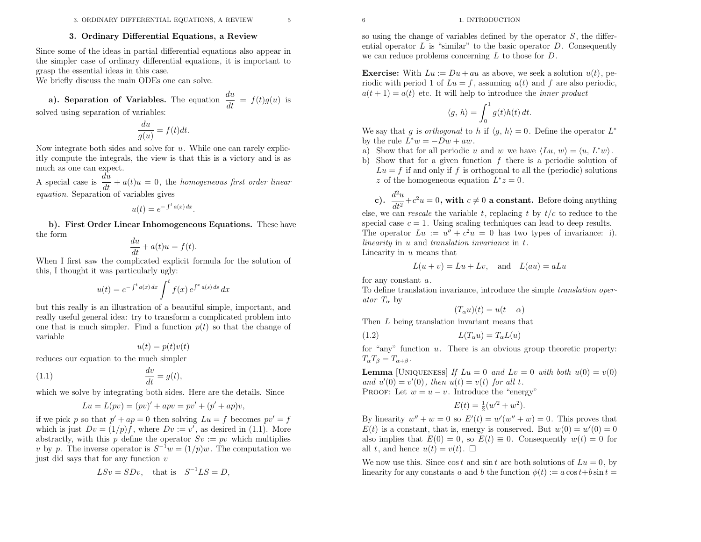#### <sup>6</sup> 1. INTRODUCTION

### 3. Ordinary Differential Equations, <sup>a</sup> Review

Since some of the ideas in partial differential equations also appear in the simpler case of ordinary differential equations, it is important tograsp the essential ideas in this case.

We briefly discuss the main ODEs one can solve.

a). Separation of Variables. The equation  $\frac{du}{dt}$  $= f(t)g(u)$  is solved using separation of variables:

$$
\frac{du}{g(u)} = f(t)dt.
$$

Now integrate both sides and solve for  $u$ . While one can rarely explic itly compute the integrals, the view is that this is <sup>a</sup> victory and is as much as one can expect.

A special case is  $\frac{du}{dt} + a(t)u = 0$ , the homogeneous first order linear equation. Separation of variables <sup>g</sup>ives

$$
u(t) = e^{-\int^t a(x) dx}.
$$

b). First Order Linear Inhomogeneous Equations. These havethe form

$$
\frac{du}{dt} + a(t)u = f(t).
$$

 When <sup>I</sup> first saw the complicated explicit formula for the solution of this, <sup>I</sup> thought it was particularly ugly:

$$
u(t) = e^{-\int^t a(x) dx} \int^t f(x) e^{\int^x a(s) ds} dx
$$

but this really is an illustration of <sup>a</sup> beautiful simple, important, and really useful genera<sup>l</sup> idea: try to transform <sup>a</sup> complicated problem intoone that is much simpler. Find a function  $p(t)$  so that the change of variable

$$
u(t) = p(t)v(t)
$$

reduces our equation to the much simpler

$$
\frac{dv}{dt} = g(t),
$$

which we solve by integrating both sides. Here are the details. Since

$$
Lu = L(pv) = (pv)' + apv = pv' + (p' + ap)v,
$$

if we pick p so that  $p' + ap = 0$  then solving  $Lu = f$  becomes  $pv' = f$ which is just  $Dv = (1/p)f$ , where  $Dv = v'$ , as desired in (1.1). More abstractly, with this p define the operator  $Sv := pv$  which multiplies v by p. The inverse operator is  $S^{-1}w = (1/p)w$ . The computation we just did says that for any function  $v$ 

$$
LSv = SDv, \quad \text{that is} \quad S^{-1}LS = D,
$$

so using the change of variables defined by the operator  $S$ , the differential operator  $L$  is "similar" to the basic operator  $D$ . Consequently we can reduce problems concerning  $L$  to those for  $D$ .

**Exercise:** With  $Lu := Du + au$  as above, we seek a solution  $u(t)$ , periodic with period 1 of  $Lu = f$ , assuming  $a(t)$  and f are also periodic,  $a(t + 1) = a(t)$  etc. It will help to introduce the *inner product* 

$$
\langle g, h \rangle = \int_0^1 g(t)h(t) dt.
$$

We say that g is *orthogonal* to h if  $\langle g, h \rangle = 0$ . Define the operator  $L^*$ by the rule  $L^*w=-Dw+aw$ 

- by the rule  $L'w = -Dw + aw$ .<br>
a) Show that for all periodic u and w we have  $\langle Lu, w \rangle = \langle u, L^*w \rangle$ .
- b) Show that for a given function  $f$  there is a periodic solution of  $Lu = f$  if and only if f is orthogonal to all the (periodic) solutions z of the homogeneous equation  $L^*z = 0$ .

c).  $\frac{d^2u}{dt^2} + c^2u = 0$ , with  $c \neq 0$  a constant. Before doing anything else, we can *rescale* the variable t, replacing t by  $t/c$  to reduce to the special case  $c = 1$ . Using scaling techniques can lead to deep results. The operator  $Lu := u'' + c^2u = 0$  has two types of invariance: i). *linearity* in u and *translation invariance* in t.<br>Linearity in u means that

in  $u$  means that

$$
L(u + v) = Lu + Lv, \text{ and } L(au) = aLu
$$

for any constant  $a$ .

To define translation invariance, introduce the simple translation operator  $T_{\alpha}$  by

$$
(T_{\alpha}u)(t) = u(t + \alpha)
$$

Then  $L$  being translation invariant means that

$$
(1.2)\qquad \qquad L(T_\alpha u) = T_\alpha L(u)
$$

for "any" function  $u$ . There is an obvious group theoretic property:  $T_{\alpha}T_{\beta}=T_{\alpha+\beta}$ .

**Lemma** [UNIQUENESS] If  $Lu = 0$  and  $Lv = 0$  with both  $u(0) = v(0)$ and  $u'(0) = v'(0)$ , then  $u(t) =$ <br>Process Let  $w$ ,  $v = u$  Letters and  $u'(0) = v'(0)$ , then  $u(t) = v(t)$  for all t.<br>PROOF: Let  $w = u - v$ . Introduce the "energy"

$$
E(t) = \frac{1}{2}(w^2 + w^2).
$$

By linearity  $w'' + w = 0$  so  $E'(t) = w'(w'' + w) = 0$ . This proves that  $E(t)$  is a constant, that is, energy is conserved. But  $w(0) = w'(0) = 0$ also implies that  $E(0) = 0$ , so  $E(t) \equiv 0$ . Consequently  $w(t) = 0$  for all  $t$ , and hence  $u(t) = v(t)$ .  $\Box$ 

We now use this. Since  $\cos t$  and  $\sin t$  are both solutions of  $Lu = 0$ , by linearity for any constants a and b the function  $\phi(t) := a \cos t + b \sin t =$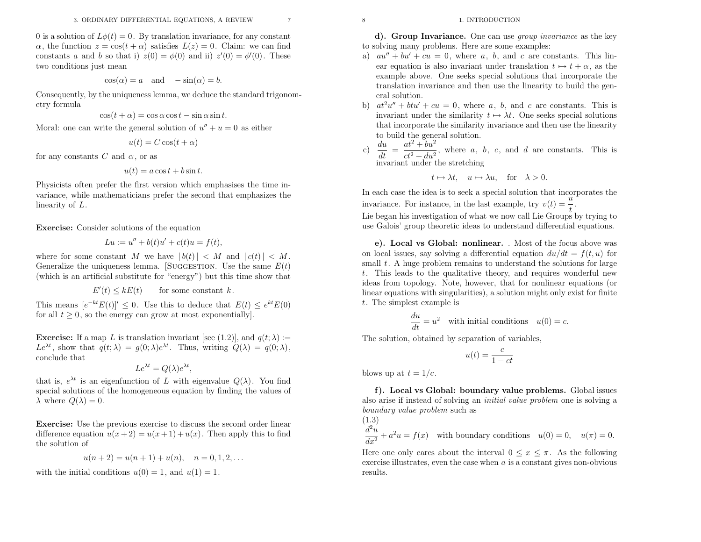0 is a solution of  $L\phi(t) = 0$ . By translation invariance, for any constant  $\alpha$ , the function  $z = \cos(t + \alpha)$  satisfies  $L(z) = 0$ . Claim: we can find constants a and b so that i)  $z(0) = \phi(0)$  and ii)  $z'(0) = \phi'(0)$ . These two conditions just mean

$$
\cos(\alpha) = a \quad \text{and} \quad -\sin(\alpha) = b.
$$

Consequently, by the uniqueness lemma, we deduce the standard trigonometry formula

$$
\cos(t + \alpha) = \cos \alpha \cos t - \sin \alpha \sin t.
$$

Moral: one can write the general solution of  $u'' + u = 0$  as either

$$
u(t) = C\cos(t + \alpha)
$$

for any constants  $C$  and  $\alpha$ , or as

$$
u(t) = a\cos t + b\sin t.
$$

Physicists often prefer the first version which emphasises the time invariance, while mathematicians prefer the second that emphasizes thelinearity of L.

Exercise: Consider solutions of the equation

$$
Lu := u'' + b(t)u' + c(t)u = f(t),
$$

where for some constant M we have  $|b(t)|$ where for some constant M we have  $|b(t)| < M$  and  $|c(t)| < M$ .<br>Generalize the uniqueness lemma. [SUGGESTION. Use the same  $E(t)$ ] (which is an artificial substitute for "energy") but this time show that

$$
E'(t) \le kE(t) \qquad \text{for some constant } k.
$$

This means  $[e^{-kt}E(t)]' \leq 0$ . Use this to deduce that  $E(t) \leq e^{kt}E(0)$ for all  $t \geq 0$ , so the energy can grow at most exponentially].

**Exercise:** If a map L is translation invariant [see (1.2)], and  $q(t; \lambda) :=$ Le<sup>λt</sup>, show that  $q(t; \lambda) = g(0; \lambda)e^{\lambda t}$ . Thus, writing  $Q(\lambda) = q(0; \lambda)$ , conclude that

$$
Le^{\lambda t} = Q(\lambda)e^{\lambda t},
$$

that is,  $e^{\lambda t}$  is an eigenfunction of L with eigenvalue  $Q(\lambda)$ . You find special solutions of the homogeneous equation by finding the values of  $\lambda$  where  $Q(\lambda) = 0$ .

Exercise: Use the previous exercise to discuss the second order lineardifference equation  $u(x+2) = u(x+1) + u(x)$ . Then apply this to find the solution of

$$
u(n + 2) = u(n + 1) + u(n), \quad n = 0, 1, 2, \dots
$$

with the initial conditions  $u(0) = 1$ , and  $u(1) = 1$ .

d). Group Invariance. One can use *group invariance* as the key to solving many problems. Here are some examples:

- a)  $au'' + bu' + cu = 0$ , where a, b, and c are constants. This linear equation is also invariant under translation  $t \mapsto t + \alpha$ , as the example above. One seeks special solutions that incorporate the example above. One seeks special solutions that incorporate the translation invariance and then use the linearity to build the general solution.
- b)  $at^2u'' + but' + cu = 0$ , where a, b, and c are constants. This is invariant under the similarity  $t \mapsto \lambda t$ . One seeks special solutions that incorporate the similarity invariance and then use the linearity that incorporate the similarity invariance and then use the linearityto build the genera<sup>l</sup> solution.
- c)  $\frac{du}{dt} = \frac{at^2 + bu^2}{ct^2 + du^2}$ , where a, b, c, and d are constants. This is invariant under the stretching invariant under the stretching

$$
t \mapsto \lambda t
$$
,  $u \mapsto \lambda u$ , for  $\lambda > 0$ .

In each case the idea is to seek <sup>a</sup> special solution that incorporates theinvariance. For instance, in the last example, try  $v(t) = \frac{u}{t}$ .

 Lie began his investigation of what we now call Lie Groups by trying touse Galois' group theoretic ideas to understand differential equations.

e). Local vs Global: nonlinear. . Most of the focus above wason local issues, say solving a differential equation  $du/dt = f(t, u)$  for small  $t$ . A huge problem remains to understand the solutions for large <sup>t</sup>. This leads to the qualitative theory, and requires wonderful new ideas from topology. Note, however, that for nonlinear equations (or linear equations with singularities), <sup>a</sup> solution might only exist for finite<sup>t</sup>. The simplest example is

$$
\frac{du}{dt} = u^2
$$
 with initial conditions  $u(0) = c$ .

The solution, obtained by separation of variables,

$$
u(t) = \frac{c}{1 - ct}
$$

blows up at  $t = 1/c$ .

f). Local vs Global: boundary value problems. Global issuesalso arise if instead of solving an *initial value problem* one is solving a houndary unles runk as boundary value problem such as<br>(1.2)  $(1.9)$ 

$$
\frac{d^2u}{dx^2} + a^2u = f(x)
$$
 with boundary conditions  $u(0) = 0$ ,  $u(\pi) = 0$ .

Here one only cares about the interval  $0 \leq x \leq \pi$ . As the following exercise illustrates, even the case when  $a$  is a constant gives non-obvious results.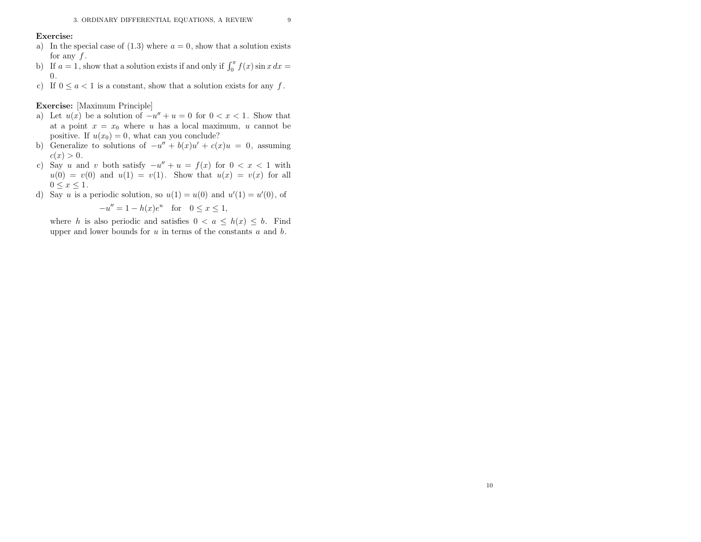#### Exercise:

- a) In the special case of  $(1.3)$  where  $a = 0$ , show that a solution exists for any  $f$ .
- for any f.<br>b) If  $a = 1$ , show that a solution exists if and only if  $\int_0^{\pi} f(x) \sin x \, dx =$ 0.
- c) If  $0 \le a < 1$  is a constant, show that a solution exists for any  $f$ .

Exercise: [Maximum Principle]

- a) Let  $u(x)$  be a solution of  $-u'' + u = 0$  for  $0 < x < 1$ . Show that at a point  $x = x_0$  where u has a local maximum, u cannot be positive. If  $u(x_0) = 0$ , what can you conclude?
- b) Generalize to solutions of  $-u'' + b(x)u' + c(x)u = 0$ , assuming  $c(x) > 0.$
- c) Say u and v both satisfy  $-u'' + u = f(x)$  for  $0 < x < 1$  with  $u(0) = v(0)$  and  $u(1) = v(1)$ . Show that  $u(x) = v(x)$  for all  $0 \leq x \leq 1.$
- d) Say u is a periodic solution, so  $u(1) = u(0)$  and  $u'(1) = u'(0)$ , of

$$
-u'' = 1 - h(x)e^u \quad \text{for} \quad 0 \le x \le 1.
$$

 $-u'' = 1 - h(x)e^u$  for  $0 \le x \le 1$ ,<br>where h is also periodic and satisfies  $0 < a \le h(x) \le b$ . Find upper and lower bounds for  $u$  in terms of the constants  $a$  and  $b$ .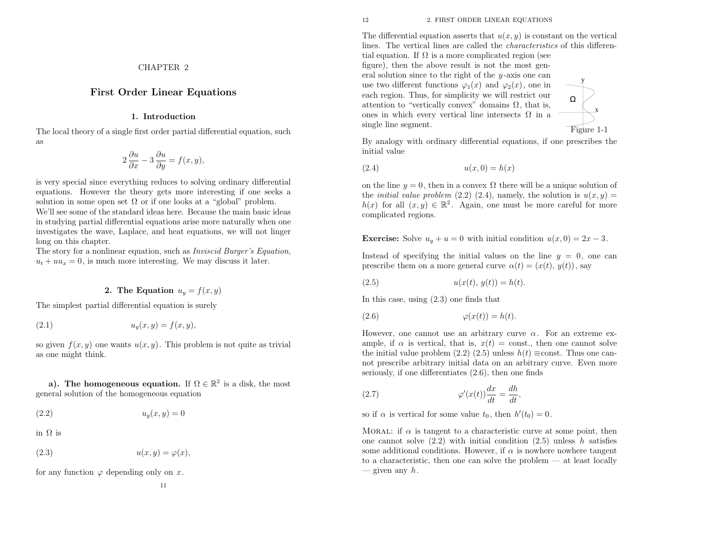CHAPTER <sup>2</sup>

### First Order Linear Equations

### 1. Introduction

The local theory of <sup>a</sup> single first order partial differential equation, suchas

$$
2\frac{\partial u}{\partial x} - 3\frac{\partial u}{\partial y} = f(x, y),
$$

is very special since everything reduces to solving ordinary differential equations. However the theory gets more interesting if one seeks <sup>a</sup>solution in some open set  $\Omega$  or if one looks at a "global" problem. We'll see some of the standard ideas here. Because the main basic ideas

 in studying partial differential equations arise more naturally when one investigates the wave, Laplace, and heat equations, we will not lingerlong on this chapter.

The story for a nonlinear equation, such as *Inviscid Burger's Equation*,  $u_t + uu_x = 0$ , is much more interesting. We may discuss it later.

### **2.** The Equation  $u_y = f(x, y)$

The simplest partial differential equation is surely

$$
(2.1) \t\t uy(x, y) = f(x, y),
$$

so given  $f(x, y)$  one wants  $u(x, y)$ . This problem is not quite as trivial as one might think.

a). The homogeneous equation. If  $\Omega \in \mathbb{R}^2$  is a disk, the most genera<sup>l</sup> solution of the homogeneous equation

(2.2) $u_y(x, y) = 0$ 

in <sup>Ω</sup> is

$$
(2.3) \t\t u(x,y) = \varphi(x),
$$

for any function  $\varphi$  depending only on x.

The differential equation asserts that  $u(x, y)$  is constant on the vertical lines. The vertical lines are called the characteristics of this differential equation. If  $\Omega$  is a more complicated region (see

 figure), then the above result is not the most general solution since to the right of the y -axis one canuse two different functions  $\varphi_1(x)$  and  $\varphi_2(x)$ , one in each region. Thus, for simplicity we will restrict ourattention to "vertically convex" domains  $\Omega$ , that is, ones in which every vertical line intersects  $\Omega$  in a single line segment.

Figure 1-1

Ω

x

y

 By analogy with ordinary differential equations, if one prescribes theinitial value

$$
(2.4) \qquad \qquad u(x,0) = h(x)
$$

on the line  $y = 0$ , then in a convex  $\Omega$  there will be a unique solution of the *initial value problem*  $(2.2)$   $(2.4)$ , namely, the solution is  $u(x,y) =$ <br> $h(x)$  for all  $(x, y) \in \mathbb{R}^2$ . Again, are must be more easily for more  $h(x)$  for all  $(x, y) \in \mathbb{R}^2$ . Again, one must be more careful for more complicated regions.

**Exercise:** Solve  $u_y + u = 0$  with initial condition  $u(x, 0) = 2x - 3$ .

Instead of specifying the initial values on the line  $y = 0$ , one can prescribe them on a more general curve  $\alpha(t) = (x(t), y(t)),$  say

(2.5) 
$$
u(x(t), y(t)) = h(t).
$$

In this case, using (2.3) one finds that

$$
(2.6) \qquad \qquad \varphi(x(t)) = h(t).
$$

However, one cannot use an arbitrary curve  $\alpha$ . For an extreme example, if  $\alpha$  is vertical, that is,  $x(t) = \text{const.}$ , then one cannot solve the initial value problem (2.2) (2.5) unless  $h(t) \equiv \text{const.}$  Thus one can not prescribe arbitrary initial data on an arbitrary curve. Even moreseriously, if one differentiates (2.6), then one finds

(2.7) 
$$
\varphi'(x(t))\frac{dx}{dt} = \frac{dh}{dt},
$$

so if  $\alpha$  is vertical for some value  $t_0$ , then  $h'(t_0) = 0$ .

MORAL: if  $\alpha$  is tangent to a characteristic curve at some point, then one cannot solve  $(2.2)$  with initial condition  $(2.5)$  unless h satisfies some additional conditions. However, if  $\alpha$  is nowhere nowhere tangent to <sup>a</sup> characteristic, then one can solve the problem — at least locally— given any  $h$ .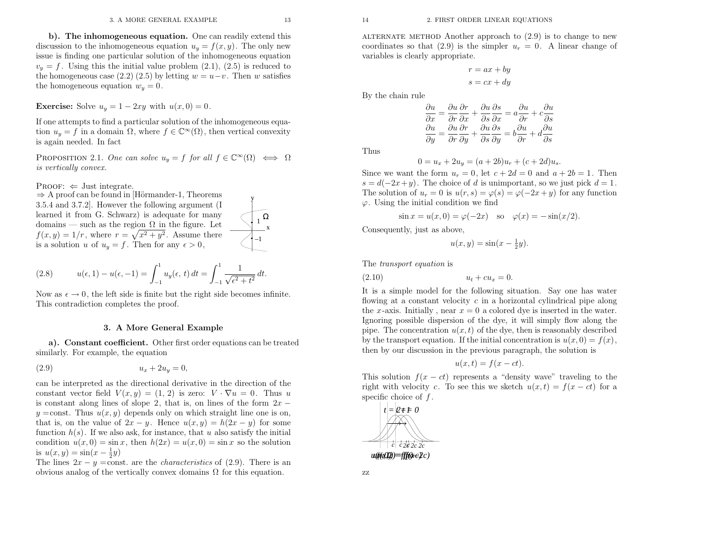$^{-1}$ 

x

–1

y

b). The inhomogeneous equation. One can readily extend thisdiscussion to the inhomogeneous equation  $u_y = f(x, y)$ . The only new issue is finding one particular solution of the inhomogeneous equation $v_y = f$ . Using this the initial value problem (2.1), (2.5) is reduced to the homogeneous case (2.2) (2.5) by letting  $w=u-v$ . Then w satisfies the homogeneous equation  $w_y = 0$ .

**Exercise:** Solve  $u_y = 1 - 2xy$  with  $u(x, 0) = 0$ .

If one attempts to find <sup>a</sup> particular solution of the inhomogeneous equation  $u_y = f$  in a domain  $\Omega$ , where  $f \in \mathbb{C}^{\infty}(\Omega)$ , then vertical convexity is again needed. In fact

PROPOSITION 2.1. One can solve  $u_y = f$  for all  $f \in \mathbb{C}^{\infty}(\Omega) \iff \Omega$ is vertically convex.

 $\text{PROOF:} \Leftarrow$ 

PROOF:  $\Leftarrow$  Just integrate.<br>  $\Rightarrow$  A proof can be found in [Hörmander-1, Theorems<br>
3.5.4 and 3.7.2]. However the following argument (I 3.5.4 and 3.7.2]. However the following argument (I learned it from G. Schwarz) is adequate for manydomains — such as the region  $\Omega$  in the figure. Let  $f(x, y) = 1/r$ , where  $r = \sqrt{x^2 + y^2}$ . Assume there  $f(x, y) = 1/r$ , where  $r = \sqrt{x^2 + y^2}$ . Assume is a solution u of  $u_y = f$ . Then for any  $\epsilon > 0$ ,

(2.8) 
$$
u(\epsilon, 1) - u(\epsilon, -1) = \int_{-1}^{1} u_y(\epsilon, t) dt = \int_{-1}^{1} \frac{1}{\sqrt{\epsilon^2 + t^2}} dt.
$$

Now as  $\epsilon \to 0$ , the left side is finite but the right side becomes infinite.<br>This contradiction completes the proof This contradiction completes the proof.

### 3. <sup>A</sup> More General Example

a). Constant coefficient. Other first order equations can be treatedsimilarly. For example, the equation

$$
(2.9) \t\t\t u_x + 2u_y = 0,
$$

can be interpreted as the directional derivative in the direction of theconstant vector field  $V(x, y) = (1, 2)$  is zero:  $V \cdot \nabla u = 0$ . Thus u is constant along lines of slope 2, that is, on lines of the form  $2x$  $y = \text{const.}$  Thus  $u(x, y)$  depends only on which straight line one is on, that is, on the value of  $2x - y$ . Hence  $u(x, y) = h(2x - y)$  for some function  $h(s)$ . If we also ask, for instance, that u also satisfy the initial condition  $u(x, 0) = \sin x$ , then  $h(2x) = u(x, 0) = \sin x$  so the solution is  $u(x, y) = \sin(x - \frac{1}{2}y)$ 

The lines  $2x - y = \text{const.}$  are the *characteristics* of (2.9). There is an abusive angles of the sensition obvious analog of the vertically convex domains  $\Omega$  for this equation.

ALTERNATE METHOD Another approach to  $(2.9)$  is to change to new coordinates so that (2.9) is the simpler  $u_r = 0$ . A linear change of variables is clearly appropriate.

$$
r = ax + by
$$

$$
s = cx + dy
$$

By the chain rule

$$
\frac{\partial u}{\partial x} = \frac{\partial u}{\partial r}\frac{\partial r}{\partial x} + \frac{\partial u}{\partial s}\frac{\partial s}{\partial x} = a\frac{\partial u}{\partial r} + c\frac{\partial u}{\partial s}
$$

$$
\frac{\partial u}{\partial y} = \frac{\partial u}{\partial r}\frac{\partial r}{\partial y} + \frac{\partial u}{\partial s}\frac{\partial s}{\partial y} = b\frac{\partial u}{\partial r} + d\frac{\partial u}{\partial s}
$$

Thus

$$
0 = u_x + 2u_y = (a + 2b)u_r + (c + 2d)u_s.
$$

Since we want the form  $u_r = 0$ , let  $c + 2d = 0$  and  $a + 2b = 1$ . Then  $s = d(-2x+y)$ . The choice of d is unimportant, so we just pick  $d = 1$ .<br>The calitian of  $y = 0$  is  $y(x) = y(x) - y(x)$  for any function The solution of  $u_r = 0$  is  $u(r, s) = \varphi(s) = \varphi(-2x + y)$  for any function  $\varphi$ . Using the initial condition we find

$$
\sin x = u(x, 0) = \varphi(-2x)
$$
 so  $\varphi(x) = -\sin(x/2)$ .

Consequently, just as above,

$$
u(x,y) = \sin(x - \frac{1}{2}y).
$$

The transport equation is

(2.10) 
$$
u_t + cu_x = 0.
$$

It is <sup>a</sup> simple model for the following situation. Say one has waterflowing at a constant velocity  $c$  in a horizontal cylindrical pipe along the x-axis. Initially, near  $x = 0$  a colored dye is inserted in the water. Ignoring possible dispersion of the dye, it will simply flow along thepipe. The concentration  $u(x, t)$  of the dye, then is reasonably described by the transport equation. If the initial concentration is  $u(x, 0) = f(x)$ , then by our discussion in the previous paragraph, the solution is

$$
u(x,t) = f(x - ct).
$$

This solution  $f(x - ct)$  represents a "density wave" traveling to the right with velocity c. To see this we sketch  $u(x, t) = f(x - ct)$  for a specific choice of  $f$ .

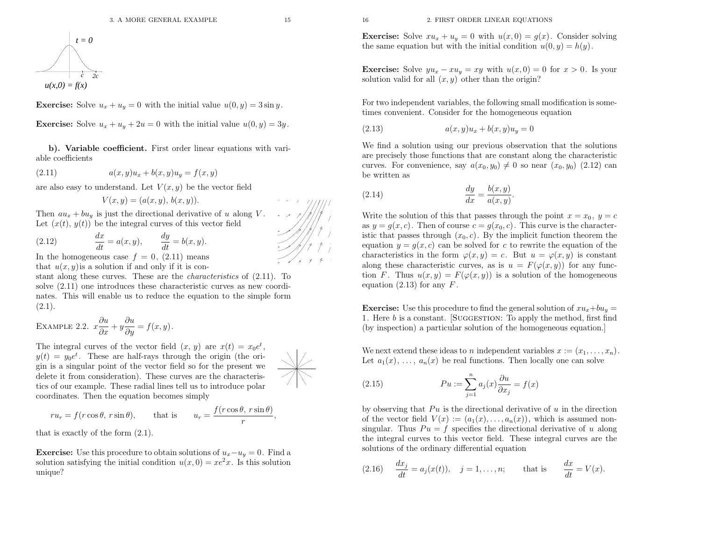<sup>16</sup> 2. FIRST ORDER LINEAR EQUATIONS

**Exercise:** Solve  $xu_x + u_y = 0$  with  $u(x, 0) = g(x)$ . Consider solving the same equation but with the initial condition  $u(0, y) = h(y)$ .

**Exercise:** Solve  $yu_x - xu_y = xy$  with  $u(x, 0) = 0$  for  $x > 0$ . Is your solution valid for all  $(x, y)$  other than the origin?

For two independent variables, the following small modification is sometimes convenient. Consider for the homogeneous equation

(2.13) 
$$
a(x, y)u_x + b(x, y)u_y = 0
$$

We find <sup>a</sup> solution using our previous observation that the solutions are precisely those functions that are constant along the characteristiccurves. For convenience, say  $a(x_0, y_0) \neq 0$  so near  $(x_0, y_0)$  (2.12) can be written as

(2.14) 
$$
\frac{dy}{dx} = \frac{b(x, y)}{a(x, y)}.
$$

Write the solution of this that passes through the point  $x=x_0$ ,  $y = c$ as  $y = g(x, c)$ . Then of course  $c = g(x_0, c)$ . This curve is the characteristic that passes through  $(x_0, c)$ . By the implicit function theorem the equation  $y = g(x, c)$  can be solved for c to rewrite the equation of the characteristics in the form  $\varphi(x, y) = c$ . But  $u = \varphi(x, y)$  is constant along these characteristic curves, as is  $u=F(\varphi(x, y))$  for any function F. Thus  $u(x, y) = F(\varphi(x, y))$  is a solution of the homogeneous equation (2.13) for any  $F$ .

**Exercise:** Use this procedure to find the general solution of  $xu_x+bu_y =$ 1. Here *b* is a constant. [SUGGESTION: To apply the method, first find (by inspection) <sup>a</sup> particular solution of the homogeneous equation.]

We next extend these ideas to n independent variables  $x := (x_1, \ldots, x_n)$ . Let  $a_1(x), \ldots, a_n(x)$  be real functions. Then locally one can solve

(2.15) 
$$
Pu := \sum_{j=1}^{n} a_j(x) \frac{\partial u}{\partial x_j} = f(x)
$$

by observing that  $Pu$  is the directional derivative of  $u$  in the direction of the vector field  $V(x) := (a_1(x), \ldots, a_n(x))$ , which is assumed nonsingular. Thus  $Pu = f$  specifies the directional derivative of u along the integral curves to this vector field. These integral curves are thesolutions of the ordinary differential equation

(2.16) 
$$
\frac{dx_j}{dt} = a_j(x(t)), \quad j = 1, ..., n;
$$
 that is  $\frac{dx}{dt} = V(x).$ 

$$
t = 0
$$
  

$$
u(x,0) = f(x)
$$

**Exercise:** Solve  $u_x + u_y = 0$  with the initial value  $u(0, y) = 3 \sin y$ .

**Exercise:** Solve  $u_x + u_y + 2u = 0$  with the initial value  $u(0, y) = 3y$ .

b). Variable coefficient. First order linear equations with variable coefficients

(2.11) 
$$
a(x, y)u_x + b(x, y)u_y = f(x, y)
$$

are also easy to understand. Let  $V(x, y)$  be the vector field

$$
V(x,y)=(a(x,y), b(x,y)).
$$

Then  $au_x + bu_y$  is just the directional derivative of u along V Let  $(x(t), y(t))$  be the integral curves of this vector field

(2.12) 
$$
\frac{dx}{dt} = a(x, y), \qquad \frac{dy}{dt} = b(x, y).
$$

In the homogeneous case  $f = 0$ , (2.11) means that  $u(x, y)$  is a solution if and only if it is con-

stant along these curves. These are the *characteristics* of  $(2.11)$ . To solve (2.11) one introduces these characteristic curves as new coordinates. This will enable us to reduce the equation to the simple form $(2.1).$ 

EXAMPLE 2.2.  $x\frac{\partial u}{\partial x} + y$  $\frac{\partial u}{\partial y}=f(x,y).$ 

The integral curves of the vector field  $(x, y)$  are  $x(t) = x_0 e^t$ ,  $y(t) = y_0 e^t$ . These are half-rays through the origin (the origin is a given by property of the space of the present and <sup>g</sup>in is <sup>a</sup> singular point of the vector field so for the present we delete it from consideration). These curves are the characteristics of our example. These radial lines tell us to introduce polarcoordinates. Then the equation becomes simply

$$
ru_r = f(r\cos\theta, r\sin\theta)
$$
, that is  $u_r = \frac{f(r\cos\theta, r\sin\theta)}{r}$ ,

that is exactly of the form (2.1).

**Exercise:** Use this procedure to obtain solutions of  $u_x - u_y = 0$ . Find a solution satisfying the initial condition  $u(x, 0) = xe^2x$ . Is this solution unique?

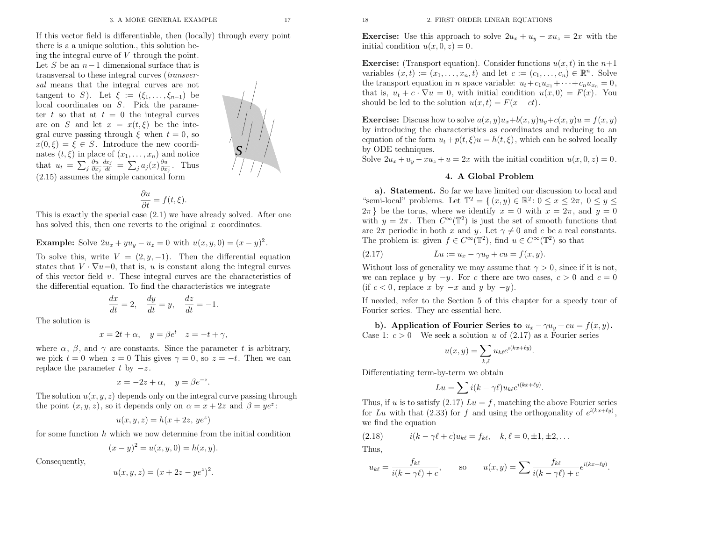If this vector field is differentiable, then (locally) through every point

there is <sup>a</sup> <sup>a</sup> unique solution., this solution being the integral curve of V through the point. Let S be an  $n-1$  dimensional surface that is transversal to these integral curves (transversal means that the integral curves are nottangent to S). Let  $\xi := (\xi_1, \ldots, \xi_{n-1})$  be local coordinates on  $S$ . Pick the parameter t so that at  $t = 0$  the integral curves are on S and let  $x = x(t, \xi)$  be the integral curve passing through  $\xi$  when  $t = 0$ , so  $x(0,\xi) = \xi \in S$ . Introduce the new coordinates  $(t, \xi)$  in place of  $(x_1, \ldots, x_n)$  and notice that  $u_t = \sum_j \frac{\partial u}{\partial x_j} \frac{dx_j}{dt} = \sum_j a_j(x) \frac{\partial u}{\partial x_j}$ . Thus (2.15) assumes the simple canonical form $rac{\partial u}{\partial x_j}$  $\frac{dx_j}{dt}$  $=\sum_j a_j(x) \frac{\partial u}{\partial x_j}$ . Thus

$$
\frac{\partial u}{\partial t} = f(t, \xi).
$$

 This is exactly the special case (2.1) we have already solved. After onehas solved this, then one reverts to the original  $x$  coordinates.

**Example:** Solve  $2u_x + yu_y - u_z = 0$  with  $u(x, y, 0) = (x - y)^2$ .

To solve this, write  $V = (2, y, -1)$ . Then the differential equation states that  $V \cdot \nabla u = 0$ , that is, u is constant along the integral curves of this vector field  $v$ . These integral curves are the characteristics of the differential equation. To find the characteristics we integrate

$$
\frac{dx}{dt} = 2, \quad \frac{dy}{dt} = y, \quad \frac{dz}{dt} = -1.
$$

The solution is

$$
x = 2t + \alpha, \quad y = \beta e^t \quad z = -t + \gamma,
$$

where  $\alpha$ ,  $\beta$ , and  $\gamma$  are constants. Since the parameter t is arbitrary, we pick  $t = 0$  when  $z = 0$  This gives  $\gamma = 0$ , so  $z = -t$ . Then we can replace the parameter t by  $-z$ .

$$
x = -2z + \alpha, \quad y = \beta e^{-z}.
$$

The solution  $u(x, y, z)$  depends only on the integral curve passing through the point  $(x, y, z)$ , so it depends only on  $\alpha = x + 2z$  and  $\beta = ye^z$ :

$$
u(x, y, z) = h(x + 2z, ye^z)
$$

for some function  $h$  which we now determine from the initial condition

$$
(x - y)^2 = u(x, y, 0) = h(x, y).
$$

Consequently,

$$
u(x, y, z) = (x + 2z - ye^z)^2
$$

 $u_x + u_y - xu_z = 2x$  with the initial condition  $u(x, 0, z) = 0$ .

**Exercise:** (Transport equation). Consider functions  $u(x, t)$  in the  $n+1$ variables  $(x, t) := (x_1, \ldots, x_n, t)$  and let  $c := (c_1, \ldots, c_n) \in \mathbb{R}^n$ . Solve the transport equation in *n* space variable:  $u_t + c_1u_{x_1} + \cdots + c_nu_{x_n} = 0$ , that is,  $u_t + c \cdot \nabla u = 0$ , with initial condition  $u(x, 0) = F(x)$ . You should be led to the solution  $u(x, t) = F(x - ct)$ .

**Exercise:** Discuss how to solve  $a(x, y)u_x+b(x, y)u_y+c(x, y)u=f(x, y)$  by introducing the characteristics as coordinates and reducing to anequation of the form  $u_t + p(t, \xi)u = h(t, \xi)$ , which can be solved locally by ODE techniques.

Solve  $2u_x + u_y - xu_z + u = 2x$  with the initial condition  $u(x, 0, z) = 0$ .

### 4. <sup>A</sup> Global Problem

18<br>
18 2. First or Bonne LINEAR Equations (2.17)<br>
11 change overy point<br>
18 2. Exercise: Use this approach to solve 2 $u_x$  +  $u_y$  -  $x$ <br>
18 2. Exercise: (Taugaport equation). Consider functions (2.1)<br>
11 change of equation a). Statement. So far we have limited our discussion to local and"semi-local" problems. Let  $\mathbb{T}^2 = \{ (x, y) \in \mathbb{R}^2 : 0 \leq x \leq 2\pi, 0 \leq y \leq 2\pi, 0 \leq y \leq 2\pi, 0 \leq y \leq 2\pi, 0 \leq y \leq 2\pi, 0 \leq y \leq 2\pi, 0 \leq y \leq 2\pi, 0 \leq y \leq 2\pi, 0 \leq y \leq 2\pi, 0 \leq y \leq 2\pi, 0 \leq y \leq 2\pi, 0 \leq y \leq 2\pi$  $2\pi$ } be the torus, where we identify  $x = 0$  with  $x = 2\pi$ , and  $y = 0$ with  $y = 2\pi$ . Then  $C^{\infty}(\mathbb{T}^2)$  is just the set of smooth functions that are  $2\pi$  periodic in both x and y. Let  $\gamma \neq 0$  and c be a real constants. The problem is: given  $f \in C^{\infty}(\mathbb{T}^2)$ , find  $u \in C^{\infty}(\mathbb{T}^2)$  so that

(2.17) 
$$
Lu := u_x - \gamma u_y + cu = f(x, y).
$$

Without loss of generality we may assume that  $\gamma > 0$ , since if it is not, we can replace y by  $-y$ . For c there are two cases,  $c > 0$  and  $c = 0$ (if  $c < 0$ , replace x by  $-x$  and y by  $-y$ ).

 If needed, refer to the Section <sup>5</sup> of this chapter for <sup>a</sup> speedy tour of Fourier series. They are essential here.

b). Application of Fourier Series to  $u_x - \gamma u_y + cu = f(x, y)$ . Case 1:  $c > 0$  We seek a solution u of (2.17) as a Fourier series

$$
u(x,y) = \sum_{k,\ell} u_{k\ell} e^{i(kx+\ell y)}
$$

Differentiating term-by-term we obtain

$$
Lu = \sum i(k - \gamma \ell) u_{k\ell} e^{i(kx + \ell y)}.
$$

Thus, if u is to satisfy  $(2.17)$   $Lu = f$ , matching the above Fourier series for Lu with that (2.33) for f and using the orthogonality of  $e^{i(kx+ly)}$ , we find the equation

(2.18) 
$$
i(k - \gamma \ell + c)u_{k\ell} = f_{k\ell}, \quad k, \ell = 0, \pm 1, \pm 2, \dots
$$

Thus,

$$
u_{k\ell} = \frac{f_{k\ell}}{i(k - \gamma \ell) + c}, \qquad \text{so} \qquad u(x, y) = \sum \frac{f_{k\ell}}{i(k - \gamma \ell) + c} e^{i(kx + \ell y)}
$$

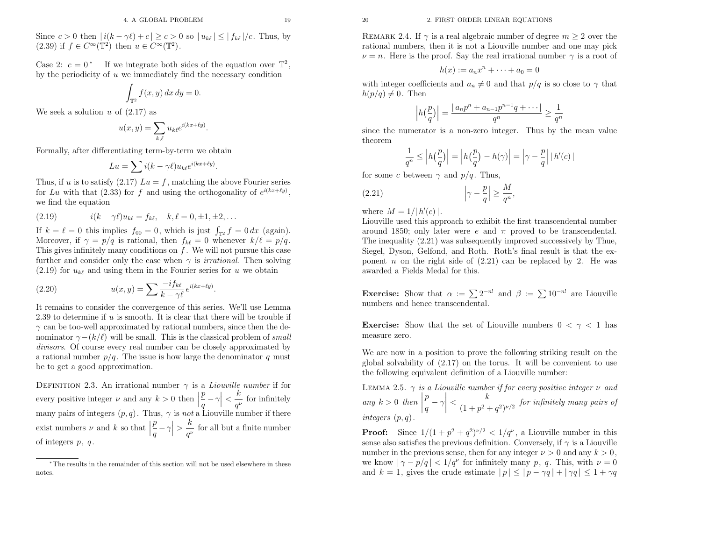Since  $c > 0$  then  $|i(k - \gamma \ell) + c| \geq c > 0$  so  $|u_{k\ell}| \leq |f_{k\ell}|/c$ . Thus, by  $(2.39)$  if  $f \in C^{\infty}(\mathbb{T}^2)$  then  $u \in C^{\infty}(\mathbb{T}^2)$ .

Case 2:  $c = 0^*$  If we integrate both sides of the equation over  $\mathbb{T}^2$ , by the periodicity of  $u$  we immediately find the necessary condition

$$
\int_{\mathbb{T}^2} f(x, y) \, dx \, dy = 0.
$$

We seek a solution  $u$  of  $(2.17)$  as

$$
u(x,y) = \sum_{k,\ell} u_{k\ell} e^{i(kx+\ell y)}.
$$

Formally, after differentiating term-by-term we obtain

$$
Lu = \sum i(k - \gamma \ell) u_{k\ell} e^{i(kx + \ell y)}.
$$

Thus, if u is to satisfy  $(2.17)$   $Lu = f$ , matching the above Fourier series for Lu with that (2.33) for f and using the orthogonality of  $e^{i(kx+ly)}$ , we find the equation

(2.19) 
$$
i(k - \gamma \ell)u_{k\ell} = f_{k\ell}, \quad k, \ell = 0, \pm 1, \pm 2, \dots
$$

If  $k = \ell = 0$  this implies  $f_{00} = 0$ , which is just  $\int_{\mathbb{T}^2} f = 0 dx$  (again). Moreover, if  $\gamma = p/q$  is rational, then  $f_{k\ell} = 0$  whenever  $k/\ell =$ Moreover, if  $\gamma = p/q$  is rational, then  $f_{k\ell} = 0$  whenever  $k/\ell = p/q$ .<br>This gives infinitely many conditions on f. We will not pursue this case further and consider only the case when  $\gamma$  is *irrational*. Then solving  $(2.19)$  for  $u_{k\ell}$  and using them in the Fourier series for u we obtain

(2.20) 
$$
u(x,y) = \sum \frac{-if_{k\ell}}{k-\gamma\ell} e^{i(kx+\ell y)}.
$$

It remains to consider the convergence of this series. We'll use Lemma $2.39$  to determine if  $u$  is smooth. It is clear that there will be trouble if  $\gamma$  can be too-well approximated by rational numbers, since then the denominator  $\gamma-(k/\ell)$  will be small. This is the classical problem of small divisors. Of course every real number can be closely approximated by a rational number  $p/q$ . The issue is how large the denominator q must be to get <sup>a</sup> good approximation.

DEFINITION 2.3. An irrational number  $\gamma$  is a *Liouville number* if for every positive integer  $\nu$  and any  $k > 0$  then  $\frac{p}{q}$ many pairs of integers  $(p, q)$ . Thus,  $\gamma$  is *not* a Liouville number if there  $-\gamma$  $\vert$  <  $\frac{k}{q^{\nu}}$  for infinitely exist numbers  $\nu$  and  $k$  so that  $\frac{p}{q}-\gamma$  $\vert$  >  $\frac{k}{q^{\nu}}$  for all but a finite number of integers  $p, q$ .

REMARK 2.4. If  $\gamma$  is a real algebraic number of degree  $m \geq 2$  over the rational numbers, then it is not <sup>a</sup> Liouville number and one may <sup>p</sup>ick $\nu = n$ . Here is the proof. Say the real irrational number  $\gamma$  is a root of

$$
h(x) := a_n x^n + \dots + a_0 = 0
$$

with integer coefficients and  $a_n \neq 0$  and that  $p/q$  is so close to  $\gamma$  that  $h(p/q) \neq 0$ . Then

$$
\left| h\left(\frac{p}{q}\right) \right| = \frac{|a_n p^n + a_{n-1} p^{n-1} q + \dots |}{q^n} \ge \frac{1}{q^n}
$$

since the numerator is <sup>a</sup> non-zero integer. Thus by the mean valuetheorem

$$
\frac{1}{q^n} \le \left| h\left(\frac{p}{q}\right) \right| = \left| h\left(\frac{p}{q}\right) - h(\gamma) \right| = \left| \gamma - \frac{p}{q} \right| \left| h'(c) \right|
$$

for some c between  $\gamma$  and  $p/q$ . Thus,

$$
\left|\gamma - \frac{p}{q}\right| \ge \frac{M}{q^n},\,
$$

where  $M = 1/|h'(c)|$ .

 Liouville used this approac<sup>h</sup> to exhibit the first transcendental numberaround 1850; only later were  $e$  and  $\pi$  proved to be transcendental. The inequality (2.21) was subsequently improved successively by Thue, Siegel, Dyson, Gelfond, and Roth. Roth's final result is that the exponent n on the right side of  $(2.21)$  can be replaced by 2. He was awarded <sup>a</sup> Fields Medal for this.

**Exercise:** Show that  $\alpha := \sum_{n=1}^{\infty} 2^{-n!}$  and  $\beta := \sum_{n=1}^{\infty} 10^{-n!}$  are Liouville numbers and hence transcendental.

Exercise: Show that the set of Liouville numbers  $0 < \gamma < 1$  has measure zero.

We are now in <sup>a</sup> position to prove the following striking result on the <sup>g</sup>lobal solvability of (2.17) on the torus. It will be convenient to usethe following equivalent definition of <sup>a</sup> Liouville number:

LEMMA 2.5.  $\gamma$  is a Liouville number if for every positive integer  $\nu$  and any  $k > 0$  then p q  $-\gamma$  $\Big\vert$  <  $\frac{k}{(1+p^2-1)}$  $\frac{1}{(2+q^2)^{\nu/2}}$  for infinitely many pairs of integers  $(p, q)$ .

**Proof:** Since  $1/(1+p^2+q^2)^{\nu/2} < 1/q^{\nu}$ , a Liouville number in this sense also satisfies the previous definition. Conversely, if  $\gamma$  is a Liouville number in the previous sense, then for any integer  $\nu > 0$  and any  $k > 0$ , we know  $|\gamma - p/q| < 1/q^{\nu}$  for infinitely many p, q. This, with  $\nu = 0$ and  $k = 1$ , gives the crude estimate  $|p| \le |p - \gamma q| + |\gamma q| \le 1 + \gamma q$ 

<sup>∗</sup>The results in the remainder of this section will not be used elsewhere in thesenotes.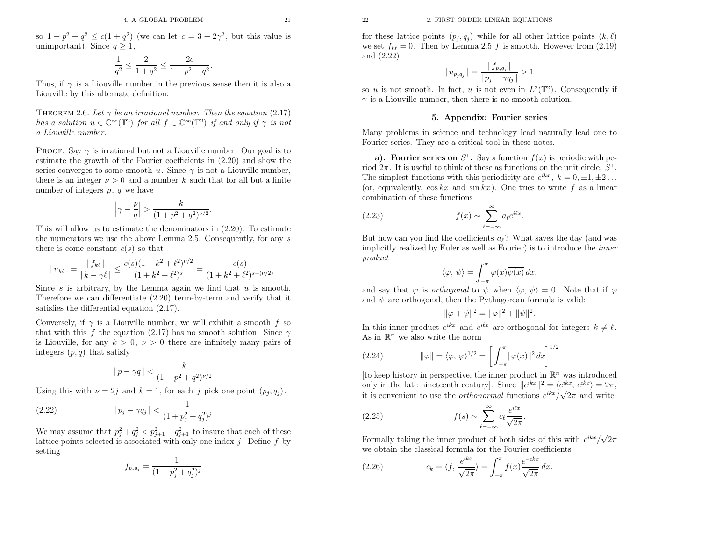so  $1 + p^2 + q^2 \leq c(1 + q^2)$  (we can let  $c = 3 + 2\gamma^2$ , but this value is unimportant). Since  $q \ge 1$ ,

$$
\frac{1}{q^2} \leq \frac{2}{1+q^2} \leq \frac{2c}{1+p^2+q^2}
$$

Thus, if  $\gamma$  is a Liouville number in the previous sense then it is also a Liouville by this alternate definition.

THEOREM 2.6. Let  $\gamma$  be an irrational number. Then the equation (2.17) has a solution  $u \in \mathbb{C}^{\infty}(\mathbb{T}^2)$  for all  $f \in \mathbb{C}^{\infty}(\mathbb{T}^2)$  if and only if  $\gamma$  is not <sup>a</sup> Liouville number.

PROOF: Say  $\gamma$  is irrational but not a Liouville number. Our goal is to estimate the growth of the Fourier coefficients in (2.20) and show theseries converges to some smooth u. Since  $\gamma$  is not a Liouville number, there is an integer  $\nu > 0$  and a number k such that for all but a finite number of integers  $p, q$  we have

$$
\left|\gamma - \frac{p}{q}\right| > \frac{k}{(1+p^2+q^2)^{\nu/2}}
$$

This will allow us to estimate the denominators in (2.20). To estimate the numerators we use the above Lemma 2.5. Consequently, for any  $s$ there is come constant  $c(s)$  so that

$$
|u_{k\ell}| = \frac{|f_{k\ell}|}{|k - \gamma \ell|} \le \frac{c(s)(1 + k^2 + \ell^2)^{\nu/2}}{(1 + k^2 + \ell^2)^s} = \frac{c(s)}{(1 + k^2 + \ell^2)^{s - (\nu/2)}}
$$

Since s is arbitrary, by the Lemma again we find that  $u$  is smooth. Therefore we can differentiate (2.20) term-by-term and verify that itsatisfies the differential equation (2.17).

Conversely, if  $\gamma$  is a Liouville number, we will exhibit a smooth f so that with this f the equation (2.17) has no smooth solution. Since  $\gamma$ is Liouville, for any  $k > 0$ ,  $\nu > 0$  there are infinitely many pairs of integers  $(p, q)$  that satisfy

$$
|p - \gamma q| < \frac{k}{(1 + p^2 + q^2)^{\nu/2}}
$$

Using this with  $\nu = 2j$  and  $k = 1$ , for each j pick one point  $(p_j, q_j)$ .

(2.22) 
$$
|p_j - \gamma q_j| < \frac{1}{(1 + p_j^2 + q_j^2)^j}
$$

We may assume that  $p_j^2 + q_j^2 < p_{j+1}^2 + q_{j+1}^2$  to insure that each of these lattice points selected is associated with only one index  $j$ . Define  $f$  by setting

$$
f_{p_j q_j} = \frac{1}{(1 + p_j^2 + q_j^2)^j}
$$

for these lattice points  $(p_j, q_j)$  while for all other lattice points  $(k, \ell)$ we set  $f_{k\ell} = 0$ . Then by Lemma 2.5 f is smooth. However from (2.19) and (2.22)

$$
|u_{p_j q_j}| = \frac{|f_{p_j q_j}|}{|p_j - \gamma q_j|} > 1
$$

 $|p_j - \gamma q_j|$ <br>so u is not smooth. In fact, u is not even in  $L^2(\mathbb{T}^2)$ . Consequently if  $\gamma$  is a Liouville number, then there is no smooth solution.

#### 5. Appendix: Fourier series

Many problems in science and technology lead naturally lead one to Fourier series. They are <sup>a</sup> critical tool in these notes.

a). Fourier series on  $S^1$ . Say a function  $f(x)$  is periodic with period  $2\pi$ . It is useful to think of these as functions on the unit circle,  $S^1$ . The simplest functions with this periodicity are  $e^{ikx}$  ,  $k=0,\pm 1,\pm 2$  . The simplest functions with this periodicity are  $e^{ikx}$ ,  $k = 0, \pm 1, \pm 2...$ <br>(or, equivalently,  $\cos kx$  and  $\sin kx$ ). One tries to write f as a linear combination of these functions

(2.23) 
$$
f(x) \sim \sum_{\ell=-\infty}^{\infty} a_{\ell} e^{i\ell x}.
$$

But how can you find the coefficients  $a_{\ell}$ ? What saves the day (and was implicitly realized by Euler as well as Fourier) is to introduce the inner product

$$
\langle \varphi, \psi \rangle = \int_{-\pi}^{\pi} \varphi(x) \overline{\psi(x)} \, dx,
$$

and say that  $\varphi$  is *orthogonal* to  $\psi$  when  $\langle \varphi, \psi \rangle = 0$ . Note that if  $\varphi$ and  $\psi$  are orthogonal, then the Pythagorean formula is valid:

$$
\|\varphi + \psi\|^2 = \|\varphi\|^2 + \|\psi\|^2
$$

 $\|\varphi + \psi\|^2 = \|\varphi\|^2 + \|\psi\|^2.$ <br>In this inner product  $e^{ikx}$  and  $e^{ikx}$  are orthogonal for integers  $k \neq \ell$ .<br>As in  $\mathbb{R}^n$  we also write the norm  $\mathbb{R}^n$  we also write the norm

(2.24) 
$$
\|\varphi\| = \langle \varphi, \varphi \rangle^{1/2} = \left[ \int_{-\pi}^{\pi} |\varphi(x)|^2 dx \right]^{1/2}
$$

[to keep history in perspective, the inner product in  $\mathbb{R}^n$  was introduced only in the late nineteenth century]. Since  $\|e^{ikx}\|^2 = \langle e^{ikx}, e^{ikx} \rangle = 2\pi$ , it is convenient to use the *orthonormal* functions  $e^{ikx}/\sqrt{2\pi}$  and write

(2.25) 
$$
f(s) \sim \sum_{\ell=-\infty}^{\infty} c_{\ell} \frac{e^{i\ell x}}{\sqrt{2\pi}}.
$$

Formally taking the inner product of both sides of this with  $e^{ikx}/\sqrt{2\pi}$ we obtain the classical formula for the Fourier coefficients

(2.26) 
$$
c_k = \langle f, \frac{e^{ikx}}{\sqrt{2\pi}} \rangle = \int_{-\pi}^{\pi} f(x) \frac{e^{-ikx}}{\sqrt{2\pi}} dx.
$$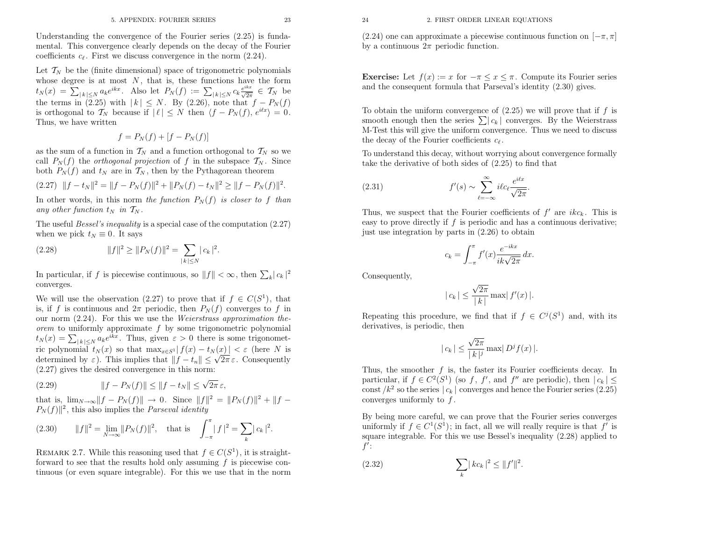Understanding the convergence of the Fourier series (2.25) is fundamental. This convergence clearly depends on the decay of the Fourier coefficients  $c_{\ell}$ . First we discuss convergence in the norm  $(2.24)$ .

Let  $\mathcal{T}_N$  be the (finite dimensional) space of trigonometric polynomials whose degree is at most N, that is, these functions have the form  $t_N(x) = \sum_{|k| \leq N} a_k e^{ikx}$ . Also let  $P_N(f) := \sum_{|k| \leq N} c_k \frac{e^{ikx}}{\sqrt{2\pi}} \in T_N$  $t_N(x) = \sum_{|k| \leq N} a_k e^{ikx}$ . Also let  $P_N(f) := \sum_{|k| \leq N} c_k \frac{e^{ikx}}{\sqrt{2\pi}} \in \mathcal{T}_N$  be<br>the terms in (2.25) with  $|k| \leq N$ . By (2.26), note that  $f - P_N(f)$ is orthogonal to  $\mathcal{T}_N$  because if  $|\ell| \leq N$  then  $\langle f - P_N(f), e^{i\ell x} \rangle = 0$ . Thus, we have written

$$
f = P_N(f) + [f - P_N(f)]
$$

as the sum of a function in  $\mathcal{T}_N$  and a function orthogonal to  $\mathcal{T}_N$  so we call  $P_N(f)$  the *orthogonal projection* of f in the subspace  $\mathcal{T}_N$ . Since both  $P_N(f)$  and  $t_N$  are in  $\mathcal{T}_N$ , then by the Pythagorean theorem

$$
(2.27) \quad ||f - t_N||^2 = ||f - P_N(f)||^2 + ||P_N(f) - t_N||^2 \ge ||f - P_N(f)||^2.
$$

In other words, in this norm the function  $P_N(f)$  is closer to f than any other function  $t_N$  in  $\mathcal{T}_N$ .

The useful *Bessel's inequality* is a special case of the computation  $(2.27)$ when we pick  $t_N \equiv 0$ . It says

(2.28) 
$$
||f||^2 \ge ||P_N(f)||^2 = \sum_{|k| \le N} |c_k|^2.
$$

In particular, if f is piecewise continuous, so  $||f|| < \infty$ , then  $\sum_{k} |c_k|^2$ converges.

We will use the observation (2.27) to prove that if  $f \in C(S^1)$ , that is, if f is continuous and  $2\pi$  periodic, then  $P_N(f)$  converges to f in our norm  $(2.24)$ . For this we use the *Weierstrass approximation the*orem to uniformly approximate f by some trigonometric polynomial  $t_N(x) = \sum_{|k| \le N} a_k e^{ikx}$ . Thus, given  $\varepsilon > 0$  there is some trigonometric polynomial  $t_N(x)$  so that  $\max_{x \in S^1} |f(x) - t_N(x)| < \varepsilon$  (here N is determined by  $\varepsilon$ ). This implies that  $||f - t_n|| \leq \sqrt{2\pi} \varepsilon$ . Consequently (2.27) <sup>g</sup>ives the desired convergence in this norm:

(2.29) 
$$
||f - P_N(f)|| \le ||f - t_N|| \le \sqrt{2\pi} \,\varepsilon,
$$

that is,  $\lim_{N\to\infty} ||f - P_N(f)|| \to 0$ . Since  $||f||^2 = ||P_N(f)||^2 + ||f - P_N(f)||^2$  this also implies the *Parseval identity*  $P_N(f)$ <sup>2</sup>, this also implies the *Parseval identity* 

(2.30) 
$$
||f||^2 = \lim_{N \to \infty} ||P_N(f)||^2, \text{ that is } \int_{-\pi}^{\pi} |f|^2 = \sum_{k} |c_k|^2.
$$

REMARK 2.7. While this reasoning used that  $f \in C(S^1)$ , it is straightforward to see that the results hold only assuming  $f$  is piecewise continuous (or even square integrable). For this we use that in the norm <sup>24</sup> 2. FIRST ORDER LINEAR EQUATIONS

(2.24) one can approximate a piecewise continuous function on  $[-\pi, \pi]$ by a continuous  $2\pi$  periodic function.

**Exercise:** Let  $f(x) := x$  for  $-\pi \leq x \leq \pi$ . Compute its Fourier series and the consequent formula that Parseval's identity (2.30) <sup>g</sup>ives.

To obtain the uniform convergence of  $(2.25)$  we will prove that if f is smooth enough then the series  $\sum | c_k |$  converges. By the Weierstrass M-Test this will <sup>g</sup>ive the uniform convergence. Thus we need to discussthe decay of the Fourier coefficients  $c_{\ell}$ .

To understand this decay, without worrying about convergence formallytake the derivative of both sides of (2.25) to find that

$$
(1.31)
$$
  $f'(s) \sim \sum_{\ell=-\infty}^{\infty} i\ell c_{\ell} \frac{e^{i\ell x}}{\sqrt{2\pi}}$ 

Thus, we suspect that the Fourier coefficients of  $f'$  are  $ikc_k$ . This is easy to prove directly if  $f$  is periodic and has a continuous derivative; just use integration by parts in (2.26) to obtain

$$
c_k = \int_{-\pi}^{\pi} f'(x) \frac{e^{-ikx}}{ik\sqrt{2\pi}} dx.
$$

Consequently,

 $($ 

$$
|c_k| \le \frac{\sqrt{2\pi}}{|k|} \max |f'(x)|.
$$

Repeating this procedure, we find that if  $f \in C^{j}(S^{1})$  and, with its derivatives, is periodic, then

$$
|c_k| \le \frac{\sqrt{2\pi}}{|k|^j} \max |D^j f(x)|.
$$

Thus, the smoother  $f$  is, the faster its Fourier coefficients decay. In particular, if  $f \in C^2(S^1)$  (so f, f', and f'' are periodic), then  $|c_k| \le$ const  $/k^2$  so the series  $|c_k|$  converges and hence the Fourier series (2.25) converges uniformly to  $f$ .

By being more careful, we can prove that the Fourier series convergesuniformly if  $f \in C^1(S^1)$ ; in fact, all we will really require is that  $f'$  is square integrable. For this we use Bessel's inequality (2.28) applied to $f^{\prime}$  :

(2.32) 
$$
\sum_{k} |kc_{k}|^{2} \leq ||f'||^{2}.
$$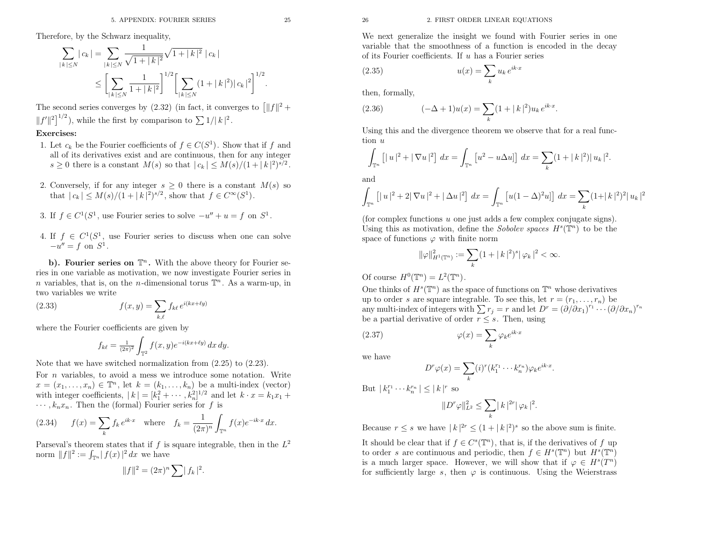Therefore, by the Schwarz inequality,

$$
\sum_{|k| \le N} |c_k| = \sum_{|k| \le N} \frac{1}{\sqrt{1+|k|^2}} \sqrt{1+|k|^2} |c_k|
$$
  

$$
\le \left[ \sum_{|k| \le N} \frac{1}{1+|k|^2} \right]^{1/2} \left[ \sum_{|k| \le N} (1+|k|^2) |c_k|^2 \right]^{1/2}.
$$

The second series converges by  $(2.32)$  (in fact, it converges to  $\left[||f||^2 + \cdots\right]$ |<br>|  $||f'||^2$ , while the first by comparison to  $\sum 1/|k|^2$ .

### Exercises:

- 1. Let  $c_k$  be the Fourier coefficients of  $f \in C(S^1)$ . Show that if f and all of its derivatives exist and are continuous, then for any integer  $s \geq 0$  there is a constant  $M(s)$  so that  $|c_k| \leq M(s)/(1+|k|^2)^{s/2}$ .
- 2. Conversely, if for any integer  $s \geq 0$  there is a constant  $M(s)$  so that  $|c_k| \leq M(s)/(1+|k|^2)^{s/2}$ , show that  $f \in C^{\infty}(S^1)$ .
- 3. If  $f \in C^1(S^1)$ , use Fourier series to solve  $-u'' + u = f$  on  $S^1$ .
- 4. If  $f \in C^1(S^1)$ , use Fourier series to discuss when one can solve  $-u'' = f$  on  $S^1$ .

b). Fourier series on  $\mathbb{T}^n$ . With the above theory for Fourier se- ries in one variable as motivation, we now investigate Fourier series in*n* variables, that is, on the *n*-dimensional torus  $\mathbb{T}^n$ . As a warm-up, in two variables we write

(2.33) 
$$
f(x,y) = \sum_{k,\ell} f_{k\ell} e^{i(kx + \ell y)}
$$

where the Fourier coefficients are <sup>g</sup>iven by

$$
f_{k\ell} = \frac{1}{(2\pi)^2} \int_{\mathbb{T}^2} f(x, y) e^{-i(kx + \ell y)} dx dy.
$$

Note that we have switched normalization from (2.25) to (2.23).

For  $n$  variables, to avoid a mess we introduce some notation. Write  $x = (x_1, \ldots, x_n) \in \mathbb{T}^n$ , let  $k = (k_1, \ldots, k_n)$  be a multi-index (vector) with integer coefficients,  $|k| = [k_1^2 + \cdots, k_n^2]^{1/2}$  and let  $k \cdot x = k_1x_1 + k_2x_2$  $\cdots, k_n x_n$ . Then the (formal) Fourier series for f is

(2.34) 
$$
f(x) = \sum_{k} f_k e^{ik \cdot x} \text{ where } f_k = \frac{1}{(2\pi)^n} \int_{\mathbb{T}^n} f(x) e^{-ik \cdot x} dx.
$$

Parseval's theorem states that if  $f$  is square integrable, then in the  $L^2$ norm  $||f||^2 := \int_{\mathbb{T}^n} |f(x)|^2 dx$  we have

$$
||f||^2 = (2\pi)^n \sum |f_k|^2.
$$

u has <sup>a</sup> Fourier series

$$
(2.35) \t\t u(x) = \sum_{k} u_k e^{ik \cdot x}
$$

then, formally,

(2.36) 
$$
(-\Delta + 1)u(x) = \sum_{k} (1 + |k|^2)u_k e^{ik \cdot x}.
$$

Using this and the divergence theorem we observe that for <sup>a</sup> real function  $\boldsymbol{\mathit{u}}$ 

$$
\int_{\mathbb{T}^n} \left[ |u|^2 + |\nabla u|^2 \right] dx = \int_{\mathbb{T}^n} \left[ u^2 - u \Delta u \right] dx = \sum_{k} (1 + |k|^2) |u_k|^2.
$$

and

$$
\int_{\mathbb{T}^n} \left[ |u|^2 + 2|\nabla u|^2 + |\Delta u|^2 \right] dx = \int_{\mathbb{T}^n} \left[ u(1 - \Delta)^2 u \right] dx = \sum_{k} (1 + |k|^2)^2 |u_k|^2
$$

(for complex functions u one just adds a few complex conjugate signs). Using this as motivation, define the *Sobolev spaces*  $H<sup>s</sup>(\mathbb{T}<sup>n</sup>)$  to be the space of functions  $\varphi$  with finite norm

$$
\|\varphi\|_{H^1(\mathbb{T}^n)}^2 := \sum_k (1+|k|^2)^s |\varphi_k|^2 < \infty.
$$

Of course  $H^0(\mathbb{T}^n) = L^2(\mathbb{T}^n)$ .

 26 2. FIRST ORDER LINEAR EQUATIONS We next generalize the insight we found with Fourier series in one variable that the smoothness of a function is encoded in the decay of its Fourier coefficients. If One thinks of  $H^s(\mathbb{T}^n)$  as the space of functions on  $\mathbb{T}^n$  whose derivatives up to order s are square integrable. To see this, let  $r = (r_1, \ldots, r_n)$  be any multi-index of integers with  $\sum r_j = r$  and let  $D^r = (\partial/\partial x_1)^{r_1} \cdots (\partial/\partial x_n)^{r_n}$ be a partial derivative of order  $r \leq s$ . Then, using

(2.37) 
$$
\varphi(x) = \sum_{k} \varphi_k e^{ik \cdot x}
$$

we have

$$
D^r \varphi(x) = \sum_k (i)^r (k_1^{r_1} \cdots k_n^{r_n}) \varphi_k e^{ik \cdot x}.
$$

But  $|k_1^{r_1} \cdots k_n^{r_n}| \leq |k|^r$  so

$$
\|D^r \varphi\|_{L^2}^2 \leq \sum_k \mid k\mid^{2r} \mid \varphi_k\mid^2
$$

Because  $r \leq s$  we have  $|k|^{2r} \leq (1+|k|^2)^s$  so the above sum is finite.

It should be clear that if  $f \in C^{s}(\mathbb{T}^{n})$ , that is, if the derivatives of f up to order s are continuous and periodic, then  $f \in H^s(\mathbb{T}^n)$  but  $H^s(\mathbb{T}^n)$ is a much larger space. However, we will show that if  $\varphi \in H^s(T^n)$ for sufficiently large s, then  $\varphi$  is continuous. Using the Weierstrass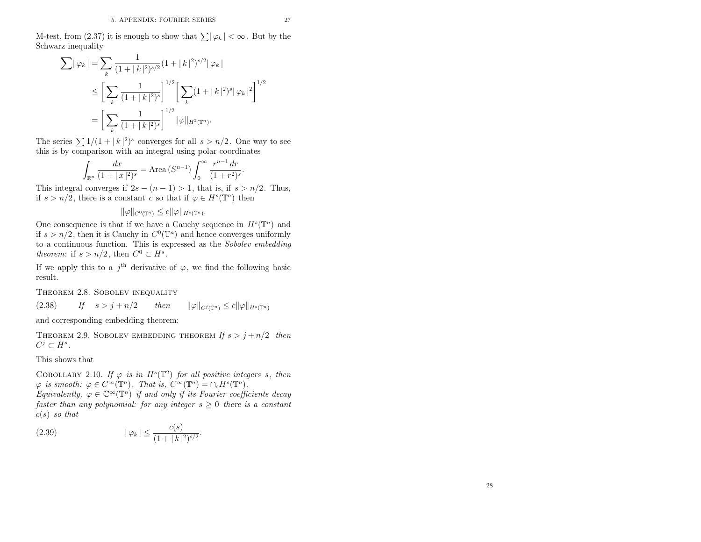M-test, from (2.37) it is enough to show that  $\sum |\varphi_k| < \infty$ . But by the Schwarz inequality

$$
\sum |\varphi_k| = \sum_{k} \frac{1}{(1+|k|^2)^{s/2}} (1+|k|^2)^{s/2} |\varphi_k|
$$
  
\n
$$
\leq \left[ \sum_{k} \frac{1}{(1+|k|^2)^s} \right]^{1/2} \left[ \sum_{k} (1+|k|^2)^s |\varphi_k|^2 \right]^{1/2}
$$
  
\n
$$
= \left[ \sum_{k} \frac{1}{(1+|k|^2)^s} \right]^{1/2} ||\varphi||_{H^2(\mathbb{T}^n)}.
$$

The series  $\sum 1/(1 + |k|^2)^s$  converges for all  $s > n/2$ . One way to see this is by comparison with an integral using polar coordinates

$$
\int_{\mathbb{R}^n} \frac{dx}{(1+|x|^2)^s} = \text{Area} (S^{n-1}) \int_0^\infty \frac{r^{n-1} dr}{(1+r^2)^s}.
$$

 $\int_{\mathbb{R}^n} (1 + |x|^2)^s$ <br>
This integral converges if  $2s - (n-1) > 1$ , that is, if  $s > n/2$ . Thus, if  $s > n/2$ , there is a constant c so that if  $\varphi \in H^s(\mathbb{T}^n)$  then

$$
\|\varphi\|_{C^0(\mathbb{T}^n)} \leq c \|\varphi\|_{H^s(\mathbb{T}^n)}.
$$

One consequence is that if we have a Cauchy sequence in  $H^s(\mathbb{T}^n)$  and if  $s > n/2$ , then it is Cauchy in  $C^0(\mathbb{T}^n)$  and hence converges uniformly to <sup>a</sup> continuous function. This is expressed as the Sobolev embeddingtheorem: if  $s > n/2$ , then  $C^0 \subset H^s$ .

If we apply this to a  $j<sup>th</sup>$  derivative of  $\varphi$ , we find the following basic result.

Theorem 2.8. Sobolev inequality

(2.38) $If \quad s > j + n/2 \qquad then \qquad ||\varphi||_{C^j(\mathbb{T}^n)} \leq c||\varphi||_{H^s(\mathbb{T}^n)}$ 

and corresponding embedding theorem:

THEOREM 2.9. SOBOLEV EMBEDDING THEOREM If  $s > j + n/2$  then  $C^j\subset H^s$  .

This shows that

 $c(s)$  so that

COROLLARY 2.10. If  $\varphi$  is in  $H^s(\mathbb{T}^2)$  for all positive integers s, then  $\varphi$  is smooth:  $\varphi \in C^{\infty}(\mathbb{T}^n)$ . That is,  $C^{\infty}(\mathbb{T}^n) = \cap_s H^s(\mathbb{T}^n)$ . Equivalently,  $\varphi \in \mathbb{C}^{\infty}(\mathbb{T}^n)$  if and only if its Fourier coefficients decay faster than any polynomial: for any integer  $s \geq 0$  there is a constant

(2.39) 
$$
|\varphi_k| \leq \frac{c(s)}{(1+|k|^2)^{s/2}}.
$$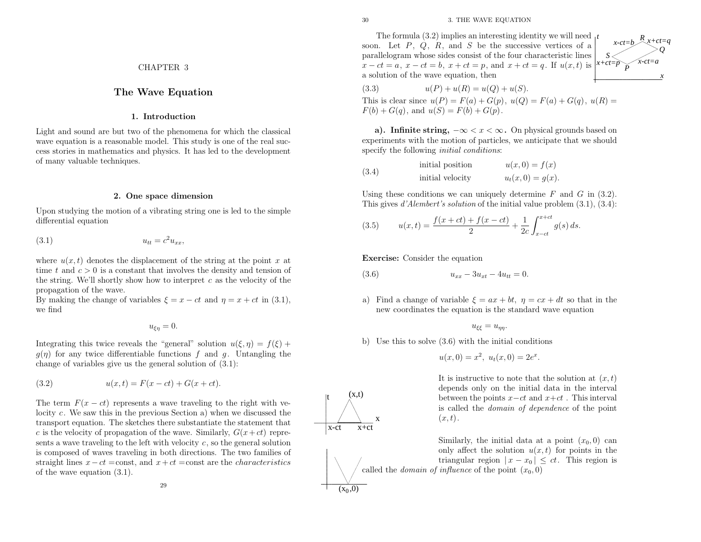$(x,t)$ 

x+ct

x

x-ct

 $(x_0, 0)$ 

t

The formula  $(3.2)$  implies an interesting identity we will need  $<sub>t</sub>$ </sub> soon. Let  $P$ ,  $Q$ ,  $R$ , and  $S$  be the successive vertices of a parallelogram whose sides consist of the four characteristic lines $x - ct = a$ ,  $x - ct = b$ ,  $x + ct = p$ , and  $x + ct = q$ . If  $u(x, t)$  is <sup>a</sup> solution of the wave equation, then

(3.3) 
$$
u(P) + u(R) = u(Q) + u(S).
$$

This is clear since  $u(P) = F(a) + G(p)$ ,  $u(Q) = F(a) + G(q)$ ,  $u(R) =$  $F(b) + G(q)$ , and  $u(S) = F(b) + G(p)$ .

a). Infinite string,  $-\infty < x < \infty$ . On physical grounds based on a). Infinite string,  $-\infty < x < \infty$ . On physical grounds based on experiments with the motion of particles, we anticipate that we should specify the following *initial conditions*:

(3.4) initial position 
$$
u(x, 0) = f(x)
$$
  
initial velocity  $u_t(x, 0) = g(x)$ .

Using these conditions we can uniquely determine  $F$  and  $G$  in (3.2). This gives  $d'Alembert's$  solution of the initial value problem  $(3.1)$ ,  $(3.4)$ :

(3.5) 
$$
u(x,t) = \frac{f(x+ct) + f(x-ct)}{2} + \frac{1}{2c} \int_{x-ct}^{x+ct} g(s) ds.
$$

Exercise: Consider the equation

(3.6) 
$$
u_{xx} - 3u_{xt} - 4u_{tt} = 0.
$$

a) Find a change of variable  $\xi = ax + bt$ ,  $\eta = cx + dt$  so that in the new coordinates the equation is the standard wave equation

$$
u_{\xi\xi}=u_{\eta\eta}.
$$

b) Use this to solve (3.6) with the initial conditions

$$
u(x, 0) = x^2, \ u_t(x, 0) = 2e^x
$$

It is instructive to note that the solution at  $(x, t)$  depends only on the initial data in the interval between the points  $x-ct$  and  $x+ct$  . This interval is called the domain of dependence of the point  $(x, t)$ .

Similarly, the initial data at a point  $(x_0, 0)$  can only affect the solution  $u(x, t)$  for points in the triangular region  $|x-x_0| \le ct$ . This region is called the *domain of influence* of the point  $(x_0, 0)$ 

CHAPTER <sup>3</sup>

### The Wave Equation

1. Introduction

Light and sound are but two of the <sup>p</sup>henomena for which the classical wave equation is <sup>a</sup> reasonable model. This study is one of the real success stories in mathematics and <sup>p</sup>hysics. It has led to the developmentof many valuable techniques.

### 2. One space dimension

Upon studying the motion of <sup>a</sup> vibrating string one is led to the simpledifferential equation

(3.1) $u_{tt} = c^2 u_{xx}$ 

where  $u(x, t)$  denotes the displacement of the string at the point x at time t and  $c > 0$  is a constant that involves the density and tension of the string. We'll shortly show how to interpret  $c$  as the velocity of the propagation of the wave.

By making the change of variables  $\xi = x - ct$  and  $\eta = x + ct$  in (3.1), we find

 $u_{\xi\eta}=0.$ 

Integrating this twice reveals the "general" solution  $u(\xi, \eta) = f(\xi) +$  $g(\eta)$  for any twice differentiable functions f and g. Untangling the change of variables <sup>g</sup>ive us the genera<sup>l</sup> solution of (3.1):

(3.2) 
$$
u(x,t) = F(x - ct) + G(x + ct).
$$

The term  $F(x-ct)$  represents a wave traveling to the right with velocity  $c$ . We saw this in the previous Section a) when we discussed the transport equation. The sketches there substantiate the statement thatc is the velocity of propagation of the wave. Similarly,  $G(x+ct)$  represents a wave traveling to the left with velocity  $c$ , so the general solution is composed of waves traveling in both directions. The two families of straight lines  $x-ct = \text{const}$ , and  $x+ct = \text{const}$  are the *characteristics* of the wave equation (3.1).

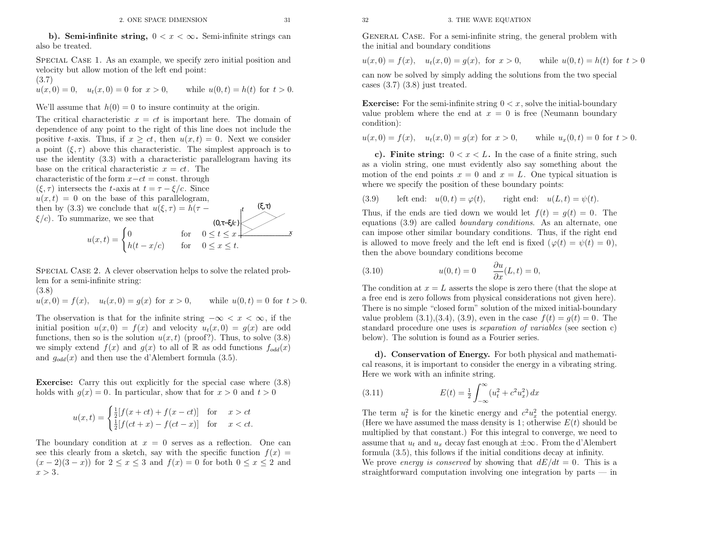SPECIAL CASE 1. As an example, we specify zero initial position and velocity but allow motion of the left end point:

(3.7)

 $u(x, 0) = 0$ ,  $u_t(x, 0) = 0$  for  $x > 0$ , while  $u(0,t) = h(t)$  for  $t > 0$ .

We'll assume that  $h(0) = 0$  to insure continuity at the origin.

The critical characteristic  $x = ct$  is important here. The domain of dependence of any point to the right of this line does not include the dependence of any point to the right of this line does not include thepositive t-axis. Thus, if  $x \ge ct$ , then  $u(x,t) = 0$ . Next we consider a point  $(\xi, \tau)$  above this characteristic. The simplest approach is to use the identity  $(3.3)$  with a characteristic parallelogram having its<br>base on the exitied ebenedativities  $x = ct$ . The base on the critical characteristic  $x = ct$ . The characteristic of the form  $x-ct = \text{const.}$  through  $(\xi, \tau)$  intersects the t-axis at  $t = \tau - \xi/c$ . Since  $u(x,t) = 0$  on the base of this parallelogram, then by (3.3) we conclude that  $u(\xi, \tau) = h(\tau \xi/c$ . To summarize, we see that  $\mathbf{L}$ we conclude that  $u(\xi, \tau) = h(\tau -$ <br>
narize, we see that  $(0, \tau - \xi/c)$ <br>  $u(x, t) = \begin{cases} 0 & \text{for} \quad 0 \le t \le x \\ h(t - x/c) & \text{for} \quad 0 \le x \le t. \end{cases}$ *t* $(0,π–ξ/c)$ *x*

SPECIAL CASE 2. A clever observation helps to solve the related problem for <sup>a</sup> semi-infinite string:

(3.8)

 $u(x, 0) = f(x), \quad u_t(x, 0) = g(x) \text{ for } x > 0, \quad \text{while}$  $u(0, t) = 0$  for  $t > 0$ .

The observation is that for the infinite string  $-\infty < x < \infty$ , if the The observation is that for the infinite string  $-\infty < x < \infty$ , if the initial position  $u(x, 0) = f(x)$  and velocity  $u_t(x, 0) = g(x)$  are odd functions, then so is the solution  $u(x, t)$  (proof?). Thus, to solve  $(3.8)$ we simply extend  $f(x)$  and  $g(x)$  to all of R as odd functions  $f_{odd}(x)$ and  $g_{odd}(x)$  and then use the d'Alembert formula (3.5).

Exercise: Carry this out explicitly for the special case where (3.8)holds with  $g(x) = 0$ . In particular, show that for  $x > 0$  and  $t > 0$ 

$$
u(x,t) = \begin{cases} \frac{1}{2}[f(x+ct) + f(x-ct)] & \text{for } x > ct\\ \frac{1}{2}[f(ct+x) - f(ct-x)] & \text{for } x < ct. \end{cases}
$$

The boundary condition at  $x = 0$  serves as a reflection. One can see this clearly from a sketch, say with the specific function  $f(x) =$  $(x-2)(3-x)$  for  $2 \le x \le 3$  and  $f(x) = 0$  for both  $0 \le x \le 2$  and  $x > 3$ .

General Case. For <sup>a</sup> semi-infinite string, the genera<sup>l</sup> problem withthe initial and boundary conditions

$$
u(x, 0) = f(x)
$$
,  $u_t(x, 0) = g(x)$ , for  $x > 0$ , while  $u(0, t) = h(t)$  for  $t > 0$ 

can now be solved by simply adding the solutions from the two special cases (3.7) (3.8) just treated.

**Exercise:** For the semi-infinite string  $0 < x$ , solve the initial-boundary value problem where the end at  $x = 0$  is free (Neumann boundary condition):

 $u(x, 0) = f(x), \quad u_t(x, 0) = g(x) \text{ for } x > 0, \quad \text{while } u_x(0, t) = 0 \text{ for } t > 0.$ 

c). Finite string:  $0 < x < L$ . In the case of a finite string, such as <sup>a</sup> violin string, one must evidently also say something about themotion of the end points  $x = 0$  and  $x = L$ . One typical situation is where we specify the position of these boundary points:

(3.9) left end:  $u(0,t) = \varphi(t)$ , right end:  $u(L,t) = \psi(t)$ .

Thus, if the ends are tied down we would let  $f(t) = g(t) = 0$ . The equations  $(3.9)$  are called *boundary conditions*. As an alternate, one can impose other similar boundary conditions. Thus, if the right endis allowed to move freely and the left end is fixed  $(\varphi(t) = \psi(t) = 0)$ , then the above boundary conditions become

(3.10) 
$$
u(0,t) = 0 \qquad \frac{\partial u}{\partial x}(L,t) = 0,
$$

The condition at  $x=L$  asserts the slope is zero there (that the slope at <sup>a</sup> free end is zero follows from <sup>p</sup>hysical considerations not <sup>g</sup>iven here). There is no simple "closed form" solution of the mixed initial-boundaryvalue problem  $(3.1),(3.4),(3.9)$ , even in the case  $f(t) = g(t) = 0$ . The standard procedure one uses is separation of variables (see section c) below). The solution is found as <sup>a</sup> Fourier series.

d). Conservation of Energy. For both <sup>p</sup>hysical and mathematical reasons, it is important to consider the energy in <sup>a</sup> vibrating string. Here we work with an infinite string.

(3.11) 
$$
E(t) = \frac{1}{2} \int_{-\infty}^{\infty} (u_t^2 + c^2 u_x^2) dx
$$

The term  $u_t^2$  is for the kinetic energy and  $c^2u_x^2$  the potential energy. (Here we have assumed the mass density is 1; otherwise  $E(t)$  should be multiplied by that constant.) For this integral to converge, we need toassume that  $u_t$  and  $u_x$  decay fast enough at  $\pm \infty$ . From the d'Alembert formula (3.5), this follows if the initial conditions decay at infinity.

We prove energy is conserved by showing that  $dE/dt = 0$ . This is a straightforward computation involving one integration by parts — in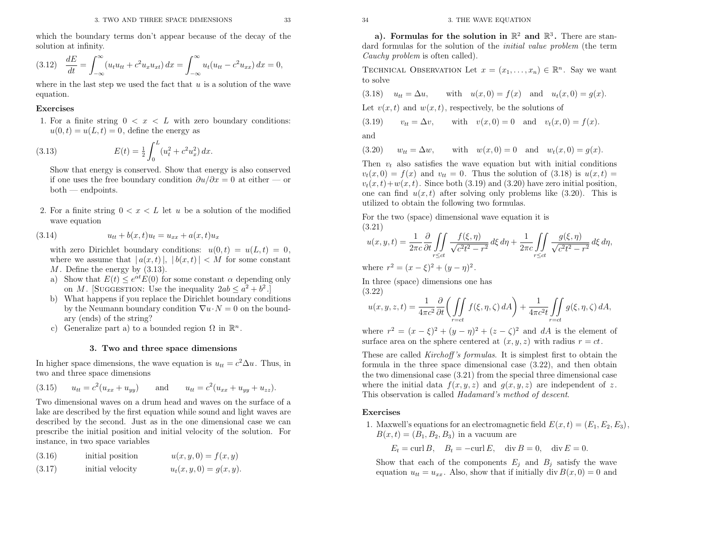which the boundary terms don't appear because of the decay of thesolution at infinity.

$$
(3.12) \quad \frac{dE}{dt} = \int_{-\infty}^{\infty} (u_t u_{tt} + c^2 u_x u_{xt}) \, dx = \int_{-\infty}^{\infty} u_t (u_{tt} - c^2 u_{xx}) \, dx = 0,
$$

where in the last step we used the fact that  $u$  is a solution of the wave equation.

#### Exercises

1. For a finite string  $0 < x < L$  with zero boundary conditions:  $u(0, t) = u(L, t) = 0$ , define the energy as

(3.13) 
$$
E(t) = \frac{1}{2} \int_0^L (u_t^2 + c^2 u_x^2) dx.
$$

 Show that energy is conserved. Show that energy is also conservedif one uses the free boundary condition  $\partial u/\partial x = 0$  at either — or both — endpoints.

2. For a finite string  $0 < x < L$  let u be a solution of the modified wave equation

(3.14) 
$$
u_{tt} + b(x,t)u_t = u_{xx} + a(x,t)u_x
$$

with zero Dirichlet boundary conditions:  $u(0,t) = u(L,t) = 0$ , where we assume that  $|a(x,t)|, |b(x,t)| < M$  for some constant <br>*M* Define the energy by (3.13) M. Define the energy by  $(3.13)$ .<br>a) Show that  $E(t) \leq e^{\alpha t} E(0)$  for

- a) Show that  $E(t) \leq e^{\alpha t} E(0)$  for some constant  $\alpha$  depending only on M. [SUGGESTION: Use the inequality  $2ab \leq a^2 + b^2$ .]<br>What happens if you replace the Dirichlet boundary cond
- b) What happens if you replace the Dirichlet boundary conditionsby the Neumann boundary condition  $\nabla u \cdot N = 0$  on the bound-<br>cm: (ends) of the string? ary (ends) of the string?
- c) Generalize part a) to a bounded region  $\Omega$  in  $\mathbb{R}^n$ .

#### 3. Two and three space dimensions

In higher space dimensions, the wave equation is  $u_{tt} = c^2 \Delta u$ . Thus, in two and three space dimensions

(3.15) 
$$
u_{tt} = c^2 (u_{xx} + u_{yy})
$$
 and  $u_{tt} = c^2 (u_{xx} + u_{yy} + u_{zz}).$ 

Two dimensional waves on <sup>a</sup> drum head and waves on the surface of <sup>a</sup> lake are described by the first equation while sound and light waves are described by the second. Just as in the one dimensional case we can prescribe the initial position and initial velocity of the solution. Forinstance, in two space variables

| (3.16) | initial position | $u(x, y, 0) = f(x, y)$    |
|--------|------------------|---------------------------|
| (3.17) | initial velocity | $u_t(x, y, 0) = g(x, y).$ |

 $\mathbb{R}^2$  and  $\mathbb{R}^3$ . There are standard formulas for the solution of the *initial value problem* (the term Cauchy problem is often called).

TECHNICAL OBSERVATION Let  $x = (x_1, \ldots, x_n) \in \mathbb{R}^n$ . Say we want to solve

(3.18) 
$$
u_{tt} = \Delta u
$$
, with  $u(x, 0) = f(x)$  and  $u_t(x, 0) = g(x)$ .

Let  $v(x, t)$  and  $w(x, t)$ , respectively, be the solutions of

(3.19) 
$$
v_{tt} = \Delta v
$$
, with  $v(x, 0) = 0$  and  $v_t(x, 0) = f(x)$ .

and

(3.20) $w_{tt} = \Delta w$ , with  $w(x, 0) = 0$  and  $w_t(x, 0) = g(x)$ .

Then  $v_t$  also satisfies the wave equation but with initial conditions  $v_t(x,0) = f(x)$  and  $v_{tt} = 0$ . Thus the solution of (3.18) is  $u(x,t) =$  $v_t(x, t) + w(x, t)$ . Since both (3.19) and (3.20) have zero initial position, one can find  $u(x, t)$  after solving only problems like  $(3.20)$ . This is utilized to obtain the following two formulas.

For the two (space) dimensional wave equation it is(3.21)

$$
u(x, y, t) = \frac{1}{2\pi c} \frac{\partial}{\partial t} \iint_{r \le ct} \frac{f(\xi, \eta)}{\sqrt{c^2 t^2 - r^2}} d\xi d\eta + \frac{1}{2\pi c} \iint_{r \le ct} \frac{g(\xi, \eta)}{\sqrt{c^2 t^2 - r^2}} d\xi d\eta,
$$

where  $r^2 = (x - \xi)^2 + (y - \eta)^2$ .

In three (space) dimensions one has(3.22)

$$
u(x, y, z, t) = \frac{1}{4\pi c^2} \frac{\partial}{\partial t} \left( \iint_{r=ct} f(\xi, \eta, \zeta) dA \right) + \frac{1}{4\pi c^2 t} \iint_{r=ct} g(\xi, \eta, \zeta) dA,
$$

where  $r^2 = (x - \xi)^2 + (y - \eta)^2 + (z - \zeta)^2$  and dA is the element of surface area on the sphere centered at  $(x, y, z)$  with radius  $r = ct$ .

STONS<br>
get of the decay of the solution in E4 and Corrulas for the solution in E4 and Corrulas for the solution of the ratios of  $\left(\frac{3}{2}, \frac{1}{2}\right)$  ( $\left(\frac{3}{2}, \frac{1}{2}\right)$  and  $\left(\frac{3}{2}, \frac{1}{2}\right)$  become the solution of t These are called *Kirchoff's formulas*. It is simplest first to obtain the formula in the three space dimensional case (3.22), and then obtain the two dimensional case (3.21) from the special three dimensional casewhere the initial data  $f(x, y, z)$  and  $g(x, y, z)$  are independent of z.<br>This observation is called *Hadamard's method of descent*. alled *Hadamard's method of descent*.

#### Exercises

1. Maxwell's equations for an electromagnetic field  $E(x, t) = (E_1, E_2, E_3)$ ,  $B(x, t) = (B_1, B_2, B_3)$  in a vacuum are

 $E_t = \text{curl } B, \quad B_t = -\text{curl } E, \quad \text{div } B = 0, \quad \text{div } E = 0.$ 

Show that each of the components  $E_j$  and  $B_j$  satisfy the wave equation  $u_{tt} = u_{xx}$ . Also, show that if initially div  $B(x, 0) = 0$  and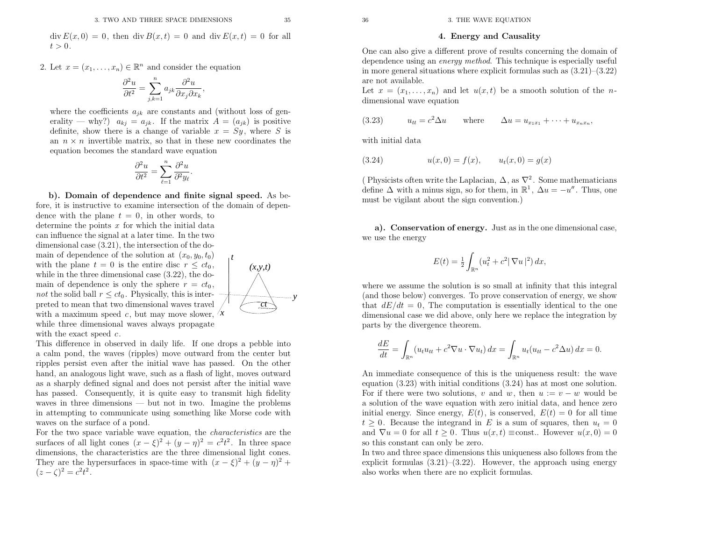$\operatorname{div} E(x, 0) = 0$ , then  $\operatorname{div} B(x, t) = 0$  and  $\operatorname{div} E(x, t) = 0$  for all  $t > 0$ .

2. Let  $x = (x_1, \ldots, x_n) \in \mathbb{R}^n$  and consider the equation

$$
\frac{\partial^2 u}{\partial t^2} = \sum_{j,k=1}^n a_{jk} \frac{\partial^2 u}{\partial x_j \partial x_k}
$$

where the coefficients  $a_{jk}$  are constants and (without loss of generality — why?)  $a_{kj} = a_{jk}$ . If the matrix  $A = (a_{jk})$  is positive definite, show there is a change of variable  $x = Sy$ , where S is an  $n \times n$  invertible matrix, so that in these new coordinates the equation becomes the standard wave equation

,

$$
\frac{\partial^2 u}{\partial t^2} = \sum_{\ell=1}^n \frac{\partial^2 u}{\partial^2 y_\ell}
$$

b). Domain of dependence and finite signal speed. As before, it is instructive to examine intersection of the domain of dependence with the plane  $t = 0$ , in other words, to determine the points  $x$  for which the initial data can influence the signal at <sup>a</sup> later time. In the two dimensional case (3.21), the intersection of the domain of dependence of the solution at  $(x_0, y_0, t_0)$ with the plane  $t = 0$  is the entire disc  $r \le ct_0$ , while in the three dimensional case (3.22), the domain of dependence is only the sphere  $r = ct_0$ , not the solid ball  $r \le ct_0$ . Physically, this is inter-<br>noted to mean that two dimensional masses travel preted to mean that two dimensional waves travel with a maximum speed  $c$ , but may move slower,  $\lambda x$ while three dimensional waves always propagatewith the exact speed  $c$ . *tct*1. This was seven from the same section of the same of the same of the same section of the same section of the same section of the same section of the same section of the same section of the same section of the same secti

This difference in observed in daily life. If one drops <sup>a</sup> pebble into <sup>a</sup> calm pond, the waves (ripples) move outward from the center but ripples persist even after the initial wave has passed. On the other hand, an analogous light wave, such as <sup>a</sup> flash of light, moves outward as <sup>a</sup> sharply defined signal and does not persist after the initial wave has passed. Consequently, it is quite easy to transmit high fidelity waves in three dimensions — but not in two. Imagine the problems in attempting to communicate using something like Morse code withwaves on the surface of <sup>a</sup> pond.

For the two space variable wave equation, the *characteristics* are the surfaces of all light cones  $(x - \xi)^2 + (y - \eta)^2 = c^2 t^2$ . In three space surfaces of all light cones  $(x - \xi)^2 + (y - \eta)^2 = c^2 t^2$ . In three space<br>dimensions, the characteristics are the three dimensional light cones. They are the hypersurfaces in space-time with  $(x - \xi)^2 + (y - \eta)^2 +$  $(z - \zeta)^2 = c^2 t^2$ .

 $x = (x_1, \ldots, x_n)$  and let  $u(x, t)$  be a smooth solution of the *n*dimensional wave equation

(3.23) 
$$
u_{tt} = c^2 \Delta u
$$
 where  $\Delta u = u_{x_1 x_1} + \dots + u_{x_n x_n}$ ,

with initial data

(3.24) 
$$
u(x, 0) = f(x), \qquad u_t(x, 0) = g(x)
$$

( Physicists often write the Laplacian,  $\Delta$ , as  $\nabla^2$ . Some mathematicians define  $\Delta$  with a minus sign, so for them, in  $\mathbb{R}^1$ ,  $\Delta u = -u''$ . Thus, one must be vigilant about the sign convention.)

a). Conservation of energy. Just as in the one dimensional case, we use the energy

$$
E(t) = \frac{1}{2} \int_{\mathbb{R}^n} (u_t^2 + c^2 |\nabla u|^2) \, dx,
$$

where we assume the solution is so small at infinity that this integral (and those below) converges. To prove conservation of energy, we showthat  $dE/dt = 0$ , The computation is essentially identical to the one dimensional case we did above, only here we replace the integration byparts by the divergence theorem.

$$
\frac{dE}{dt} = \int_{\mathbb{R}^n} (u_t u_{tt} + c^2 \nabla u \cdot \nabla u_t) dx = \int_{\mathbb{R}^n} u_t (u_{tt} - c^2 \Delta u) dx = 0.
$$

An immediate consequence of this is the uniqueness result: the wave equation (3.23) with initial conditions (3.24) has at most one solution. For if there were two solutions, v and w, then  $u := v - w$  would be <sup>a</sup> solution of the wave equation with zero initial data, and hence zeroinitial energy. Since energy,  $E(t)$ , is conserved,  $E(t) = 0$  for all time  $t \geq 0$ . Because the integrand in E is a sum of squares, then  $u_t = 0$ and  $\nabla u = 0$  for all  $t \geq 0$ . Thus  $u(x,t) \equiv \text{const.}$  However  $u(x,0) = 0$ so this constant can only be zero.

In two and three space dimensions this uniqueness also follows from the explicit formulas (3.21)–(3.22). However, the approac<sup>h</sup> using energyalso works when there are no explicit formulas.

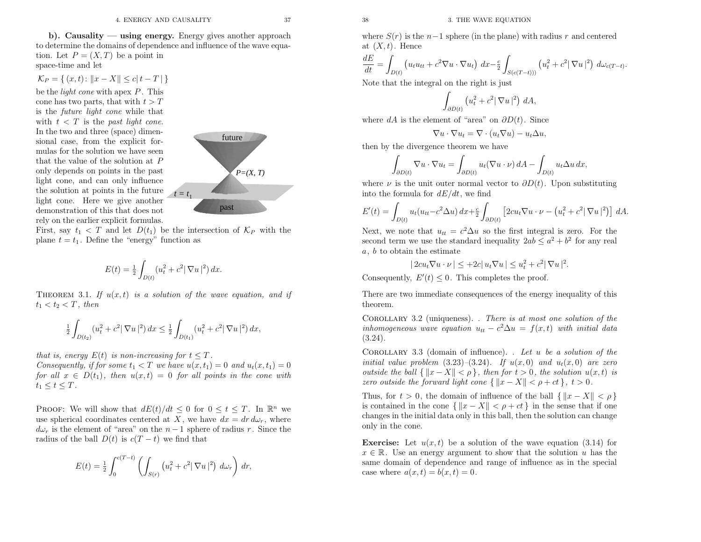<sup>38</sup> 3. THE WAVE EQUATION

b). Causality — using energy. Energy <sup>g</sup>ives another approac<sup>h</sup> to determine the domains of dependence and influence of the wave equation. Let  $P = (X, T)$  be a point in space-time and let

$$
\mathcal{K}_P = \{ (x, t) \colon ||x - X|| \le c | t - T | \}
$$

be the *light cone* with apex  $P$ . This cone has two parts, that with  $t > T$  is the future light cone while that with  $t < T$ In the two and three (space) dimensional case, from the explicit formulas for the solution we have seenthat the value of the solution at  $P$  only depends on points in the past light cone, and can only influence the solution at points in the future light cone. Here we <sup>g</sup>ive another demonstration of this that does notrely on the earlier explicit formulas.

First, say  $t_1 < T$  and let  $D(t_1)$  be the intersection of  $\mathcal{K}_P$  with the plane  $t = t_1$ . Define the "energy" function as

$$
E(t) = \frac{1}{2} \int_{D(t)} (u_t^2 + c^2 |\nabla u|^2) dx.
$$

THEOREM 3.1. If  $u(x,t)$  is a solution of the wave equation, and if  $t_1 < t_2 < T$ , then

$$
\frac{1}{2} \int_{D(t_2)} (u_t^2 + c^2 |\nabla u|^2) \, dx \le \frac{1}{2} \int_{D(t_1)} (u_t^2 + c^2 |\nabla u|^2) \, dx,
$$

that is, energy  $E(t)$  is non-increasing for  $t \leq T$ Consequently, if for some  $t_1 < T$  we have  $u(x, t_1) = 0$  and  $u_t(x, t_1) = 0$ for all  $x \in D(t_1)$ , then  $u(x,t) = 0$  for all points in the cone with  $t_1 \leq t \leq T$ .

**PROOF:** We will show that  $dE(t)/dt \leq 0$  for  $0 \leq t \leq T$ . In  $\mathbb{R}^n$  we use spherical coordinates centered at X, we have  $dx = dr d\omega_r$ , where  $d\omega_r$  is the element of "area" on the  $n-1$  sphere of radius r. Since the radius of the ball  $D(t)$  is  $c(T-t)$  we find that

$$
E(t) = \frac{1}{2} \int_0^{c(T-t)} \left( \int_{S(r)} \left( u_t^2 + c^2 |\nabla u|^2 \right) d\omega_r \right) dr,
$$

where  $S(r)$  is the  $n-1$  sphere (in the plane) with radius r and centered at  $(X, t)$ . Hence

$$
\frac{dE}{dt} = \int_{D(t)} \left( u_t u_{tt} + c^2 \nabla u \cdot \nabla u_t \right) dx - \frac{c}{2} \int_{S(c(T-t)))} \left( u_t^2 + c^2 |\nabla u|^2 \right) d\omega_{c(T-t)}.
$$

Note that the integral on the right is just

$$
\int_{\partial D(t)} \left( u_t^2 + c^2 |\nabla u|^2 \right) dA,
$$

where  $dA$  is the element of "area" on  $\partial D(t)$ . Since

$$
\nabla u \cdot \nabla u_t = \nabla \cdot (u_t \nabla u) - u_t \Delta u,
$$

then by the divergence theorem we have

$$
\int_{\partial D(t)} \nabla u \cdot \nabla u_t = \int_{\partial D(t)} u_t (\nabla u \cdot \nu) dA - \int_{D(t)} u_t \Delta u dx,
$$

where  $\nu$  is the unit outer normal vector to  $\partial D(t)$ . Upon substituting into the formula for  $dE/dt$ , we find

$$
E'(t) = \int_{D(t)} u_t(u_{tt} - c^2 \Delta u) dx + \frac{c}{2} \int_{\partial D(t)} \left[ 2cu_t \nabla u \cdot \nu - \left( u_t^2 + c^2 |\nabla u|^2 \right) \right] dA.
$$

Next, we note that  $u_{tt} = c^2 \Delta u$  so the first integral is zero. For the second term we use the standard inequality  $2ab \le a^2 + b^2$  for any real a, b to obtain the estimate

$$
|2cu_t\nabla u\cdot\nu|\leq+2c|u_t\nabla u|\leq u_t^2+c^2|\nabla u|^2.
$$

Consequently,  $E'(t) \leq 0$ . This completes the proof.

There are two immediate consequences of the energy inequality of thistheorem.

COROLLARY 3.2 (uniqueness). . There is at most one solution of the inhomogeneous wave equation  $u_{tt} - c^2 \Delta u = f(x, t)$  with initial data  $\langle u, \Omega \rangle$  $(3.24).$ 

COROLLARY 3.3 (domain of influence). . Let u be a solution of the initial value problem  $(3.23)$ – $(3.24)$ . If  $u(x, 0)$  and  $u_t(x, 0)$  are zero<br>subjects the hell  $\lim_{x \to a} V \| \leq c_1$ , then for the  $c_2$  the solution  $u(x, t)$  is outside the ball  $\{||x-X|| < \rho\}$ , then for  $t > 0$ , the solution  $u(x,t)$  is zero outside the forward light cone  $\{ ||x - X|| < \rho + ct \}$ ,  $t > 0$ .

Thus, for  $t > 0$ , the domain of influence of the ball  $\{|x - X|| < \rho\}$ is contained in the cone  $\{ ||x - X|| < \rho + ct \}$  in the sense that if one changes in the initial data only in this ball, then the solution can changeonly in the cone.

**Exercise:** Let  $u(x, t)$  be a solution of the wave equation (3.14) for  $x \in \mathbb{R}$ . Use an energy argument to show that the solution u has the same domain of dependence and range of influence as in the special case where  $a(x,t) = b(x,t) = 0$ .

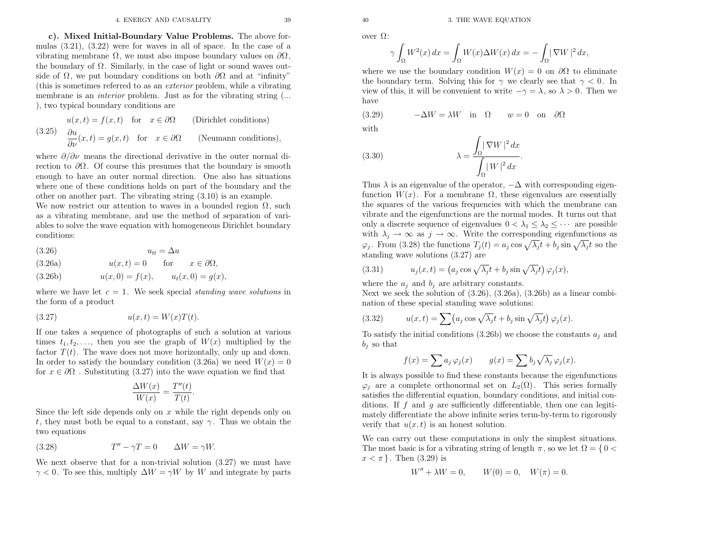c). Mixed Initial-Boundary Value Problems. The above formulas (3.21), (3.22) were for waves in all of space. In the case of <sup>a</sup>vibrating membrane  $\Omega$ , we must also impose boundary values on  $\partial\Omega$ , the boundary of Ω. Similarly, in the case of light or sound waves outside of  $\Omega$ , we put boundary conditions on both  $\partial\Omega$  and at "infinity" (this is sometimes referred to as an exterior problem, while <sup>a</sup> vibrating membrane is an *interior* problem. Just as for the vibrating string (... ), two typical boundary conditions are

(3.25) 
$$
u(x,t) = f(x,t) \text{ for } x \in \partial\Omega \text{ (Dirichlet conditions)}
$$

$$
\frac{\partial u}{\partial \nu}(x,t) = g(x,t) \text{ for } x \in \partial\Omega \text{ (Neumann conditions)},
$$

where  $\partial/\partial \nu$  means the directional derivative in the outer normal direction to  $\partial\Omega$ . Of course this presumes that the boundary is smooth enoug<sup>h</sup> to have an outer normal direction. One also has situations where one of these conditions holds on part of the boundary and theother on another part. The vibrating string (3.10) is an example.

We now restrict our attention to waves in a bounded region  $\Omega$ , such as <sup>a</sup> vibrating membrane, and use the method of separation of variables to solve the wave equation with homogeneous Dirichlet boundaryconditions:

- (3.26) $u_{tt} = \Delta u$
- $u(x,t) = 0$  for  $x \in \partial\Omega$ , (3.26a)
- $u(x, 0) = f(x), \qquad u_t(x, 0) = g(x),$ (3.26b)

where we have let  $c = 1$ . We seek special *standing wave solutions* in the form of <sup>a</sup> product

$$
(3.27) \t\t u(x,t) = W(x)T(t).
$$

If one takes <sup>a</sup> sequence of <sup>p</sup>hotographs of such <sup>a</sup> solution at varioustimes  $t_1, t_2, \ldots$ , then you see the graph of  $W(x)$  multiplied by the factor  $T(t)$ . The wave does not move horizontally, only up and down. In order to satisfy the boundary condition (3.26a) we need  $W(x) = 0$ for  $x \in \partial \Omega$ . Substituting (3.27) into the wave equation we find that

$$
\frac{\Delta W(x)}{W(x)} = \frac{T''(t)}{T(t)}.
$$

Since the left side depends only on  $x$  while the right depends only on t, they must both be equal to a constant, say  $\gamma$ . Thus we obtain the two equations

(3.28) 
$$
T'' - \gamma T = 0 \qquad \Delta W = \gamma W.
$$

We next observe that for <sup>a</sup> non-trivial solution (3.27) we must have $\gamma$  < 0. To see this, multiply  $\Delta W = \gamma W$  by W and integrate by parts

over Ω:

$$
\gamma \int_{\Omega} W^2(x) \, dx = \int_{\Omega} W(x) \Delta W(x) \, dx = - \int_{\Omega} |\nabla W|^2 \, dx,
$$

where we use the boundary condition  $W(x) = 0$  on  $\partial\Omega$  to eliminate the boundary term. Solving this for  $\gamma$  we clearly see that  $\gamma < 0$ . In view of this, it will be convenient to write  $-\gamma = \lambda$ , so  $\lambda > 0$ . Then we have

(3.29) 
$$
-\Delta W = \lambda W
$$
 in  $\Omega$   $w = 0$  on  $\partial \Omega$ 

with

(3.30) 
$$
\lambda = \frac{\int_{\Omega} |\nabla W|^2 dx}{\int_{\Omega} |W|^2 dx}.
$$

Thus  $\lambda$  is an eigenvalue of the operator,  $-\Delta$  with corresponding eigenfunction  $W(x)$ . For a membrane  $\Omega$ , these eigenvalues are essentially the squares of the various frequencies with which the membrane can vibrate and the eigenfunctions are the normal modes. It turns out thatonly a discrete sequence of eigenvalues  $0 < \lambda_1 \leq \lambda_2 \leq \cdots$  are possible with  $\lambda_j \to \infty$  as  $j \to \infty$ . Write the corresponding eigenfunctions as  $\varphi_j$ . From (3.28) the functions  $T_j(t) = a_j \cos \sqrt{\lambda_j} t + b_j \sin \sqrt{\lambda_j} t$  so the standing wave solutions (3.27) are

(3.31) 
$$
u_j(x,t) = \left(a_j \cos \sqrt{\lambda_j} t + b_j \sin \sqrt{\lambda_j} t\right) \varphi_j(x),
$$

where the  $a_j$  and  $b_j$  are arbitrary constants.

Next we seek the solution of (3.26), (3.26a), (3.26b) as <sup>a</sup> linear combination of these special standing wave solutions:

(3.32) 
$$
u(x,t) = \sum (a_j \cos \sqrt{\lambda_j} t + b_j \sin \sqrt{\lambda_j} t) \varphi_j(x).
$$

To satisfy the initial conditions (3.26b) we choose the constants  $a_j$  and  $b_j$  so that

$$
f(x) = \sum a_j \varphi_j(x) \qquad g(x) = \sum b_j \sqrt{\lambda_j} \varphi_j(x).
$$

It is always possible to find these constants because the eigenfunctions $\varphi_j$  are a complete orthonormal set on  $L_2(\Omega)$ . This series formally satisfies the differential equation, boundary conditions, and initial conditions. If  $f$  and  $g$  are sufficiently differentiable, then one can legitimately differentiate the above infinite series term-by-term to rigorously<br>weight that  $u(x,t)$  is an hancet selution verify that  $u(x, t)$  is an honest solution.

We can carry out these computations in only the simplest situations. The most basic is for a vibrating string of length  $\pi$ , so we let  $\Omega = \{ 0 \le \pi \le -1 \}$ . Then  $(2, 20)$  is  $x < \pi$  }. Then (3.29) is

$$
W'' + \lambda W = 0, \qquad W(0) = 0, \quad W(\pi) = 0.
$$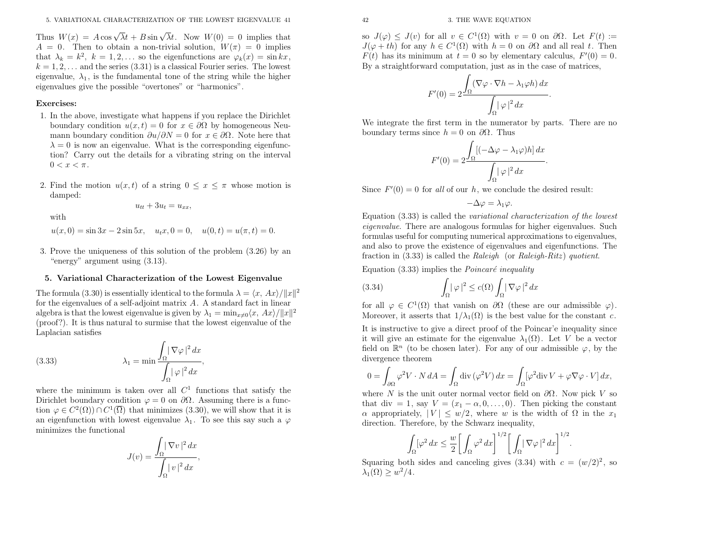Thus  $W(x) = A \cos \sqrt{\lambda} t + B \sin \sqrt{\lambda} t$ . Now  $W(0) = 0$  implies that  $A = 0$ . Then to obtain a non-trivial solution,  $W(\pi) = 0$  implies that  $\lambda_k = k^2$ ,  $k = 1, 2, ...$  so the eigenfunctions are  $\varphi_k(x) = \sin kx$ ,  $k = 1, 2, \ldots$  and the series (3.31) is a classical Fourier series. The lowest eigenvalue,  $\lambda_1$ , is the fundamental tone of the string while the higher eigenvalues <sup>g</sup>ive the possible "overtones" or "harmonics".

#### Exercises:

- 1. In the above, investigate what happens if you replace the Dirichletboundary condition  $u(x, t) = 0$  for  $x \in \partial\Omega$  by homogeneous Neumann boundary condition  $\partial u/\partial N = 0$  for  $x \in \partial \Omega$ . Note here that  $\lambda = 0$  is now an eigenvalue. What is the corresponding eigenfunction? Carry out the details for a vibrating string on the interval  $0 < x < \pi$ .
- 2. Find the motion  $u(x,t)$  of a string  $0 \le x \le \pi$  whose motion is damped:

$$
u_{tt} + 3u_t = u_{xx},
$$

with

- $u(x, 0) = \sin 3x 2 \sin 5x$ ,  $u_t x, 0 = 0$ ,  $u(0, t) = u(\pi, t) = 0$ .
- 3. Prove the uniqueness of this solution of the problem (3.26) by an"energy" argument using (3.13).

### 5. Variational Characterization of the Lowest Eigenvalue

The formula (3.30) is essentially identical to the formula  $\lambda = \langle x, Ax \rangle / ||x||^2$ for the eigenvalues of <sup>a</sup> self-adjoint matrix <sup>A</sup>. <sup>A</sup> standard fact in linear algebra is that the lowest eigenvalue is given by  $\lambda_1 = \min_{x \neq 0} \langle x, Ax \rangle / ||x||^2$ (proof?). It is thus natural to surmise that the lowest eigenvalue of theLaplacian satisfies

(3.33) 
$$
\lambda_1 = \min \frac{\int_{\Omega} |\nabla \varphi|^2 dx}{\int_{\Omega} |\varphi|^2 dx},
$$

where the minimum is taken over all  $C<sup>1</sup>$  functions that satisfy the Dirichlet boundary condition  $\varphi = 0$  on  $\partial\Omega$ . Assuming there is a function  $\varphi \in C^2(\Omega) \cap C^1(\overline{\Omega})$  that minimizes (3.30), we will show that it is an eigenfunction with lowest eigenvalue  $\lambda_1$ . To see this say such a  $\varphi$ minimizes the functional

$$
J(v) = \frac{\int_{\Omega} |\nabla v|^2 dx}{\int_{\Omega} |v|^2 dx},
$$

so  $J(\varphi) \leq J(v)$  for all  $v \in C^1(\Omega)$  with  $v = 0$  on  $\partial\Omega$ . Let  $F(t) :=$ <br> $J(\psi)$  for an  $t \in C^1(\Omega)$  it  $t \geq 0$  on  $\partial\Omega$  and all real to Theory  $J(\varphi + th)$  for any  $h \in C^1(\Omega)$  with  $h = 0$  on  $\partial\Omega$  and all real t. Then  $F(t)$  has its minimum at  $t = 0$  so by elementary calculus,  $F'(0) = 0$ . By <sup>a</sup> straightforward computation, just as in the case of matrices,

$$
F'(0) = 2 \frac{\int_{\Omega} (\nabla \varphi \cdot \nabla h - \lambda_1 \varphi h) \, dx}{\int_{\Omega} |\varphi|^2 \, dx}.
$$

We integrate the first term in the numerator by parts. There are noboundary terms since  $h = 0$  on  $\partial\Omega$ . Thus

$$
F'(0) = 2 \frac{\int_{\Omega} [(-\Delta \varphi - \lambda_1 \varphi) h] dx}{\int_{\Omega} |\varphi|^2 dx}.
$$

Since  $F'(0) = 0$  for all of our h, we conclude the desired result:

$$
-\Delta \varphi = \lambda_1 \varphi.
$$

Equation (3.33) is called the variational characterization of the lowest eigenvalue. There are analogous formulas for higher eigenvalues. Such formulas useful for computing numerical approximations to eigenvalues, and also to prove the existence of eigenvalues and eigenfunctions. Thefraction in  $(3.33)$  is called the *Raleigh* (or *Raleigh-Ritz*) quotient.

Equation (3.33) implies the  $Poincaré$  inequality

(3.34) 
$$
\int_{\Omega} |\varphi|^2 \leq c(\Omega) \int_{\Omega} |\nabla \varphi|^2 dx
$$

for all  $\varphi \in C^1(\Omega)$  that vanish on  $\partial \Omega$  (these are our admissible  $\varphi$ ). Moreover, it asserts that  $1/\lambda_1(\Omega)$  is the best value for the constant c.

It is instructive to <sup>g</sup>ive <sup>a</sup> direct proo<sup>f</sup> of the Poincar'e inequality sinceit will give an estimate for the eigenvalue  $\lambda_1(\Omega)$ . Let V be a vector field on  $\mathbb{R}^n$  (to be chosen later). For any of our admissible  $\varphi$ , by the divergence theorem

$$
0 = \int_{\partial \Omega} \varphi^2 V \cdot N \, dA = \int_{\Omega} \text{div} \left( \varphi^2 V \right) dx = \int_{\Omega} \left[ \varphi^2 \text{div} \, V + \varphi \nabla \varphi \cdot V \right] dx,
$$

where N is the unit outer normal vector field on  $\partial\Omega$ . Now pick V so<br>that dive all see V (x = 0, 0). Then righting the constant that div = 1, say  $V = (x_1 - \alpha, 0, \dots, 0)$ . Then picking the constant  $\alpha$  appropriately,  $|V| \leq w/2$ , where w is the width of  $\Omega$  in the  $x_1$ direction. Therefore, by the Schwarz inequality,

$$
\int_{\Omega} [\varphi^2 \, dx \le \frac{w}{2} \bigg[ \int_{\Omega} \varphi^2 \, dx \bigg]^{1/2} \bigg[ \int_{\Omega} |\nabla \varphi|^2 \, dx \bigg]^{1/2}.
$$

Squaring both sides and canceling gives  $(3.34)$  with  $c = (w/2)^2$ , so  $\lambda_1(\Omega) \geq w^2/4$ .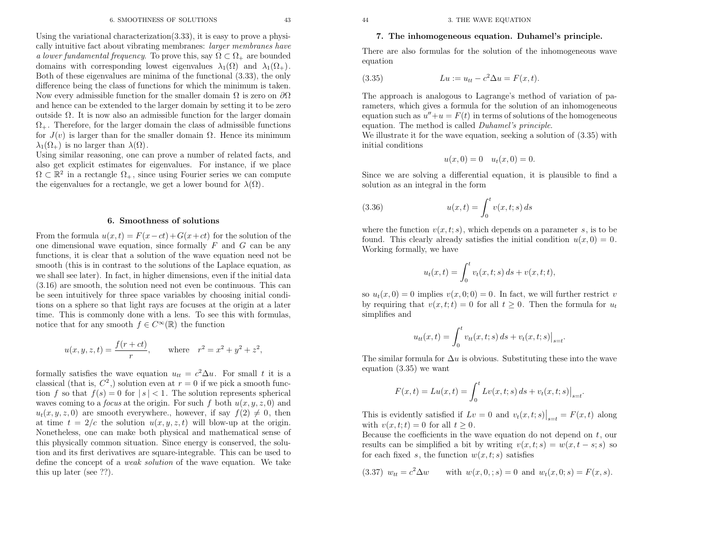<sup>44</sup> 3. THE WAVE EQUATION

#### 7. The inhomogeneous equation. Duhamel's principle.

There are also formulas for the solution of the inhomogeneous waveequation

(3.35) 
$$
Lu := u_{tt} - c^2 \Delta u = F(x, t).
$$

The approac<sup>h</sup> is analogous to Lagrange's method of variation of parameters, which <sup>g</sup>ives <sup>a</sup> formula for the solution of an inhomogeneousequation such as  $u''+u=F(t)$  in terms of solutions of the homogeneous equation. The method is called

We illustrate it for the wave equation, seeking a solution of  $(3.35)$  with initial conditions

$$
u(x, 0) = 0 \quad u_t(x, 0) = 0.
$$

Since we are solving <sup>a</sup> differential equation, it is <sup>p</sup>lausible to find <sup>a</sup>solution as an integral in the form

(3.36) 
$$
u(x,t) = \int_0^t v(x,t;s) \, ds
$$

where the function  $v(x, t; s)$ , which depends on a parameter s, is to be found. This clearly already satisfies the initial condition  $u(x, 0) = 0$ . Working formally, we have

$$
u_t(x,t) = \int_0^t v_t(x,t;s) \, ds + v(x,t;t),
$$

so  $u_t(x, 0) = 0$  implies  $v(x, 0; 0) = 0$ . In fact, we will further restrict v by requiring that  $v(x, t; t) = 0$  for all  $t \geq 0$ . Then the formula for  $u_t$ simplifies and

$$
u_{tt}(x,t) = \int_0^t v_{tt}(x,t;s) \, ds + v_t(x,t;s) \big|_{s=t}
$$

The similar formula for  $\Delta u$  is obvious. Substituting these into the wave equation (3.35) we want

$$
F(x,t) = Lu(x,t) = \int_0^t Lv(x,t;s) \, ds + v_t(x,t;s)|_{s=t}.
$$

This is evidently satisfied if  $Lv = 0$  and  $v_t(x, t; s)|_{s=t} = F(x, t)$  along with  $v(x, t; t) = 0$  for all  $t \geq 0$ .

Because the coefficients in the wave equation do not depend on  $t$ , our results can be simplified a bit by writing  $v(x, t; s) = w(x, t - s; s)$  so for each fixed  $s$ , the function  $w(x, t; s)$  satisfies

(3.37) 
$$
w_{tt} = c^2 \Delta w
$$
 with  $w(x, 0, ; s) = 0$  and  $w_t(x, 0; s) = F(x, s)$ .

Using the variational characterization  $(3.33)$ , it is easy to prove a physically intuitive fact about vibrating membranes: *larger membranes have* a lower fundamental frequency. To prove this, say  $\Omega \subset \Omega_+$  are bounded domains with corresponding lowest eigenvalues  $\lambda_1(\Omega)$  and  $\lambda_1(\Omega_+)$ . Both of these eigenvalues are minima of the functional (3.33), the onlydifference being the class of functions for which the minimum is taken.<br>Now even edmissible function for the smaller demain O is zero on 30 Now every admissible function for the smaller domain  $\Omega$  is zero on  $\partial\Omega$  and hence can be extended to the larger domain by setting it to be zero outside Ω. It is now also an admissible function for the larger domain $\Omega_{+}$ . Therefore, for the larger domain the class of admissible functions for  $J(v)$  is larger than for the smaller domain  $\Omega$ . Hence its minimum  $\lambda_1(\Omega_+)$  is no larger than  $\lambda(\Omega)$ .

 Using similar reasoning, one can prove <sup>a</sup> number of related facts, and also get explicit estimates for eigenvalues. For instance, if we <sup>p</sup>lace $\Omega \subset \mathbb{R}^2$  in a rectangle  $\Omega_+$ , since using Fourier series we can compute the eigenvalues for a rectangle, we get a lower bound for  $\lambda(\Omega)$ .

### 6. Smoothness of solutions

From the formula  $u(x, t) = F(x - ct) + G(x + ct)$  for the solution of the one dimensional wave equation, since formally  $F$  and  $G$  can be any<br>functions it is also that a solution of the wave agreeting need not be functions, it is clear that <sup>a</sup> solution of the wave equation need not be smooth (this is in contrast to the solutions of the Laplace equation, as we shall see later). In fact, in higher dimensions, even if the initial data (3.16) are smooth, the solution need not even be continuous. This can be seen intuitively for three space variables by choosing initial conditions on <sup>a</sup> sphere so that light rays are focuses at the origin at <sup>a</sup> later time. This is commonly done with <sup>a</sup> lens. To see this with formulas, notice that for any smooth  $f \in C^{\infty}(\mathbb{R})$  the function

$$
u(x, y, z, t) = \frac{f(r + ct)}{r}
$$
, where  $r^2 = x^2 + y^2 + z^2$ ,

formally satisfies the wave equation  $u_{tt} = c^2 \Delta u$ . For small t it is a closeiral (that is  $C^2$ ) solution are at n = 0 if we nick a smaple function classical (that is,  $C^2$ ,) solution even at  $r = 0$  if we pick a smooth function f so that  $f(s) = 0$  for  $|s| < 1$ . The solution represents spherical waves coming to a *focus* at the origin. For such f both  $u(x, y, z, 0)$  and  $u_t(x, y, z, 0)$  are smooth everywhere., however, if say  $f(2) \neq 0$ , then at time  $t = 2/c$  the solution  $u(x, y, z, t)$  will blow-up at the origin. Nonetheless, one can make both <sup>p</sup>hysical and mathematical sense of this <sup>p</sup>hysically common situation. Since energy is conserved, the solution and its first derivatives are square-integrable. This can be used todefine the concept of a *weak solution* of the wave equation. We take this up later (see ??).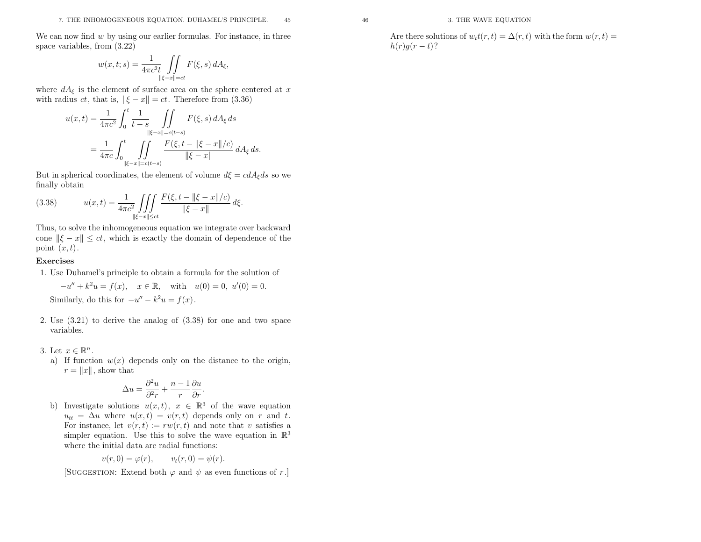We can now find w by using our earlier formulas. For instance, in three space variables, from (3.22)

$$
w(x,t;s) = \frac{1}{4\pi c^2 t} \iint\limits_{\|\xi - x\| = ct} F(\xi, s) dA_{\xi},
$$

where  $dA_{\xi}$  is the element of surface area on the sphere centered at x with radius *ct*, that is,  $\|\xi - x\| = ct$ . Therefore from (3.36)

$$
u(x,t) = \frac{1}{4\pi c^2} \int_0^t \frac{1}{t-s} \iint_{\|\xi-x\| = c(t-s)} F(\xi, s) dA_{\xi} ds
$$
  
= 
$$
\frac{1}{4\pi c} \int_0^t \iint_{\|\xi-x\| = c(t-s)} \frac{F(\xi, t - \|\xi-x\|/c)}{\|\xi-x\|} dA_{\xi} ds.
$$

But in spherical coordinates, the element of volume  $d\xi = cdA_{\xi}ds$  so we finally obtain

(3.38) 
$$
u(x,t) = \frac{1}{4\pi c^2} \iiint\limits_{\|\xi-x\| \le ct} \frac{F(\xi, t - \|\xi-x\|/c)}{\|\xi-x\|} d\xi.
$$

Thus, to solve the inhomogeneous equation we integrate over backwardcone  $\|\xi - x\| \le ct$ , which is exactly the domain of dependence of the point  $(x, t)$ .

### Exercises

1. Use Duhamel's principle to obtain <sup>a</sup> formula for the solution of

$$
-u'' + k^2 u = f(x), \quad x \in \mathbb{R}, \text{ with } u(0) = 0, u'(0) = 0.
$$
  
Similarly, do this for  $-u'' - k^2 u = f(x)$ .

2. Use (3.21) to derive the analog of (3.38) for one and two spacevariables.

### 3. Let  $x \in$

Let  $x \in \mathbb{R}^n$ .<br>a) If function  $w(x)$  depends only on the distance to the origin,  $r = ||x||$ , show that

$$
\Delta u = \frac{\partial^2 u}{\partial^2 r} + \frac{n-1}{r} \frac{\partial u}{\partial r}.
$$

b) Investigate solutions  $u(x, t)$ ,  $x \in \mathbb{R}^3$  of the wave equation  $u_{tt} = \Delta u$  where  $u(x,t) =$  $u_{tt} = \Delta u$  where  $u(x, t) = v(r, t)$  depends only on r and t.<br>For instance, let  $v(r, t) := rw(r, t)$  and note that v satisfies a<br>simple equation. Here this to selve the group equation in  $\mathbb{R}^3$ simpler equation. Use this to solve the wave equation in  $\mathbb{R}^3$ where the initial data are radial functions:

$$
v(r, 0) = \varphi(r), \qquad v_t(r, 0) = \psi(r).
$$

[SUGGESTION: Extend both  $\varphi$  and  $\psi$  as even functions of r.]

Are there solutions of  $w_t t(r, t) = \Delta(r, t)$  with the form  $w(r, t) =$  $h(r)g(r-t)$ ?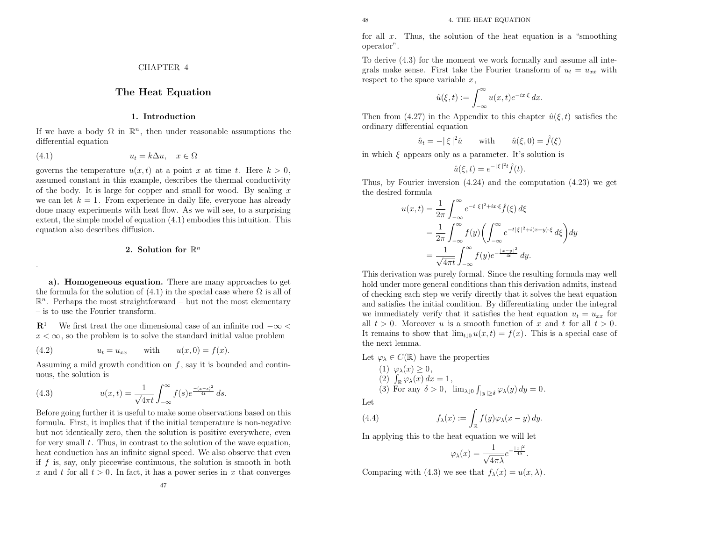for all  $x$ . Thus, the solution of the heat equation is a "smoothing" operator".

To derive (4.3) for the moment we work formally and assume all integrals make sense. First take the Fourier transform of  $u_t = u_{xx}$  with respect to the space variable  $x$ ,

$$
\hat{u}(\xi, t) := \int_{-\infty}^{\infty} u(x, t) e^{-ix \cdot \xi} dx.
$$

Then from (4.27) in the Appendix to this chapter  $\hat{u}(\xi, t)$  satisfies the ordinary differential equation

$$
\hat{u}_t = -|\xi|^2 \hat{u} \quad \text{with} \quad \hat{u}(\xi, 0) = \hat{f}(\xi)
$$

in which  $\xi$  appears only as a parameter. It's solution is

$$
\hat{u}(\xi, t) = e^{-|\xi|^2 t} \hat{f}(t).
$$

Thus, by Fourier inversion (4.24) and the computation (4.23) we getthe desired formula

$$
u(x,t) = \frac{1}{2\pi} \int_{-\infty}^{\infty} e^{-t|\xi|^2 + ix\cdot\xi} \hat{f}(\xi) d\xi
$$
  
= 
$$
\frac{1}{2\pi} \int_{-\infty}^{\infty} f(y) \left( \int_{-\infty}^{\infty} e^{-t|\xi|^2 + i(x-y)\cdot\xi} d\xi \right) dy
$$
  
= 
$$
\frac{1}{\sqrt{4\pi t}} \int_{-\infty}^{\infty} f(y) e^{-\frac{|x-y|^2}{4t}} dy.
$$

 This derivation was purely formal. Since the resulting formula may well hold under more genera<sup>l</sup> conditions than this derivation admits, instead of checking each step we verify directly that it solves the heat equation and satisfies the initial condition. By differentiating under the integral we immediately verify that it satisfies the heat equation  $u_t = u_{xx}$  for all  $t > 0$ . Moreover u is a smooth function of x and t for all  $t > 0$ . It remains to show that  $\lim_{t\downarrow 0} u(x,t) = f(x)$ . This is a special case of the next lemma.

Let  $\varphi_{\lambda} \in C(\mathbb{R})$  have the properties

(1) 
$$
\varphi_{\lambda}(x) \ge 0
$$
,  
\n(2)  $\int_{\mathbb{R}} \varphi_{\lambda}(x) dx = 1$ ,  
\n(3) For any  $\delta > 0$ ,  $\lim_{\lambda \downarrow 0} \int_{|y| \ge \delta} \varphi_{\lambda}(y) dy = 0$ .

Let

(4.4) 
$$
f_{\lambda}(x) := \int_{\mathbb{R}} f(y) \varphi_{\lambda}(x - y) dy.
$$

In applying this to the heat equation we will let

$$
\varphi_{\lambda}(x) = \frac{1}{\sqrt{4\pi\lambda}}e^{-\frac{|x|^2}{4\lambda}}.
$$

Comparing with (4.3) we see that  $f_{\lambda}(x) = u(x, \lambda)$ .

CHAPTER <sup>4</sup>

### The Heat Equation

### 1. Introduction

If we have a body  $\Omega$  in  $\mathbb{R}^n$ , then under reasonable assumptions the differential equation

$$
(4.1) \t\t u_t = k\Delta u, \quad x \in \Omega
$$

governs the temperature  $u(x, t)$  at a point x at time t. Here  $k > 0$ , assumed constant in this example, describes the thermal conductivityof the body. It is large for copper and small for wood. By scaling  $x$ we can let  $k = 1$ . From experience in daily life, everyone has already done many experiments with heat flow. As we will see, to <sup>a</sup> surprising extent, the simple model of equation (4.1) embodies this intuition. Thisequation also describes diffusion.

### 2. Solution for  $\mathbb{R}^n$

a). Homogeneous equation. There are many approaches to getthe formula for the solution of  $(4.1)$  in the special case where  $\Omega$  is all of  $\mathbb{R}^n$ . Perhaps the most straightforward – but not the most elementary – is to use the Fourier transform.

 $\mathbb{R}^1$  We first treat the one dimensional case of an infinite rod  $-\infty$  $x < \infty$ , so the problem is to solve the standard initial value problem

(4.2) 
$$
u_t = u_{xx}
$$
 with  $u(x, 0) = f(x)$ .

Assuming a mild growth condition on  $f$ , say it is bounded and continuous, the solution is

(4.3) 
$$
u(x,t) = \frac{1}{\sqrt{4\pi t}} \int_{-\infty}^{\infty} f(s)e^{\frac{-(x-s)^2}{4t}} ds.
$$

 Before going further it is useful to make some observations based on this formula. First, it implies that if the initial temperature is non-negative but not identically zero, then the solution is positive everywhere, evenfor very small  $t$ . Thus, in contrast to the solution of the wave equation, heat conduction has an infinite signal speed. We also observe that evenif  $f$  is, say, only piecewise continuous, the solution is smooth in both x and t for all  $t > 0$ . In fact, it has a power series in x that converges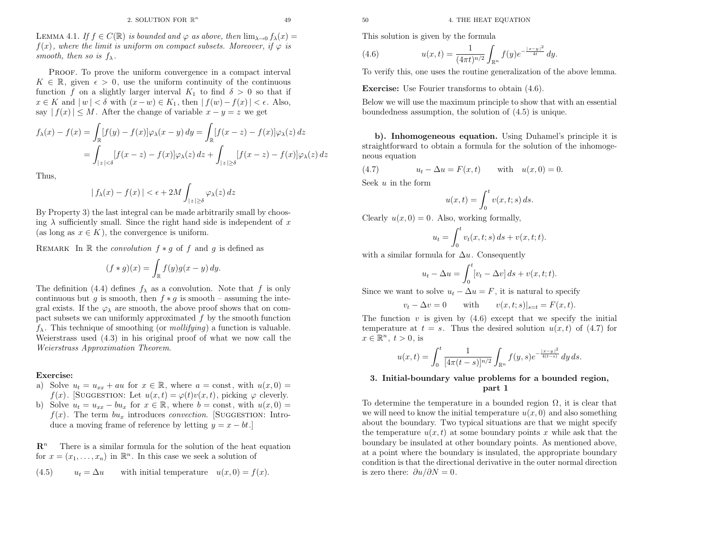LEMMA 4.1. If  $f \in C(\mathbb{R})$  is bounded and  $\varphi$  as above, then  $\lim_{\lambda \to 0} f_{\lambda}(x) =$  $f(x)$ , where the limit is uniform on compact subsets. Moreover, if  $\varphi$  is

PROOF. To prove the uniform convergence in a compact interval  $K \in \mathbb{R}$ , given  $\epsilon > 0$ , use the uniform continuity of the continuous function f on a slightly larger interval  $K_1$  to find  $\delta > 0$  so that if  $x \in K$  and  $|w| < \delta$  with  $(x - w) \in K_1$ , then  $|f(w) - f(x)| < \epsilon$ . Also, say  $|f(x)| \leq M$ . After the change of variable  $x - y = z$  we get

$$
f_{\lambda}(x) - f(x) = \int_{\mathbb{R}} [f(y) - f(x)] \varphi_{\lambda}(x - y) dy = \int_{\mathbb{R}} [f(x - z) - f(x)] \varphi_{\lambda}(z) dz
$$
  

$$
= \int_{|z| < \delta} [f(x - z) - f(x)] \varphi_{\lambda}(z) dz + \int_{|z| \ge \delta} [f(x - z) - f(x)] \varphi_{\lambda}(z) dz
$$

Thus,

smooth, then so is  $f_{\lambda}$ .

$$
|f_{\lambda}(x) - f(x)| < \epsilon + 2M \int_{|z| \ge \delta} \varphi_{\lambda}(z) \, dz
$$

By Property 3) the last integral can be made arbitrarily small by choosing  $\lambda$  sufficiently small. Since the right hand side is independent of x (as long as  $x \in K$ ), the convergence is uniform.

REMARK In  $\mathbb R$  the *convolution*  $f * g$  of  $f$  and  $g$  is defined as

$$
(f * g)(x) = \int_{\mathbb{R}} f(y)g(x - y) dy.
$$

The definition (4.4) defines  $f_{\lambda}$  as a convolution. Note that f is only continuous but g is smooth, then  $f * g$  is smooth – assuming the integral exists. If the  $\varphi_{\lambda}$  are smooth, the above proof shows that on compact subsets we can uniformly approximated  $f$  by the smooth function  $f_{\lambda}$ . This technique of smoothing (or *mollifying*) a function is valuable. Weierstrass used (4.3) in his original proo<sup>f</sup> of what we now call theWeierstrass Approximation Theorem.

#### Exercise:

- a) Solve  $u_t = u_{xx} + au$  for  $x \in \mathbb{R}$ , where  $a = \text{const}$ , with  $u(x, 0) =$  $f(x)$ . [SUGGESTION: Let  $u(x, t) = \varphi(t)v(x, t)$ , picking  $\varphi$  cleverly.
- b) Solve  $u_t = u_{xx} bu_x$  for  $x \in \mathbb{R}$ , where  $b = \text{const}$ , with  $u(x, 0) =$  $f(x)$ . The term  $bu_x$  introduces convection. [SUGGESTION: Introduce a moving frame of reference by letting  $y = x - bt$ .

 $\mathbf{R}^n$  There is <sup>a</sup> similar formula for the solution of the heat equationfor  $x = (x_1, \ldots, x_n)$  in  $\mathbb{R}^n$ . In this case we seek a solution of

(4.5) 
$$
u_t = \Delta u
$$
 with initial temperature  $u(x, 0) = f(x)$ .

(4.6) 
$$
u(x,t) = \frac{1}{(4\pi t)^{n/2}} \int_{\mathbb{R}^n} f(y) e^{-\frac{|x-y|^2}{4t}} dy.
$$

To verify this, one uses the routine generalization of the above lemma.

**Exercise:** Use Fourier transforms to obtain  $(4.6)$ .

Below we will use the maximum principle to show that with an essential boundedness assumption, the solution of (4.5) is unique.

b). Inhomogeneous equation. Using Duhamel's principle it is straightforward to obtain <sup>a</sup> formula for the solution of the inhomogeneous equation

(4.7) 
$$
u_t - \Delta u = F(x, t)
$$
 with  $u(x, 0) = 0$ .

Seek  $u$  in the form

$$
u(x,t) = \int_0^t v(x,t;s) \, ds.
$$

Clearly  $u(x, 0) = 0$ . Also, working formally,

$$
u_t = \int_0^t v_t(x, t; s) ds + v(x, t; t).
$$

with a similar formula for  $\Delta u$ . Consequently

$$
u_t - \Delta u = \int_0^t [v_t - \Delta v] ds + v(x, t; t).
$$

Since we want to solve  $u_t - \Delta u = F$ , it is natural to specify

$$
v_t - \Delta v = 0 \quad \text{with} \quad v(x, t; s)|_{s=t} = F(x, t).
$$

The function  $v$  is given by  $(4.6)$  except that we specify the initial temperature at  $t = s$ . Thus the desired solution  $u(x, t)$  of (4.7) for  $x \in \mathbb{R}^n$ ,  $t > 0$ , is

$$
u(x,t) = \int_0^t \frac{1}{[4\pi(t-s)]^{n/2}} \int_{\mathbb{R}^n} f(y,s) e^{-\frac{|x-y|^2}{4(t-s)}} dy ds.
$$

### 3. Initial-boundary value problems for <sup>a</sup> bounded region, part <sup>1</sup>

50 50  $4.$  THE HEAT EQUATION  $\oint f_X(z) =$ <br>  $\oint f_Y(z)$  as This solution is given by the formula<br>
for  $\psi$  is  $u(x, t) = \frac{1}{(4\pi t)^{n/2}} \int_{\mathbb{R}^n} f(y) e^{-\frac{1}{2}}$ <br>
innons To verify this, one uses the routine generalized in<br>
Excercis To determine the temperature in a bounded region  $\Omega$ , it is clear that we will need to know the initial temperature  $u(x, 0)$  and also something about the boundary. Two typical situations are that we might specifythe temperature  $u(x, t)$  at some boundary points x while ask that the boundary be insulated at other boundary points. As mentioned above, at <sup>a</sup> point where the boundary is insulated, the appropriate boundary condition is that the directional derivative in the outer normal directionis zero there:  $\partial u/\partial N = 0$ .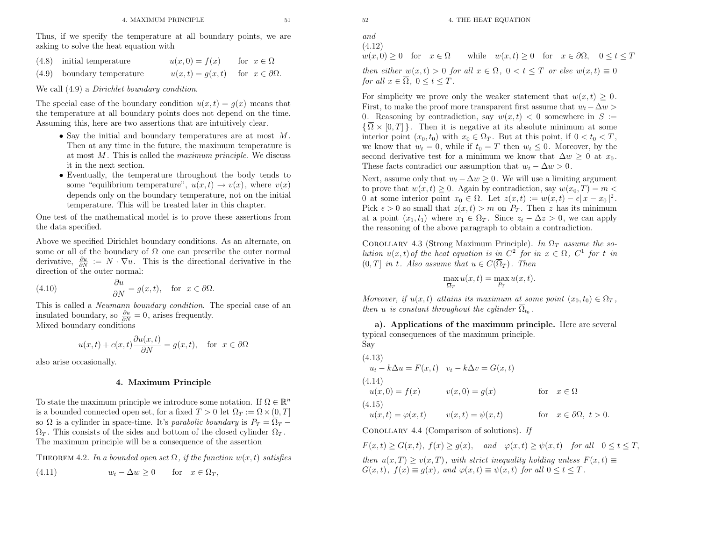Thus, if we specify the temperature at all boundary points, we areasking to solve the heat equation with

- (4.8) initial temperature $u(x, 0) = f(x)$  for  $x \in \Omega$
- $u(x,t) = g(x,t)$  for  $x \in \partial\Omega$ .  $(4.9)$ boundary temperature

We call  $(4.9)$  a *Dirichlet boundary condition*.

The special case of the boundary condition  $u(x, t) = g(x)$  means that the temperature at all boundary points does not depend on the time. Assuming this, here are two assertions that are intuitively clear.

- Say the initial and boundary temperatures are at most M . Then at any time in the future, the maximum temperature isat most  $M$ . This is called the *maximum principle*. We discuss<br>it in the next section it in the next section.
- Eventually, the temperature throughout the body tends to some "equilibrium temperature",  $u(x,t) \to v(x)$ , where  $v(x)$ <br>depends only on the boundary temperature, not on the initial depends only on the boundary temperature, not on the initial temperature. This will be treated later in this chapter.

One test of the mathematical model is to prove these assertions fromthe data specified.

Above we specified Dirichlet boundary conditions. As an alternate, onsome or all of the boundary of  $\Omega$  one can prescribe the outer normal derivative,  $\frac{\partial u}{\partial N} := N \cdot \nabla u$ . This is the directional derivative in the direction of the outer normal:

(4.10) 
$$
\frac{\partial u}{\partial N} = g(x, t), \text{ for } x \in \partial \Omega.
$$

This is called a *Neumann boundary condition*. The special case of an insulated boundary, so  $\frac{\partial u}{\partial N} = 0$ , arises frequently. Mixed boundary conditions

$$
u(x,t) + c(x,t)\frac{\partial u(x,t)}{\partial N} = g(x,t), \text{ for } x \in \partial \Omega
$$

also arise occasionally.

### 4. Maximum Principle

To state the maximum principle we introduce some notation. If  $\Omega \in \mathbb{R}^n$ is a bounded connected open set, for a fixed  $T > 0$  let  $\Omega_T := \Omega \times (0, T]$ so  $\Omega$  is a cylinder in space-time. It's *parabolic boundary* is  $P_T = \Omega_T \Omega_T$ . This consists of the sides and bottom of the closed cylinder  $\Omega_T$ .  $\sum_{i=1}^{n}$ . This consists of the states and sociolin of the electron  $\sum_{i=1}^{n}$ .

THEOREM 4.2. In a bounded open set  $\Omega$ , if the function  $w(x,t)$  satisfies

(4.11) 
$$
w_t - \Delta w \ge 0 \quad \text{for} \quad x \in \Omega_T,
$$

and(4.12)

for all  $x \in \overline{\Omega}$ ,  $0 \le t \le T$ .

 $w(x, 0) \ge 0$  for  $x \in \Omega$  while  $w(x,t) \ge 0$  for  $x \in \partial\Omega$ ,  $0 \le t \le T$ then either  $w(x,t) > 0$  for all  $x \in \Omega$ ,  $0 < t \leq T$  or else  $w(x,t) \equiv 0$ 

For simplicity we prove only the weaker statement that  $w(x, t) \geq 0$ . First, to make the proof more transparent first assume that  $w_t - \Delta w >$ 0. Reasoning by contradiction, say  $w(x, t) < 0$  somewhere in  $S :=$  $\{\Omega \times [0,T]\}\.$  Then it is negative at its absolute minimum at some<br>interior neighborhood in the negative point of the south if  $0 \le t \le T$ . interior point  $(x_0, t_0)$  with  $x_0 \in \Omega_T$ . But at this point, if  $0 < t_0 < T$ , we know that  $w_t = 0$ , while if  $t_0 = T$  then  $w_t \leq 0$ . Moreover, by the second derivative test for a minimum we know that  $\Delta w \geq 0$  at  $x_0$ <br>These fasts senter list sure assumention that  $w = \Delta w \geq 0$ These facts contradict our assumption that  $w_t - \Delta w > 0$ .

Next, assume only that  $w_t - \Delta w \geq 0$ . We will use a limiting argument to prove that  $w(x, t) \geq 0$ . Again by contradiction, say  $w(x_0, T) = m <$ 0 at some interior point  $x_0 \in \Omega$ . Let  $z(x,t) := w(x,t) - \epsilon |x - x_0|^2$ . Pick  $\epsilon > 0$  so small that  $z(x, t) > m$  on  $P_T$ . Then z has its minimum at a point  $(x_1, t_1)$  where  $x_1 \in \Omega_T$ . Since  $z_t - \Delta z > 0$ , we can apply the reasoning of the above paragrap<sup>h</sup> to obtain <sup>a</sup> contradiction.

COROLLARY 4.3 (Strong Maximum Principle). In  $\Omega_T$  assume the solution  $u(x, t)$  of the heat equation is in  $C^2$  for in  $x \in \Omega$ ,  $C^1$  for t in  $(0,T]$  in t. Also assume that  $u \in C(\Omega_T)$ . Then

$$
\max_{\overline{\Omega}_T} u(x,t) = \max_{P_T} u(x,t).
$$

Moreover, if  $u(x,t)$  attains its maximum at some point  $(x_0,t_0) \in \Omega_T$ , then u is constant throughout the cylinder  $\Omega_{t_0}$ .

a). Applications of the maximum principle. Here are several typical consequences of the maximum principle. Say

(4.13)  
\n
$$
u_t - k\Delta u = F(x, t) \quad v_t - k\Delta v = G(x, t)
$$
\n(4.14)  
\n
$$
u(x, 0) = f(x) \qquad v(x, 0) = g(x) \qquad \text{for } x \in \Omega
$$
\n(4.15)  
\n
$$
u(x, t) = \varphi(x, t) \qquad v(x, t) = \psi(x, t) \qquad \text{for } x \in \partial\Omega, t > 0.
$$

COROLLARY 4.4 (Comparison of solutions). If

 $F(x,t) \ge G(x,t)$ ,  $f(x) \ge g(x)$ , and  $\varphi(x,t) \ge \psi(x,t)$  for all  $0 \le t \le T$ , then  $u(x,T) \ge v(x,T)$ , with strict inequality holding unless  $F(x,t) \equiv G(x,t) \cdot f(x) = g(x,t) \cdot g(x,t) = g(x,t) \cdot g(x,t)$  $G(x,t)$ ,  $f(x) \equiv g(x)$ , and  $\varphi(x,t) \equiv \psi(x,t)$  for all  $0 \le t \le T$ .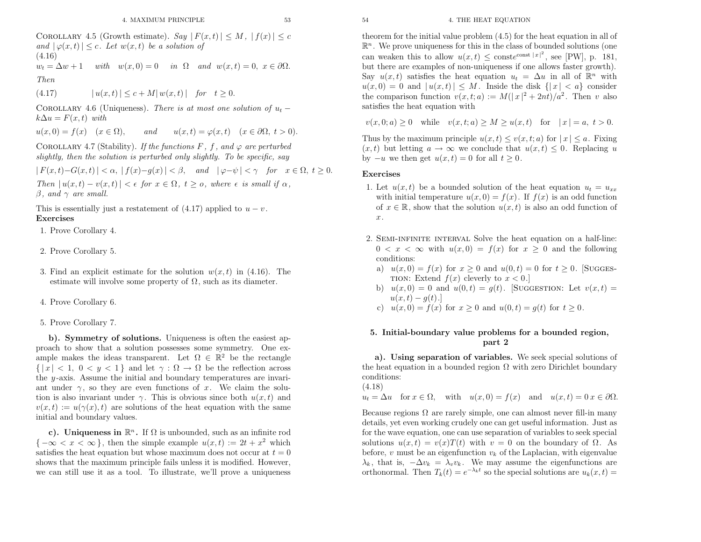<sup>54</sup> 4. THE HEAT EQUATION

COROLLARY 4.5 (Growth estimate). Say  $|F(x,t)| \leq M$ ,  $|f(x)| \leq c$ <br>and  $|g(x,t)| \leq c$ . Let  $w(x,t)$  be a solution of  $\text{and } |\varphi(x,t)| \leq c.$  Let  $w(x,t)$  be a solution of (4.16) $w_t = \Delta w + 1$  with  $w(x, 0) = 0$  in  $\Omega$  and  $w(x, t) = 0$ ,  $x \in \partial\Omega$ .

Then

(4.17) $| u(x,t) | \le c + M | w(x,t) |$  for  $t \ge 0$ .

COROLLARY 4.6 (Uniqueness). There is at most one solution of  $u_t$  –  $k\Delta u = F(x, t)$  with

 $u(x, 0) = f(x) \quad (x \in \Omega)$ , and  $u(x, t) = \varphi(x, t) \quad (x \in \partial \Omega, t > 0).$ 

COROLLARY 4.7 (Stability). If the functions  $F$ ,  $f$ , and  $\varphi$  are perturbed slightly, then the solution is perturbed only slightly. To be specific, say

 $|F(x,t)-G(x,t)| < \alpha, |f(x)-g(x)| < \beta, \text{ and } |\varphi-\psi| < \gamma \text{ for } x \in \Omega, t \ge 0.$ Then  $|u(x,t) - v(x,t)| < \epsilon$  for  $x \in \Omega$ ,  $t \geq 0$ , where  $\epsilon$  is small if  $\alpha$ ,  $\beta$ , and  $\gamma$  are small.

This is essentially just a restatement of (4.17) applied to  $u-v$ .<br>Exercises

1. Prove Corollary 4.

- 2. Prove Corollary 5.
- 3. Find an explicit estimate for the solution  $w(x, t)$  in (4.16). The estimate will involve some property of  $\Omega$ , such as its diameter.
- 4. Prove Corollary 6.
- 5. Prove Corollary 7.

b). Symmetry of solutions. Uniqueness is often the easiest approac<sup>h</sup> to show that <sup>a</sup> solution possesses some symmetry. One example makes the ideas transparent. Let  $\Omega \in \mathbb{R}^2$  be the rectangle  $\{|x| < 1, 0 < y < 1\}$  and let  $\gamma : \Omega \to \Omega$  be the reflection across<br>the *u*-axis. Assume the initial and boundary temperatures are invarithe  $y$ -axis. Assume the initial and boundary temperatures are invariant under  $\gamma$ , so they are even functions of x. We claim the solution is also invariant under  $\gamma$ . This is obvious since both  $u(x, t)$  and  $v(x, t) := u(\gamma(x), t)$  are solutions of the heat equation with the same initial and boundary values.

c). Uniqueness in  $\mathbb{R}^n$ . If  $\Omega$  is unbounded, such as an infinite rod  $\{-\infty < x < \infty\}$ , then the simple example  $u(x,t) := 2t + x^2$  which satisfies the heat equation but whose maximum does not occur at  $t = 0$  shows that the maximum principle fails unless it is modified. However, we can still use it as <sup>a</sup> tool. To illustrate, we'll prove <sup>a</sup> uniqueness

theorem for the initial value problem (4.5) for the heat equation in all of  $\mathbb{R}^n$ . We prove uniqueness for this in the class of bounded solutions (one can weaken this to allow  $u(x,t) \leq \text{const}^{cosh x} |x|^2$ , see [PW], p. 181, but there are examples of non-uniqueness if one allows faster growth). Say  $u(x, t)$  satisfies the heat equation  $u_t = \Delta u$  in all of  $\mathbb{R}^n$  with  $u(x,0) = 0$  and  $|u(x,t)| \leq M$ . Inside the disk  $\{|x| < a\}$  consider<br>the comparison function  $v(x,t,a) := M(|x|^2 + 2at)/a^2$ . Then  $v$  also the comparison function  $v(x, t; a) := M(|x|^2 + 2nt)/a^2$ . Then v also satisfies the heat equation with

 $v(x, 0; a) \ge 0$  while  $v(x, t; a) \ge M \ge u(x, t)$  for  $|x| = a, t > 0$ .

Thus by the maximum principle  $u(x, t) \leq v(x, t; a)$  for  $|x| \leq a$ . Fixing  $(u, t)$  but letting  $x \to \infty$  are exampled that  $v(x, t) \leq 0$ . Perhasing w  $(x,t)$  but letting  $a \to \infty$  we conclude that  $u(x,t) \leq 0$ . Replacing u<br>by  $-u$  we then get  $u(x,t) = 0$  for all  $t > 0$ by  $-u$  we then get  $u(x,t) = 0$  for all  $t \ge 0$ .

### Exercises

- 1. Let  $u(x, t)$  be a bounded solution of the heat equation  $u_t = u_{xx}$ with initial temperature  $u(x, 0) = f(x)$ . If  $f(x)$  is an odd function of  $x \in \mathbb{R}$ , show that the solution  $u(x, t)$  is also an odd function of x.
- 2. Semi-infinite interval Solve the heat equation on <sup>a</sup> half-line:  $0 < x < \infty$  with  $u(x, 0) = f(x)$  for  $x \ge 0$  and the following conditions. conditions:
	- a)  $u(x, 0) = f(x)$  for  $x \ge 0$  and  $u(0, t) = 0$  for  $t \ge 0$ . [SUGGES-TION: Extend  $f(x)$  cleverly to  $x < 0$ .
	- b)  $u(x, 0) = 0$  and  $u(0, t) = g(t)$ . [SUGGESTION: Let  $v(x, t) =$  $u(x,t) - g(t).$
	- c)  $u(x, 0) = f(x)$  for  $x \ge 0$  and  $u(0,t) = g(t)$  for  $t \ge 0$ .

### 5. Initial-boundary value problems for <sup>a</sup> bounded region, part <sup>2</sup>

a). Using separation of variables. We seek special solutions of the heat equation in a bounded region  $\Omega$  with zero Dirichlet boundary conditions:

(4.18)

 $u_t = \Delta u$  for  $x \in \Omega$ , with  $u(x, 0) = f(x)$  and  $u(x, t) = 0$   $x \in \partial\Omega$ .

Because regions  $\Omega$  are rarely simple, one can almost never fill-in many details, yet even working crudely one can get useful information. Just as for the wave equation, one can use separation of variables to seek special solutions  $u(x, t) = v(x)T(t)$  with  $v = 0$  on the boundary of  $\Omega$ . As before,  $v$  must be an eigenfunction  $v_k$  of the Laplacian, with eigenvalue  $\lambda_k$ , that is,  $-\Delta v_k = \lambda_v v_k$ . We may assume the eigenfunctions are orthonormal. Then  $T_k(t) = e^{-\lambda_k t}$  so the special solutions are  $u_k(x,t) =$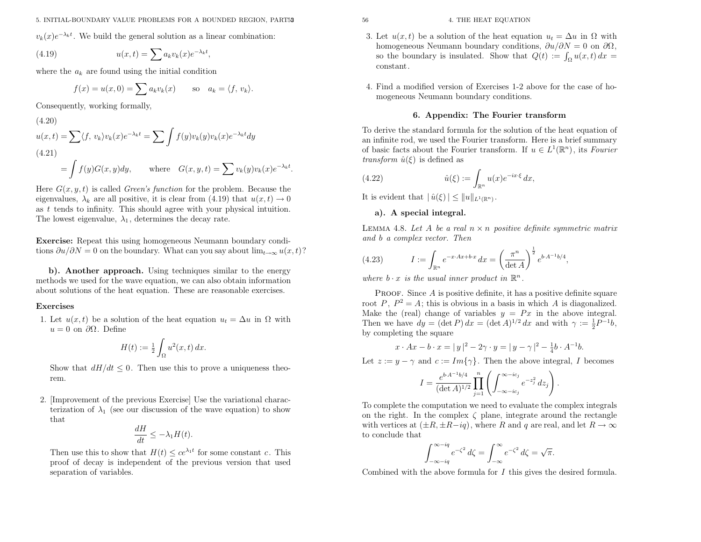$v_k(x)e^{-\lambda_k t}$ . We build the general solution as a linear combination:

(4.19) 
$$
u(x,t) = \sum a_k v_k(x) e^{-\lambda_k t},
$$

where the  $a_k$  are found using the initial condition

$$
f(x) = u(x,0) = \sum a_k v_k(x) \quad \text{so} \quad a_k = \langle f, v_k \rangle.
$$

Consequently, working formally,

(4.20)  
\n
$$
u(x,t) = \sum \langle f, v_k \rangle v_k(x) e^{-\lambda_k t} = \sum \int f(y) v_k(y) v_k(x) e^{-\lambda_k t} dy
$$
\n(4.21)  
\n
$$
= \int f(y) G(x,y) dy, \quad \text{where} \quad G(x,y,t) = \sum v_k(y) v_k(x) e^{-\lambda_k t}.
$$

Here  $G(x, y, t)$  is called *Green's function* for the problem. Because the eigenvalues,  $\lambda_k$  are all positive, it is clear from (4.19) that  $u(x,t) \to 0$ <br>as t tends to infinity. This should agree with your physical intuition as  $t$  tends to infinity. This should agree with your physical intuition. The lowest eigenvalue,  $\lambda_1$ , determines the decay rate.

Exercise: Repeat this using homogeneous Neumann boundary conditions  $\partial u/\partial N = 0$  on the boundary. What can you say about  $\lim_{t\to\infty} u(x,t)$ ?

b). Another approach. Using techniques similar to the energy methods we used for the wave equation, we can also obtain informationabout solutions of the heat equation. These are reasonable exercises.

### Exercises

 $(4.20)$ 

1. Let  $u(x, t)$  be a solution of the heat equation  $u_t = \Delta u$  in  $\Omega$  with  $u = 0$  on  $\partial\Omega$ . Define

$$
H(t) := \frac{1}{2} \int_{\Omega} u^2(x, t) \, dx.
$$

Show that  $dH/dt \leq 0$ . Then use this to prove a uniqueness theorem.

2. [Improvement of the previous Exercise] Use the variational characterization of  $\lambda_1$  (see our discussion of the wave equation) to show that

$$
\frac{dH}{dt} \le -\lambda_1 H(t).
$$

Then use this to show that  $H(t) \leq ce^{\lambda_1 t}$  for some constant c. This proo<sup>f</sup> of decay is independent of the previous version that usedseparation of variables.

- 3. Let  $u(x, t)$  be a solution of the heat equation  $u_t = \Delta u$  in  $\Omega$  with homogeneous Neumann boundary conditions,  $\partial u/\partial N = 0$  on  $\partial \Omega$ , so the boundary is insulated. Show that  $Q(t) := \int_{\Omega} u(x, t) dx =$ constant.
- 4. Find <sup>a</sup> modified version of Exercises 1-2 above for the case of homogeneous Neumann boundary conditions.

### 6. Appendix: The Fourier transform

 To derive the standard formula for the solution of the heat equation of an infinite rod, we used the Fourier transform. Here is <sup>a</sup> brief summaryof basic facts about the Fourier transform. If  $u \in L^1(\mathbb{R}^n)$ , its Fourier *transform*  $\hat{u}(\xi)$  is defined as

(4.22) 
$$
\hat{u}(\xi) := \int_{\mathbb{R}^n} u(x) e^{-ix\cdot\xi} dx,
$$

It is evident that  $| \hat{u}(\xi) | \leq ||u||_{L^1(\mathbb{R}^n)}$ .

#### a). <sup>A</sup> special integral.

LEMMA 4.8. Let A be a real  $n \times n$  positive definite symmetric matrix and <sup>b</sup> <sup>a</sup> complex vector. Then

(4.23) 
$$
I := \int_{\mathbb{R}^n} e^{-x \cdot Ax + b \cdot x} dx = \left(\frac{\pi^n}{\det A}\right)^{\frac{1}{2}} e^{b \cdot A^{-1} b/4},
$$

where  $b \cdot x$  is the usual inner product in  $\mathbb{R}^n$ .

**PROOF.** Since A is positive definite, it has a positive definite square root P,  $P^2 = A$ ; this is obvious in a basis in which A is diagonalized. Make the (real) change of variables  $y = Px$  in the above integral. Then we have  $dy = (\det P) dx = (\det A)^{1/2} dx$  and with  $\gamma := \frac{1}{2}P^{-1}b$ , by completing the square

$$
x \cdot Ax - b \cdot x = |y|^2 - 2\gamma \cdot y = |y - \gamma|^2 - \frac{1}{4}b \cdot A^{-1}b.
$$

Let  $z := y - \gamma$  and  $c := Im{\gamma}$ . Then the above integral, I becomes

$$
I = \frac{e^{b \cdot A^{-1} b/4}}{(\det A)^{1/2}} \prod_{j=1}^n \left( \int_{-\infty - i c_j}^{\infty - i c_j} e^{-z_j^2} dz_j \right).
$$

To complete the computation we need to evaluate the complex integralson the right. In the complex  $\zeta$  plane, integrate around the rectangle with vertices at  $(\pm R, \pm R - iq)$ , where R and q are real, and let  $R \to \infty$ to conclude that

$$
\int_{-\infty - iq}^{\infty - iq} e^{-\zeta^2} d\zeta = \int_{-\infty}^{\infty} e^{-\zeta^2} d\zeta = \sqrt{\pi}.
$$

Combined with the above formula for <sup>I</sup> this <sup>g</sup>ives the desired formula.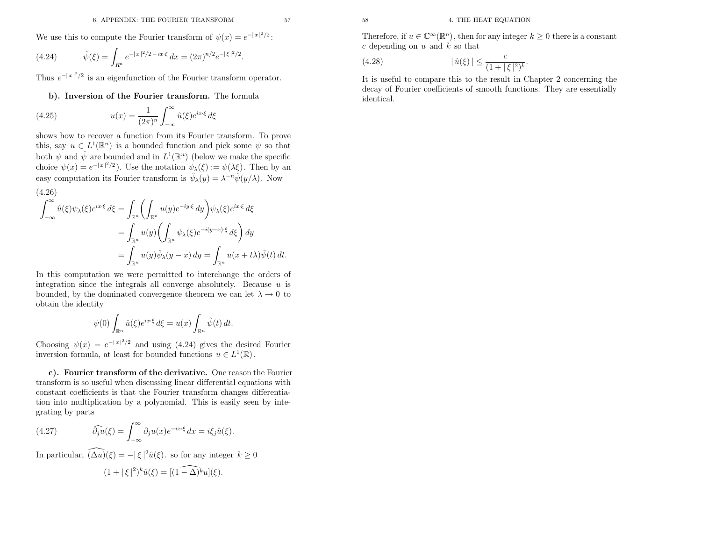We use this to compute the Fourier transform of  $\psi(x) = e^{-|x|^2/2}$ .

(4.24) 
$$
\hat{\psi}(\xi) = \int_{R^n} e^{-|x|^2/2 - ix\cdot\xi} dx = (2\pi)^{n/2} e^{-|\xi|^2/2}.
$$

Thus  $e^{-|x|^2/2}$  is an eigenfunction of the Fourier transform operator.

### b). Inversion of the Fourier transform. The formula

(4.25) 
$$
u(x) = \frac{1}{(2\pi)^n} \int_{-\infty}^{\infty} \hat{u}(\xi) e^{ix\cdot\xi} d\xi
$$

shows how to recover <sup>a</sup> function from its Fourier transform. To provethis, say  $u \in L^1(\mathbb{R}^n)$  is a bounded function and pick some  $\psi$  so that both  $\psi$  and  $\hat{\psi}$  are bounded and in  $L^1(\mathbb{R}^n)$  (below we make the specific choice  $\psi(x) = e^{-|x|^2/2}$ . Use the notation  $\psi_{\lambda}(\xi) := \psi(\lambda \xi)$ . Then by an easy computation its Fourier transform is  $\hat{\psi}_{\lambda}(y) = \lambda^{-n} \hat{\psi}(y/\lambda)$ . Now

<sup>6</sup> A PPENDIX THE FOLREER TRANSIONS 36  
\nWe use this to compute the Fourier transform of 
$$
\psi(x) = e^{-|x|^2/2}
$$
.  
\n(1.42)  $\hat{\psi}(\xi) = \int_{B^n} e^{-|x|^2/2 - 3x\xi} dx = (2\pi)^{n/2}e^{-|\xi|^2/2}$ .  
\nThus  $e^{-|x|^2/2}$  is an eigenfunction of the Fourier transform operator.  
\n<sup>1</sup>  $\hat{\psi}(\xi) = \int_{B^n} e^{-|x|^2/2 - 3x\xi} dx = (2\pi)^{n/2}e^{-|\xi|^2/2}$ .  
\nThus  $e^{-|x|^2/2}$  is an eigenfunction of the Fourier transform. The formula  
\n<sup>1</sup>  $\frac{\mathrm{deeg}}{\mathrm{d}x}$  of Fourier transform. The formula  
\n<sup>1</sup>  $\frac{\mathrm{deeg}}{\mathrm{d}x}$  of Fourier transform. The formula  
\n<sup>1</sup>  $\frac{\mathrm{deeg}}{\mathrm{d}x}$  of Fourier transform. To formulus  
\nthis, say  $u \in L^2(\mathbb{R}^n)$  is a bounded function and pick some  $\psi$  so that  
\nwhich  $\psi(x) = e^{-|x|^2/2}$ . Use the notation in  $L^1(\mathbb{R}^n)$  (b)  $\psi$  we make the specific  
\ntheorem  $\psi(x) = e^{-|x|^2/2}$ . Use the notation in  $\psi(\xi) = \psi(\xi)$ . Then by an  
\neasy computation is Fourier transform is  $\hat{\psi}_\lambda(y) = \lambda^{-n} \hat{\psi}(y/\lambda)$ . Now  
\n
$$
= \int_{2n} u(y) \hat{\psi}_\lambda(y-x) dy = \int_{4n} u(x + t\lambda) \hat{\psi}(t) dt.
$$
  
\nIn this computation we can be derived as  $L^1(\mathbb{R}^n) \left( \frac{1}{2x} \psi_\lambda(\xi) e^{ix\zeta} dx \right) dy$   
\n
$$
= \int_{2n} u(y) \hat{\psi}_\lambda(y-x) dy = \int_{4n} u(x + t\lambda) \hat{\psi}(t) dt.
$$
  
\nIn this computation we can be derived as a function, we can let  $\lambda \to 0$  to  
\nobtain the identity  
\n $\hat{\psi}(0) = e^{-|x|^2/2}$  and using (4.24) gives

In this computation we were permitted to interchange the orders of integration since the integrals all converge absolutely. Because  $u$  is bounded, by the dominated convergence theorem we can let  $\lambda \to 0$  to obtain the identity obtain the identity

$$
\psi(0) \int_{\mathbb{R}^n} \hat{u}(\xi) e^{ix\cdot\xi} d\xi = u(x) \int_{\mathbb{R}^n} \hat{\psi}(t) dt.
$$

Choosing  $\psi(x) = e^{-|x|^2/2}$  and using (4.24) gives the desired Fourier inversion formula, at least for bounded functions  $u \in L^1(\mathbb{R})$ .

c). Fourier transform of the derivative. One reason the Fourier transform is so useful when discussing linear differential equations with constant coefficients is that the Fourier transform changes differentiation into multiplication by <sup>a</sup> polynomial. This is easily seen by integrating by parts

(4.27) 
$$
\widehat{\partial_j u}(\xi) = \int_{-\infty}^{\infty} \partial_j u(x) e^{-ix\cdot\xi} dx = i\xi_j \hat{u}(\xi).
$$

In particular,  $(\widehat{\Delta u})(\xi) = -|\xi|^2 \widehat{u}(\xi)$ . so for any integer  $k \ge 0$ 

$$
(1+|\,\xi\,|^2)^k\widehat{u}(\xi)=[\widehat{(1-\Delta)^k}u](\xi).
$$

(4.28) 
$$
|\hat{u}(\xi)| \leq \frac{c}{(1+|\xi|^2)^k}.
$$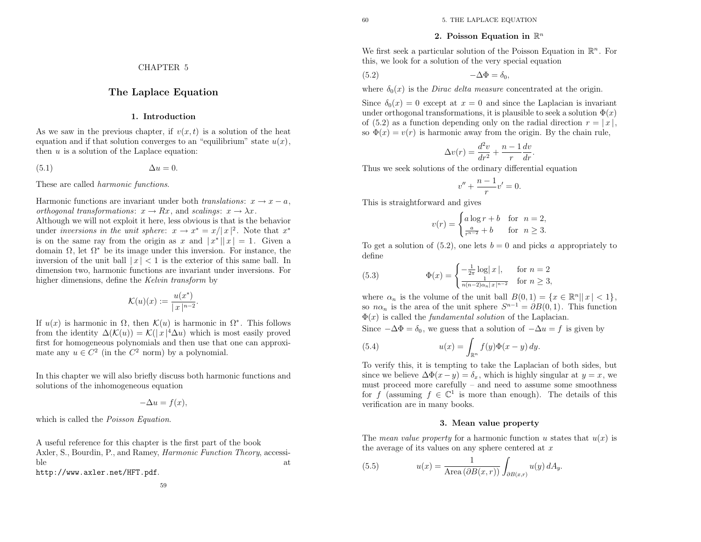### 2. Poisson Equation in  $\mathbb{R}^n$

We first seek a particular solution of the Poisson Equation in  $\mathbb{R}^n$ . For this, we look for <sup>a</sup> solution of the very special equation

$$
-\Delta\Phi = \delta_0,
$$

where  $\delta_0(x)$  is the *Dirac delta measure* concentrated at the origin.

Since  $\delta_0(x) = 0$  except at  $x = 0$  and since the Laplacian is invariant under orthogonal transformations, it is plausible to seek a solution  $\Phi(x)$ of (5.2) as a function depending only on the radial direction  $r = |x|$ , so  $\Phi(x) = v(r)$  is harmonic away from the origin. By the chain rule,

$$
\Delta v(r) = \frac{d^2v}{dr^2} + \frac{n-1}{r}\frac{dv}{dr}
$$

Thus we seek solutions of the ordinary differential equation

$$
v'' + \frac{n-1}{r}v' = 0.
$$

This is straightforward and <sup>g</sup>ives

$$
v(r) = \begin{cases} a\log r + b & \text{for } n = 2, \\ \frac{a}{r^{n-2}} + b & \text{for } n \ge 3. \end{cases}
$$

To get a solution of  $(5.2)$ , one lets  $b = 0$  and picks a appropriately to define

(5.3) 
$$
\Phi(x) = \begin{cases} -\frac{1}{2\pi} \log |x|, & \text{for } n = 2\\ \frac{1}{n(n-2)\alpha_n |x|^{n-2}} & \text{for } n \ge 3, \end{cases}
$$

where  $\alpha_n$  is the volume of the unit ball  $B(0,1) = \{x \in \mathbb{R}^n | |x| < 1\}$ , so  $n\alpha_n$  is the area of the unit sphere  $S^{n-1} = \partial B(0, 1)$ . This function  $\Phi(x)$  is called the *fundamental solution* of the Laplacian.

Since  $-\Delta\Phi = \delta_0$ , we guess that a solution of  $-\Delta u = f$  is given by

(5.4) 
$$
u(x) = \int_{\mathbb{R}^n} f(y)\Phi(x - y) dy.
$$

To verify this, it is tempting to take the Laplacian of both sides, butsince we believe  $\Delta \Phi(x-y) = \delta_x$ , which is highly singular at  $y = x$ , we must proceed more carefully – and need to assume some smoothnessfor f (assuming  $f \in \mathbb{C}^1$  is more than enough). The details of this verification are in many books.

#### 3. Mean value property

The *mean value property* for a harmonic function  $u$  states that  $u(x)$  is the average of its values on any sphere centered at  $x$ 

(5.5) 
$$
u(x) = \frac{1}{\text{Area}(\partial B(x,r))} \int_{\partial B(x,r)} u(y) dA_y.
$$

### CHAPTER <sup>5</sup>

### The Laplace Equation

1. Introduction

As we saw in the previous chapter, if  $v(x, t)$  is a solution of the heat equation and if that solution converges to an "equilibrium" state  $u(x)$ , then  $u$  is a solution of the Laplace equation:

 $u=0.$ 

 $(5.1)$ 

These are called *harmonic functions*.

Harmonic functions are invariant under both *translations*:  $x \to x - a$ , orthogonal transformations:  $x \to Rx$ , and scalings:  $x \to \lambda x$ <br>Although we will not exploit it here, less obvious is that is th

*orthogonal transformations:*  $x \to Rx$ , and *scalings:*  $x \to \lambda x$ .<br>Although we will not exploit it here, less obvious is that is the behavior under *inversions in the unit sphere:*  $x \to x^* = x/|x|^2$ . Note that  $x^*$ is on the same ray from the origin as x and  $|x^*||x| = 1$ . Given a domain  $\Omega$ , let  $\Omega^*$  be its image under this inversion. For instance, the inversion of the unit ball  $|x| < 1$  is the exterior of this same ball. In dimension two, harmonic functions are invariant under inversions. Forhigher dimensions, define the *Kelvin transform* by

$$
\mathcal{K}(u)(x) := \frac{u(x^*)}{|x|^{n-2}}
$$

If  $u(x)$  is harmonic in  $\Omega$ , then  $\mathcal{K}(u)$  is harmonic in  $\Omega^*$ . This follows from the identity  $\Delta(\mathcal{K}(u)) = \mathcal{K}(|x|^4 \Delta u)$  which is most easily proved first for homogeneous polynomials and then use that one can approximate any  $u \in C^2$  (in the  $C^2$  norm) by a polynomial.

In this chapter we will also briefly discuss both harmonic functions andsolutions of the inhomogeneous equation

$$
-\Delta u = f(x),
$$

which is called the *Poisson Equation*.

<sup>A</sup> useful reference for this chapter is the first part of the bookAxler, S., Bourdin, P., and Ramey, *Harmonic Function Theory*, accessiblee at  $\overline{a}$ http://www.axler.net/HFT.pdf.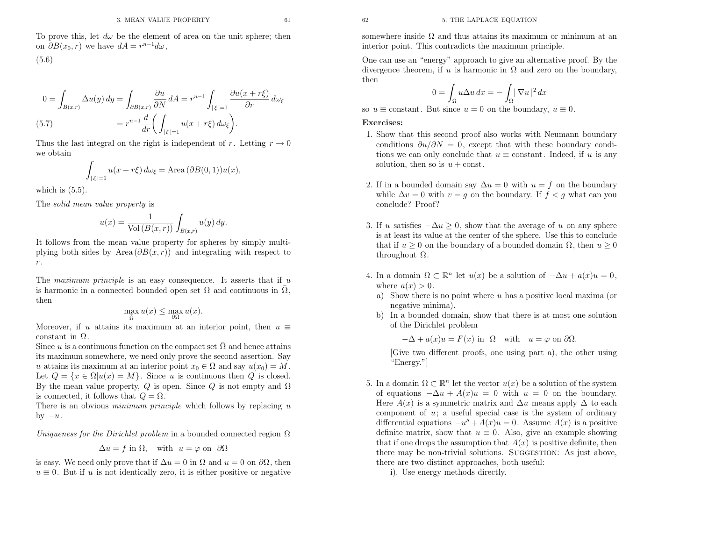To prove this, let  $d\omega$  be the element of area on the unit sphere; then on  $\partial B(x_0, r)$  we have  $dA = r^{n-1} d\omega$ ,

(5.6)

$$
0 = \int_{B(x,r)} \Delta u(y) dy = \int_{\partial B(x,r)} \frac{\partial u}{\partial N} dA = r^{n-1} \int_{|\xi|=1} \frac{\partial u(x+r\xi)}{\partial r} d\omega_{\xi}
$$
  
(5.7) 
$$
= r^{n-1} \frac{d}{dr} \left( \int_{|\xi|=1} u(x+r\xi) d\omega_{\xi} \right).
$$

Thus the last integral on the right is independent of r. Letting  $r \to 0$ we obtain

$$
\int_{|\xi|=1} u(x+r\xi) d\omega_{\xi} = \text{Area}(\partial B(0,1))u(x),
$$

which is  $(5.5)$ .

The solid mean value property is

$$
u(x) = \frac{1}{\text{Vol}(B(x,r))} \int_{B(x,r)} u(y) \, dy.
$$

It follows from the mean value property for spheres by simply multiplying both sides by Area  $(\partial B(x, r))$  and integrating with respect to  $r$  .

The *maximum principle* is an easy consequence. It asserts that if  $\mu$ is harmonic in a connected bounded open set  $\Omega$  and continuous in  $\overline{\Omega}$ , then

$$
\max_{\bar{\Omega}} u(x) \le \max_{\partial \Omega} u(x).
$$

Moreover, if u attains its maximum at an interior point, then  $u \equiv$ constant in  $\Omega$ .

Since u is a continuous function on the compact set  $\overline{\Omega}$  and hence attains its maximum somewhere, we need only prove the second assertion. Sayu attains its maximum at an interior point  $x_0 \in \Omega$  and say  $u(x_0) = M$ Let  $Q = \{x \in \Omega | u(x) = M\}$ . Since u is continuous then Q is closed. By the mean value property, Q is open. Since Q is not empty and  $\Omega$ is connected, it follows that  $Q = \Omega$ .

There is an obvious *minimum principle* which follows by replacing  $u$ by  $-u$ .

Uniqueness for the Dirichlet problem in a bounded connected region  $\Omega$ 

$$
\Delta u = f \text{ in } \Omega, \quad \text{with } \ u = \varphi \text{ on } \ \partial \Omega
$$

is easy. We need only prove that if  $\Delta u = 0$  in  $\Omega$  and  $u = 0$  on  $\partial\Omega$ , then  $u \equiv 0$ . But if u is not identically zero, it is either positive or negative

somewhere inside  $\Omega$  and thus attains its maximum or minimum at an interior point. This contradicts the maximum principle.

One can use an "energy" approac<sup>h</sup> to <sup>g</sup>ive an alternative proof. By thedivergence theorem, if u is harmonic in  $\Omega$  and zero on the boundary, then

$$
0 = \int_{\Omega} u \Delta u \, dx = - \int_{\Omega} |\nabla u|^2 \, dx
$$

so  $u \equiv$  constant. But since  $u = 0$  on the boundary,  $u \equiv 0$ .

### Exercises:

- 1. Show that this second proo<sup>f</sup> also works with Neumann boundaryconditions  $\partial u/\partial N = 0$ , except that with these boundary conditions we can only conclude that  $u \equiv$  constant. Indeed, if u is any solution, then so is  $u + const.$
- 2. If in a bounded domain say  $\Delta u = 0$  with  $u = f$  on the boundary while  $\Delta v = 0$  with  $v = g$  on the boundary. If  $f < g$  what can you conclude? Proof?
- 3. If u satisfies  $-\Delta u \geq 0$ , show that the average of u on any sphere is at least its value at the center of the sphere. Use this to concludethat if  $u \geq 0$  on the boundary of a bounded domain  $\Omega$ , then  $u \geq 0$ throughout  $Ω$ .
- 4. In a domain  $\Omega \subset \mathbb{R}^n$  let  $u(x)$  be a solution of  $-\Delta u + a(x)u = 0$ , where  $a(x) > 0$ .
	- a) Show there is no point where  $u$  has a positive local maxima (or negative minima).
	- b) In <sup>a</sup> bounded domain, show that there is at most one solutionof the Dirichlet problem

 $-\Delta + a(x)u = F(x)$  in  $\Omega$  with  $u = \varphi$  on  $\partial\Omega$ .

 [Give two different proofs, one using part a), the other using"Energy."]

5. In a domain  $\Omega \subset \mathbb{R}^n$  let the vector  $u(x)$  be a solution of the system of equations  $-\Delta u + A(x)u = 0$  with  $u = 0$  on the boundary. Here  $A(x)$  is a symmetric matrix and  $\Delta u$  means apply  $\Delta$  to each component of  $u$ ; a useful special case is the system of ordinary differential equations  $-u'' + A(x)u = 0$ . Assume  $A(x)$  is a positive definite matrix, show that  $u \equiv 0$ . Also, give an example showing<br>that if and decay the example in that  $A(x)$  is positive definite than that if one drops the assumption that  $A(x)$  is positive definite, then there may be non-trivial solutions. SUGGESTION: As just above, there are two distinct approaches, both useful:

i). Use energy methods directly.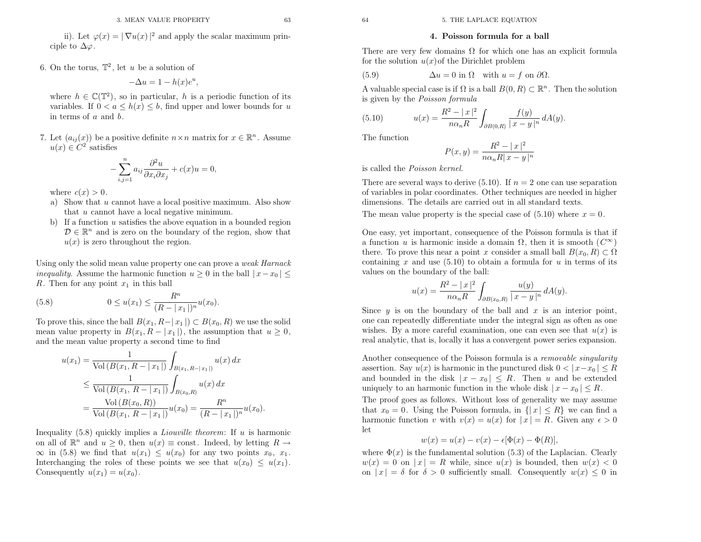### 4. Poisson formula for <sup>a</sup> ball

There are very few domains  $\Omega$  for which one has an explicit formula for the solution  $u(x)$  of the Dirichlet problem

(5.9) 
$$
\Delta u = 0 \text{ in } \Omega \quad \text{with } u = f \text{ on } \partial \Omega.
$$

A valuable special case is if  $\Omega$  is a ball  $B(0, R) \subset \mathbb{R}^n$ . Then the solution is <sup>g</sup>iven by the Poisson formula

(5.10) 
$$
u(x) = \frac{R^2 - |x|^2}{n\alpha_n R} \int_{\partial B(0,R)} \frac{f(y)}{|x - y|^n} dA(y).
$$

The function

$$
P(x,y) = \frac{R^2 - |x|^2}{n\alpha_n R|x-y|^n}
$$

is called the Poisson kernel.

There are several ways to derive  $(5.10)$ . If  $n = 2$  one can use separation of variables in polar coordinates. Other techniques are needed in higherdimensions. The details are carried out in all standard texts.

The mean value property is the special case of  $(5.10)$  where  $x = 0$ .

One easy, yet important, consequence of the Poisson formula is that if a function u is harmonic inside a domain  $\Omega$ , then it is smooth  $(C^{\infty})$ there. To prove this near a point x consider a small ball  $B(x_0, R) \subset \Omega$ containing  $x$  and use (5.10) to obtain a formula for  $u$  in terms of its values on the boundary of the ball:

$$
u(x) = \frac{R^2 - |x|^2}{n\alpha_n R} \int_{\partial B(x_0, R)} \frac{u(y)}{|x - y|^n} dA(y).
$$

Since  $y$  is on the boundary of the ball and  $x$  is an interior point, one can repeatedly differentiate under the integral sign as often as onewishes. By a more careful examination, one can even see that  $u(x)$  is real analytic, that is, locally it has <sup>a</sup> convergent power series expansion.

Another consequence of the Poisson formula is a *removable singularity* assertion. Say  $u(x)$  is harmonic in the punctured disk  $0 < |x-x_0| \leq R$ and bounded in the disk  $|x-x_0| \leq R$ . Then u and be extended uniquely to an harmonic function in the whole disk  $|x-x_0| \leq R$ .

 The proo<sup>f</sup> goes as follows. Without loss of generality we may assumethat  $x_0 = 0$ . Using the Poisson formula, in  $\{|x| \leq R\}$  we can find a harmonic function v with  $v(x) = u(x)$  for  $|x| = R$ . Given any  $\epsilon > 0$ let

$$
w(x) = u(x) - v(x) - \epsilon[\Phi(x) - \Phi(R)],
$$

where  $\Phi(x)$  is the fundamental solution (5.3) of the Laplacian. Clearly  $w(x) = 0$  on  $|x| = R$  while, since  $u(x)$  is bounded, then  $w(x) < 0$ on  $|x| = \delta$  for  $\delta > 0$  sufficiently small. Consequently  $w(x) \leq 0$  in

ii). Let  $\varphi(x) = |\nabla u(x)|^2$  and apply the scalar maximum principle to  $\Delta\varphi$ .

6. On the torus,  $\mathbb{T}^2$ , let u be a solution of

$$
-\Delta u = 1 - h(x)e^u
$$

where  $h \in \mathbb{C}(\mathbb{T}^2)$ , so in particular, h is a periodic function of its variables. If  $0 < a \leq h(x) \leq b$ , find upper and lower bounds for u in terms of  $a$  and  $b$ .

,

7. Let  $(a_{ij}(x))$  be a positive definite  $n \times n$  matrix for  $x \in \mathbb{R}^n$ . Assume  $u(x) \in C^2$  satisfies

$$
-\sum_{i,j=1}^{n} a_{ij} \frac{\partial^2 u}{\partial x_i \partial x_j} + c(x)u = 0,
$$

where  $c(x) > 0$ .

- a) Show that  $u$  cannot have a local positive maximum. Also show that  $u$  cannot have a local negative minimum.
- b) If a function  $u$  satisfies the above equation in a bounded region  $D \in \mathbb{R}^n$  and is zero on the boundary of the region, show that  $u(x)$  is zero throughout the region.

Using only the solid mean value property one can prove a *weak Harnack* inequality. Assume the harmonic function  $u \geq 0$  in the ball  $|x-x_0| \leq$ R. Then for any point  $x_1$  in this ball

(5.8) 
$$
0 \le u(x_1) \le \frac{R^n}{(R - |x_1|)^n} u(x_0).
$$

To prove this, since the ball  $B(x_1, R-|x_1|) \subset B(x_0, R)$  we use the solid mean value property in  $B(x_1, R - |x_1|)$ , the assumption that  $u \ge 0$ , and the mean value property <sup>a</sup> second time to find

$$
u(x_1) = \frac{1}{\text{Vol}(B(x_1, R - |x_1|)} \int_{B(x_1, R - |x_1|)} u(x) dx
$$
  
\n
$$
\leq \frac{1}{\text{Vol}(B(x_1, R - |x_1|)} \int_{B(x_0, R)} u(x) dx
$$
  
\n
$$
= \frac{\text{Vol}(B(x_0, R))}{\text{Vol}(B(x_1, R - |x_1|)} u(x_0) = \frac{R^n}{(R - |x_1|)^n} u(x_0).
$$

Inequality  $(5.8)$  quickly implies a *Liouville theorem*: If  $u$  is harmonic on all of  $\mathbb{R}^n$  and  $u \geq 0$ , then  $u(x) \equiv$  const. Indeed, by letting  $R \rightarrow$  $\infty$  in (5.8) we find that  $u(x_1) \leq u(x_0)$  for any two points  $x_0$ , x  $\infty$  in (5.8) we find that  $u(x_1) \leq u(x_0)$  for any two points  $x_0, x_1$ .<br>Interchanging the roles of these points we see that  $u(x_0) \leq u(x_1)$ . Consequently  $u(x_1) = u(x_0)$ .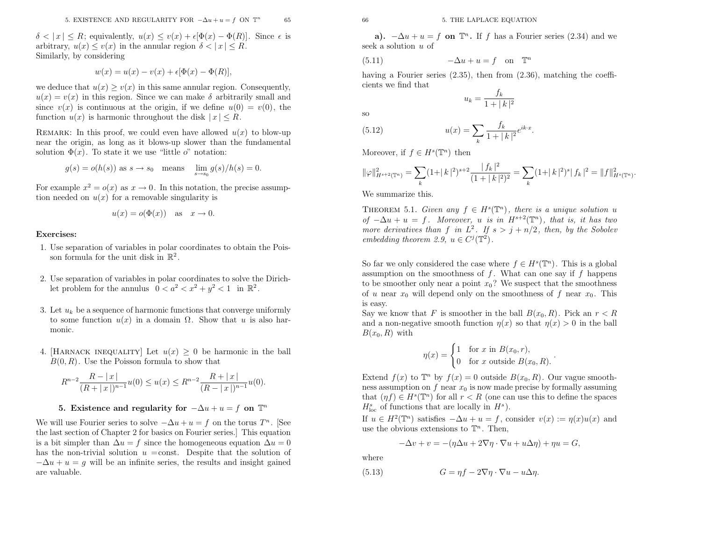$\delta < |x| \leq R$ ; equivalently,  $u(x) \leq v(x) + \epsilon[\Phi(x) - \Phi(R)]$ . Since  $\epsilon$  is arbitrary,  $u(x) \le v(x)$  in the annular region  $\delta < |x| \le R$ . Similarly, by considering

$$
w(x) = u(x) - v(x) + \epsilon[\Phi(x) - \Phi(R)],
$$

we deduce that  $u(x) \ge v(x)$  in this same annular region. Consequently,  $u(x) = v(x)$  in this region. Since we can make  $\delta$  arbitrarily small and since  $v(x)$  is continuous at the origin, if we define  $u(0) = v(0)$ , the function  $u(x)$  is harmonic throughout the disk  $|x| \leq R$ .

REMARK: In this proof, we could even have allowed  $u(x)$  to blow-up near the origin, as long as it blows-up slower than the fundamental solution  $\Phi(x)$ . To state it we use "little o" notation:

$$
g(s) = o(h(s))
$$
 as  $s \to s_0$  means  $\lim_{s \to s_0} g(s)/h(s) = 0$ .

For example  $x^2 = o(x)$  as  $x \to 0$ . In this notation, the precise assumption needed on  $u(x)$  for a removable singularity is tion needed on  $u(x)$  for a removable singularity is

$$
u(x) = o(\Phi(x))
$$
 as  $x \to 0$ .

### Exercises:

- 1. Use separation of variables in polar coordinates to obtain the Poisson formula for the unit disk in  $\mathbb{R}^2$ .
- 2. Use separation of variables in polar coordinates to solve the Dirichlet problem for the annulus  $0 < a^2 < x^2 + y^2 < 1$  in  $\mathbb{R}^2$ .
- 3. Let  $u_k$  be a sequence of harmonic functions that converge uniformly to some function  $u(x)$  in a domain  $\Omega$ . Show that u is also harmonic.
- 4. [HARNACK INEQUALITY] Let  $u(x) \geq 0$  be harmonic in the ball<br> $B(0, D)$ . He the Deisson family to show that  $B(0, R)$ . Use the Poisson formula to show that

$$
R^{n-2}\frac{R-|x|}{(R+|x|)^{n-1}}u(0) \le u(x) \le R^{n-2}\frac{R+|x|}{(R-|x|)^{n-1}}u(0).
$$

### 5. Existence and regularity for  $-\Delta u+u=f$  on  $\mathbb{T}^n$

We will use Fourier series to solve  $-\Delta u + u = f$  on the torus  $T^n$ . [See the last section of Chapter <sup>2</sup> for basics on Fourier series.] This equationis a bit simpler than  $\Delta u = f$  since the homogeneous equation  $\Delta u = 0$ has the non-trivial solution  $u = \text{const.}$  Despite that the solution of  $-\Delta u+u=g$  will be an infinite series, the results and insight gained are valuable.

a).  $-\Delta u + u = f$  on  $\mathbb{T}^n$ . If f has a Fourier series (2.34) and we seek a solution  $u$  of

(5.11) 
$$
-\Delta u + u = f \quad \text{on} \quad \mathbb{T}^n
$$

 having <sup>a</sup> Fourier series (2.35), then from (2.36), matching the coefficients we find that

 $\frac{f_k}{1 + |k|^2}$ 

 $u_k =$ 

so

(5.12) 
$$
u(x) = \sum_{k} \frac{f_k}{1 + |k|^2} e^{ik \cdot x}
$$

Moreover, if  $f \in H^s(\mathbb{T}^n)$  then

$$
\|\varphi\|_{H^{s+2}(\mathbb{T}^n)}^2 = \sum_k (1+|k|^2)^{s+2} \frac{|f_k|^2}{(1+|k|^2)^2} = \sum_k (1+|k|^2)^s |f_k|^2 = \|f\|_{H^s(\mathbb{T}^n)}^2
$$

We summarize this.

THEOREM 5.1. Given any  $f \in H^s(\mathbb{T}^n)$ , there is a unique solution u of  $-\Delta u + u = f$ . Moreover, u is in  $H^{s+2}(\mathbb{T}^n)$ , that is, it has two more derivatives than f in  $L^2$ . If  $s > j + n/2$ , then, by the Sobolev embedding theorem 2.9,  $u \in C^j(\mathbb{T}^2)$ .

So far we only considered the case where  $f \in H^s(\mathbb{T}^n)$ . This is a global assumption on the smoothness of  $f$ . What can one say if  $f$  happens to be smoother only near a point  $x_0$ ? We suspect that the smoothness of u near  $x_0$  will depend only on the smoothness of f near  $x_0$ . This is easy.

Say we know that F is smoother in the ball  $B(x_0, R)$ . Pick an  $r < R$ and a non-negative smooth function  $\eta(x)$  so that  $\eta(x) > 0$  in the ball  $B(x_0, R)$  with

$$
\eta(x) = \begin{cases} 1 & \text{for } x \text{ in } B(x_0, r), \\ 0 & \text{for } x \text{ outside } B(x_0, R). \end{cases}
$$

Extend  $f(x)$  to  $\mathbb{T}^n$  by  $f(x) = 0$  outside  $B(x_0, R)$ . Our vague smoothness assumption on  $f$  near  $x_0$  is now made precise by formally assuming that  $(\eta f) \in H^s(\mathbb{T}^n)$  for all  $r < R$  (one can use this to define the spaces  $H_{\text{loc}}^{s}$  of functions that are locally in  $H^{s}$ ).

If  $u \in H^2(\mathbb{T}^n)$  satisfies  $-\Delta u + u = f$ , consider  $v(x) := \eta(x)u(x)$  and use the obvious extensions to  $\mathbb{T}^n$ . Then,

$$
-\Delta v + v = -(\eta \Delta u + 2\nabla \eta \cdot \nabla u + u \Delta \eta) + \eta u = G,
$$

where

(5.13) 
$$
G = \eta f - 2\nabla \eta \cdot \nabla u - u\Delta \eta.
$$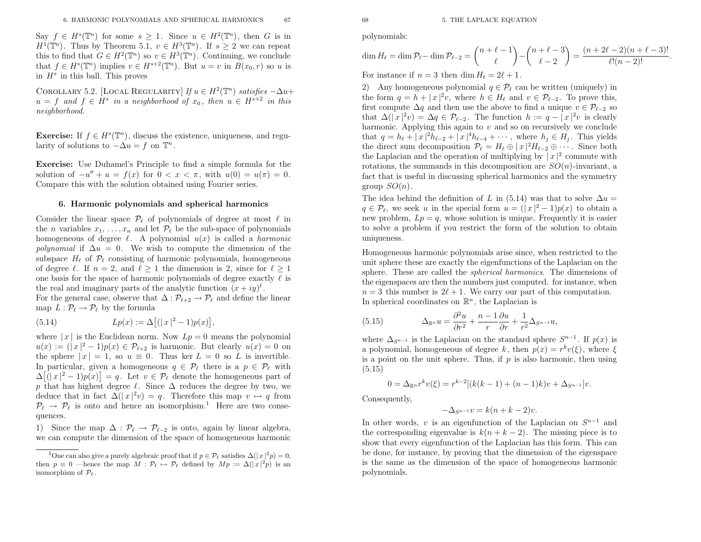$\text{Say } f \in H^s(\mathbb{T}^n) \text{ for some } s \geq 1.$  Since  $u \in H^2(\mathbb{T}^n)$ , then G is in  $H^1(\mathbb{T}^n)$ . Then  $\mathbb{R}^n$  $H^1(\mathbb{T}^n)$ . Thus by Theorem 5.1,  $v \in H^3(\mathbb{T}^n)$ . If  $s \geq 2$  we can repeat this to find that  $G \in H^2(\mathbb{T}^n)$  so  $v \in H^3(\mathbb{T}^n)$ . Continuing, we conclude that  $f \in H^s(\mathbb{T}^n)$  implies  $v \in H^{s+2}(\mathbb{T}^n)$ . But  $u = v$  in  $B(x_0, r)$  so u is in  $H^s$  in this ball. This proves

COROLLARY 5.2. [LOCAL REGULARITY]  $If u \in H^2(\mathbb{T}^n)$  satisfies  $-\Delta u +$  $u = f$  and  $f \in H^s$  in a neighborhood of  $x_0$ , then  $u \in H^{s+2}$  in this neighborhood.

**Exercise:** If  $f \in H^s(\mathbb{T}^n)$ , discuss the existence, uniqueness, and regularity of solutions to  $-\Delta u = f$  on  $\mathbb{T}^n$ .

Exercise: Use Duhamel's Principle to find <sup>a</sup> simple formula for thesolution of  $-u'' + u = f(x)$  for  $0 < x < \pi$ , with  $u(0) = u(\pi) = 0$ . Compare this with the solution obtained using Fourier series.

#### 6. Harmonic polynomials and spherical harmonics

Consider the linear space  $\mathcal{P}_{\ell}$  of polynomials of degree at most  $\ell$  in the *n* variables  $x_1, \ldots, x_n$  and let  $\mathcal{P}_{\ell}$  be the sub-space of polynomials homogeneous of degree  $\ell$ . A polynomial  $u(x)$  is called a *harmonic polynomial* if  $\Delta u = 0$ . We wish to compute the dimension of the subspace  $H_{\ell}$  of  $\mathcal{P}_{\ell}$  consisting of harmonic polynomials, homogeneous of degree  $\ell$ . If  $n = 2$ , and  $\ell \ge 1$  the dimension is 2, since for  $\ell \ge 1$ one basis for the space of harmonic polynomials of degree exactly  $\ell$  is the real and imaginary parts of the analytic function  $(x+iy)^{\ell}$ .<br>Function consideration of the  $\Lambda$  of  $\mathcal{R}$  and defined

For the general case, observe that  $\Delta : \mathcal{P}_{\ell+2} \to \mathcal{P}_{\ell}$  and define the linear map  $L : \mathcal{P}_{\ell} \to \mathcal{P}_{\ell}$  by the formula

(5.14) 
$$
Lp(x) := \Delta[(|x|^2 - 1)p(x)],
$$

where  $|x|$  is the Euclidean norm. Now  $Lp = 0$  means the polynomial  $u(x) := (|x|^2 - 1)p(x) \in \mathcal{P}_{\ell+2}$  is harmonic. But clearly  $u(x) = 0$  on the sphere  $|x| = 1$ , so  $u \equiv 0$ . Thus ker  $L = 0$  so L is invertible. In particular, given a homogeneous  $q \in \mathcal{P}_\ell$  there is a  $p \in \mathcal{P}_\ell$  with  $\Delta[(x|^2-1)p(x)] = q$ . Let  $v \in \mathcal{P}_\ell$  denote the homogeneous part of p that has highest degree  $\ell$ . Since  $\Delta$  reduces the degree by two, we -] deduce that in fact  $\Delta(|x|^2v) = q$ . Therefore this map  $v \mapsto q$  from  $\mathcal{D}_e \to \mathcal{D}_e$  is onto and hence an isomorphism <sup>1</sup>. Here are two consequently  $\mathcal{P}_{\ell} \to \mathcal{P}_{\ell}$  is onto and hence an isomorphism.<sup>1</sup> Here are two conservations quences.

1) Since the map  $\Delta : \mathcal{P}_{\ell} \to \mathcal{P}_{\ell-2}$  is onto, again by linear algebra, we can compute the dimension of the space of homogeneous harmonic polynomials:

$$
\dim H_{\ell} = \dim \mathcal{P}_{\ell} - \dim \mathcal{P}_{\ell-2} = {n + \ell - 1 \choose \ell} - {n + \ell - 3 \choose \ell - 2} = \frac{(n + 2\ell - 2)(n + \ell - 3)!}{\ell!(n - 2)!}.
$$

For instance if  $n = 3$  then dim  $H_{\ell} = 2\ell + 1$ .

2) Any homogeneous polynomial  $q \in \mathcal{P}_\ell$  can be written (uniquely) in the form  $q = h + |x|^2 v$ , where  $h \in H_\ell$  and  $v \in \mathcal{P}_{\ell-2}$ . To prove this, first compute  $\Delta q$  and then use the above to find a unique  $v \in \mathcal{P}_{\ell-2}$  so<br>that  $\Delta (\vert x \vert^2)$  and  $\Delta x \in \mathcal{P}_\ell$ . The function  $k$  is  $x = \vert x \vert^2$  is also also that  $\Delta(|x|^2v) = \Delta q \in \mathcal{P}_{\ell-2}$ . The function  $h := q - |x|^2v$  is clearly harmonic. Applying this again to  $v$  and so on recursively we conclude that  $q = h_{\ell} + |x|^2 h_{\ell-2} + |x|^4 h_{\ell-4} + \cdots$ , where  $h_j \in H_j$ . This yields the direct sum decomposition  $\mathcal{P}_{\ell} = H_{\ell} \oplus |x|^2 H_{\ell-2} \oplus \cdots$ . Since both the Leplacian and the expection of multipleing by  $|x|^2$  compute with the Laplacian and the operation of multiplying by  $|x|^2$  commute with rotations, the summands in this decomposition are  $SO(n)$ -invariant, a fact that is useful in discussing spherical harmonics and the symmetrygroup  $SO(n)$ .

The idea behind the definition of L in (5.14) was that to solve  $\Delta u =$  $q \in \mathcal{P}_\ell$ , we seek u in the special form  $u = (|x|^2 - 1)p(x)$  to obtain a new problem,  $Lp = q$ , whose solution is unique. Frequently it is easier to solve <sup>a</sup> problem if you restrict the form of the solution to obtainuniqueness.

Homogeneous harmonic polynomials arise since, when restricted to the unit sphere these are exactly the eigenfunctions of the Laplacian on thesphere. These are called the *spherical harmonics*. The dimensions of the eigenspaces are then the numbers just computed. for instance, when $n = 3$  this number is  $2\ell + 1$ . We carry our part of this computation. In spherical coordinates on  $\mathbb{R}^n$ , the Laplacian is

(5.15) 
$$
\Delta_{\mathbb{R}^n} u = \frac{\partial^2 u}{\partial r^2} + \frac{n-1}{r} \frac{\partial u}{\partial r} + \frac{1}{r^2} \Delta_{S^{n-1}} u,
$$

where  $\Delta_{S^{n-1}}$  is the Laplacian on the standard sphere  $S^{n-1}$ . If  $p(x)$  is a polynomial, homogeneous of degree k, then  $p(x) = r^k v(\xi)$ , where  $\xi$ is a point on the unit sphere. Thus, if  $p$  is also harmonic, then using (5.15)

$$
0 = \Delta_{\mathbb{R}^n} r^k v(\xi) = r^{k-2} [(k(k-1) + (n-1)k)v + \Delta_{S^{n-1}}]v.
$$

Consequently,

$$
-\Delta_{S^{n-1}}v = k(n+k-2)v.
$$

In other words, v is an eigenfunction of the Laplacian on  $S^{n-1}$  and the corresponding eigenvalue is  $k(n + k - 2)$ . The missing piece is to the missing that such that the same is the sense of the Landscape has this fame. This can show that every eigenfunction of the Laplacian has this form. This can be done, for instance, by proving that the dimension of the eigenspace is the same as the dimension of the space of homogeneous harmonicpolynomials.

<sup>&</sup>lt;sup>1</sup>One can also give a purely algebraic proof that if  $p \in \mathcal{P}_\ell$  satisfies  $\Delta(|x|^2 p) = 0$ , then  $p \equiv 0$  —hence the map  $M : \mathcal{P}_\ell \mapsto \mathcal{P}_\ell$  defined by  $Mp := \Delta(|x|^2p)$  is an isomorphism of  $\mathcal{P}_\ell$ isomorphism of  $\mathcal{P}_{\ell}$ .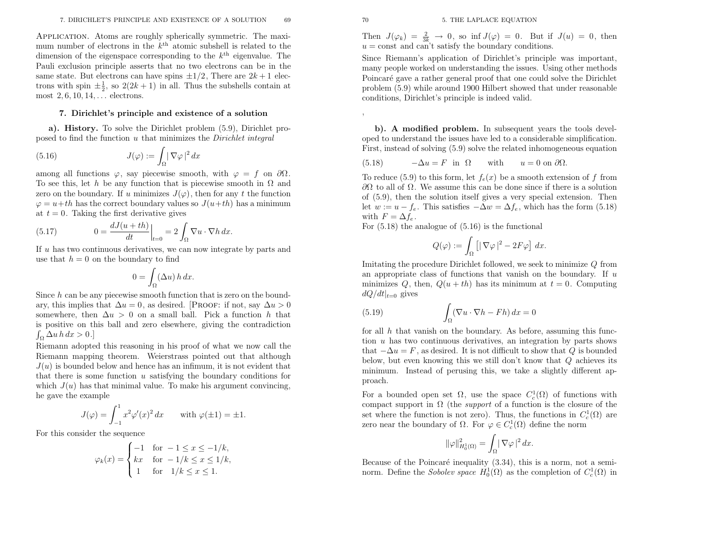Application. Atoms are roughly spherically symmetric. The maximum number of electrons in the  $k^{\text{th}}$  atomic subshell is related to the dimension of the eigenspace corresponding to the  $k<sup>th</sup>$  eigenvalue. The Pauli exclusion principle asserts that no two electrons can be in the same state. But electrons can have spins  $\pm 1/2$ , There are  $2k + 1$  electrons with spin  $\pm \frac{1}{2}$ , so  $2(2k+1)$  in all. Thus the subshells contain at most  $2, 6, 10, 14, \ldots$  electrons.

#### 7. Dirichlet's principle and existence of <sup>a</sup> solution

a). History. To solve the Dirichlet problem (5.9), Dirichlet proposed to find the function  $u$  that minimizes the *Dirichlet integral* 

(5.16) 
$$
J(\varphi) := \int_{\Omega} |\nabla \varphi|^2 dx
$$

among all functions  $\varphi$ , say piecewise smooth, with  $\varphi = f$  on  $\partial\Omega$ . To see this, let h be any function that is piecewise smooth in  $\Omega$  and zero on the boundary. If u minimizes  $J(\varphi)$ , then for any t the function  $\varphi = u + th$  has the correct boundary values so  $J(u+th)$  has a minimum at  $t = 0$ . Taking the first derivative gives

(5.17) 
$$
0 = \frac{dJ(u+th)}{dt}\Big|_{t=0} = 2\int_{\Omega} \nabla u \cdot \nabla h \, dx.
$$

If  $u$  has two continuous derivatives, we can now integrate by parts and use that  $h = 0$  on the boundary to find

$$
0 = \int_{\Omega} (\Delta u) \, h \, dx.
$$

Since  $h$  can be any piecewise smooth function that is zero on the boundary, this implies that  $\Delta u = 0$ , as desired. [PROOF: if not, say  $\Delta u > 0$ somewhere, then  $\Delta u > 0$  on a small ball. Pick a function h that is positive on this ball and zero elsewhere, <sup>g</sup>iving the contradiction $\int_{\Omega} \Delta u \, h \, dx > 0.$ 

Riemann adopted this reasoning in his proo<sup>f</sup> of what we now call the Riemann mapping theorem. Weierstrass pointed out that although $J(u)$  is bounded below and hence has an infimum, it is not evident that that there is some function  $u$  satisfying the boundary conditions for which  $J(u)$  has that minimal value. To make his argument convincing, he gave the example

$$
J(\varphi) = \int_{-1}^{1} x^2 \varphi'(x)^2 dx \quad \text{with } \varphi(\pm 1) = \pm 1.
$$

For this consider the sequence

$$
\varphi_k(x) = \begin{cases}\n-1 & \text{for } -1 \le x \le -1/k, \\
kx & \text{for } -1/k \le x \le 1/k, \\
1 & \text{for } 1/k \le x \le 1.\n\end{cases}
$$

,

 $J(\varphi_k) = \frac{2}{3k} \to 0$ , so inf  $J(\varphi) = 0$ . But if  $J(u) = 0$ , then not and can't satisfy the boundary conditions  $u = \text{const}$  and can't satisfy the boundary conditions.

Since Riemann's application of Dirichlet's principle was important, many people worked on understanding the issues. Using other methodsPoincaré gave a rather general proof that one could solve the Dirichlet problem (5.9) while around <sup>1900</sup> Hilbert showed that under reasonableconditions, Dirichlet's principle is indeed valid.

b). A modified problem. In subsequent years the tools developed to understand the issues have led to <sup>a</sup> considerable simplification. First, instead of solving (5.9) solve the related inhomogeneous equation

(5.18) 
$$
-\Delta u = F
$$
 in  $\Omega$  with  $u = 0$  on  $\partial\Omega$ .

To reduce (5.9) to this form, let  $f_e(x)$  be a smooth extension of  $f$  from  $\partial\Omega$  to all of  $\Omega$ . We assume this can be done since if there is a solution of (5.9), then the solution itself <sup>g</sup>ives <sup>a</sup> very special extension. Thenlet  $w := u - f_e$ . This satisfies  $-\Delta w = \Delta f_e$ , which has the form (5.18) with  $F = \Delta f_e$ .

For (5.18) the analogue of (5.16) is the functional

$$
Q(\varphi) := \int_{\Omega} \left[ |\nabla \varphi|^2 - 2F\varphi \right] dx.
$$

Imitating the procedure Dirichlet followed, we seek to minimize  $Q$  from an appropriate class of functions that vanish on the boundary. If  $u$ minimizes Q, then,  $Q(u+th)$  has its minimum at  $t = 0$ . Computing  $dQ/dt|_{t=0}$  gives

(5.19) 
$$
\int_{\Omega} (\nabla u \cdot \nabla h - F h) dx = 0
$$

26 or a solution<br>  $\mathbf{r}_1 \times \mathbf{r}_2$  and  $\mathbf{r}_3 \times \mathbf{r}_4$  and  $\mathbf{r}_5 \times \mathbf{r}_5$  and  $\mathbf{r}_6 \times \mathbf{r}_7$  and  $\mathbf{r}_7 \times \mathbf{r}_8$  and  $\mathbf{r}_8 \times \mathbf{r}_9$  and  $\mathbf{r}_9 \times \mathbf{r}_9$  and  $\mathbf{r}_9 \times \mathbf{r}_9$  and  $\mathbf{r}_9 \times \mathbf{r}_9$  for all  $h$  that vanish on the boundary. As before, assuming this function  $u$  has two continuous derivatives, an integration by parts shows that  $-\Delta u = F$ , as desired. It is not difficult to show that Q is bounded<br>halon, but away beganing this we still day't learn that Q sobiawa its below, but even knowing this we still don't know that  $Q$  achieves its<br>minimum. Instead of negative this we take a slightly different and minimum. Instead of perusing this, we take <sup>a</sup> slightly different approach.

For a bounded open set  $\Omega$ , use the space  $C_c^1(\Omega)$  of functions with compact support in  $\Omega$  (the *support* of a function is the closure of the set where the function is not zero). Thus, the functions in  $C_c^1(\Omega)$  are zero near the boundary of  $\Omega$ . For  $\varphi \in C_c^1(\Omega)$  define the norm

$$
\|\varphi\|_{H_0^1(\Omega)}^2 = \int_{\Omega} |\nabla \varphi|^2 dx.
$$

Because of the Poincaré inequality (3.34), this is a norm, not a seminorm. Define the *Sobolev space*  $H_0^1(\Omega)$  as the completion of  $C_c^1(\Omega)$  in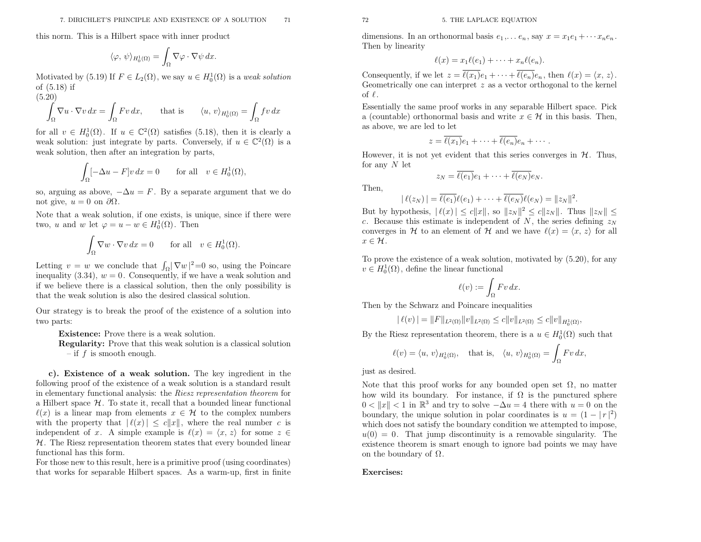this norm. This is <sup>a</sup> Hilbert space with inner product

$$
\langle \varphi, \, \psi \rangle_{H_0^1(\Omega)} = \int_{\Omega} \nabla \varphi \cdot \nabla \psi \, dx.
$$

Motivated by (5.19) If  $F \in L_2(\Omega)$ , we say  $u \in H_0^1(\Omega)$  is a weak solution of (5.18) if

(5.20)

$$
\int_{\Omega} \nabla u \cdot \nabla v \, dx = \int_{\Omega} F v \, dx, \qquad \text{that is} \qquad \langle u, v \rangle_{H_0^1(\Omega)} = \int_{\Omega} f v \, dx
$$

for all  $v \in H_0^1(\Omega)$ . If  $u \in \mathbb{C}^2(\Omega)$  satisfies (5.18), then it is clearly a weak solution: just integrate by parts. Conversely, if  $u \in \mathbb{C}^2(\Omega)$  is a weak solution, then after an integration by parts,

$$
\int_{\Omega} [-\Delta u - F] v \, dx = 0 \qquad \text{for all} \quad v \in H_0^1(\Omega),
$$

so, arguing as above,  $-\Delta u = F$ . By a separate argument that we do not give,  $u = 0$  on  $\partial\Omega$ .

Note that <sup>a</sup> weak solution, if one exists, is unique, since if there weretwo, u and w let  $\varphi = u - w \in H_0^1(\Omega)$ . Then

$$
\int_{\Omega} \nabla w \cdot \nabla v \, dx = 0 \quad \text{for all} \quad v \in H_0^1(\Omega).
$$

Letting  $v = w$  we conclude that  $\int_{\Omega} |\nabla w|^2 = 0$  so, using the Poincare inequality  $(3.34)$ ,  $w = 0$ . Consequently, if we have a weak solution and if we believe there is <sup>a</sup> classical solution, then the only possibility isthat the weak solution is also the desired classical solution.

Our strategy is to break the proo<sup>f</sup> of the existence of <sup>a</sup> solution intotwo parts:

Existence: Prove there is <sup>a</sup> weak solution.

Regularity: Prove that this weak solution is <sup>a</sup> classical solution $-$  if  $f$  is smooth enough.

c). Existence of <sup>a</sup> weak solution. The key ingredient in the following proo<sup>f</sup> of the existence of <sup>a</sup> weak solution is <sup>a</sup> standard resultin elementary functional analysis: the *Riesz representation theorem* for  $\mathbb{E}[\text{E}_{\text{S}}]$ . The state it assault that a haunded linear functional a Hilbert space  $\mathcal{H}$ . To state it, recall that a bounded linear functional  $\ell(x)$  is a linear map from elements  $x \in \mathcal{H}$  to the complex numbers<br>with the property that  $\ell(x) \leq c \|x\|$  where the real number  $c$  is with the property that  $|\ell(x)| \leq c||x||$ , where the real number c is independent of x. A simple example is  $\ell(x) = \langle x, z \rangle$  for some  $z \in$ <br>24. The Disconnecentrian theorem states that  $x \in \mathbb{R}$  and  $x \in \mathbb{R}$  $H$ . The Riesz representation theorem states that every bounded linear functional has this form.

For those new to this result, here is <sup>a</sup> primitive proo<sup>f</sup> (using coordinates) that works for separable Hilbert spaces. As <sup>a</sup> warm-up, first in finite dimensions. In an orthonormal basis  $e_1, \ldots e_n$ , say  $x = x_1 e_1 + \cdots x_n e_n$ .<br>Then by linearity

$$
\ell(x) = x_1 \ell(e_1) + \cdots + x_n \ell(e_n).
$$

Consequently, if we let  $z = \overline{\ell(x_1)}e_1 + \cdots + \overline{\ell(e_n)}e_n$ , then  $\ell(x) = \langle x, z \rangle$ .<br>Geometrically one can interpret z as a vector orthogonal to the kernel <sup>z</sup> as <sup>a</sup> vector orthogonal to the kernel of  $\ell$ .

Essentially the same proo<sup>f</sup> works in any separable Hilbert space. Picka (countable) orthonormal basis and write  $x \in \mathcal{H}$  in this basis. Then, as above, we are led to let

$$
z = \overline{\ell(x_1)}e_1 + \cdots + \overline{\ell(e_n)}e_n + \cdots
$$

However, it is not yet evident that this series converges in  $\mathcal{H}$ . Thus, for any  $N$  let

$$
z_N = \ell(e_1)e_1 + \dots + \ell(e_N)e_N.
$$
 Then,

$$
|\ell(z_N)| = \overline{\ell(e_1)}\ell(e_1) + \cdots + \overline{\ell(e_N)}\ell(e_N) = ||z_N||^2
$$

But by hypothesis,  $|\ell(x)| \le c \|x\|$ , so  $\|z_N\|^2 \le c \|z_N\|$ . Thus  $\|z_N\| \le$ c. Because this estimate is independent of N, the series defining  $z_N$ converges in H to an element of H and we have  $\ell(x) = \langle x, z \rangle$  for all  $x \in \mathcal{H}$ .

To prove the existence of <sup>a</sup> weak solution, motivated by (5.20), for any $v \in H_0^1(\Omega)$ , define the linear functional

$$
\ell(v) := \int_{\Omega} Fv \, dx.
$$

Then by the Schwarz and Poincare inequalities

$$
|\ell(v)| = ||F||_{L^2(\Omega)} ||v||_{L^2(\Omega)} \le c||v||_{L^2(\Omega)} \le c||v||_{H_0^1(\Omega)}
$$

,

By the Riesz representation theorem, there is a  $u \in H_0^1(\Omega)$  such that

$$
\ell(v) = \langle u, v \rangle_{H_0^1(\Omega)}, \quad \text{that is,} \quad \langle u, v \rangle_{H_0^1(\Omega)} = \int_{\Omega} F v \, dx,
$$

just as desired.

Note that this proof works for any bounded open set  $\Omega$ , no matter how wild its boundary. For instance, if  $\Omega$  is the punctured sphere  $0 < ||x|| < 1$  in  $\mathbb{R}^3$  and try to solve  $-\Delta u = 4$  there with  $u = 0$  on the boundary, the unique solution in polar coordinates is  $u = (1 - |r|^2)$  which does not satisfy the boundary condition we attempted to impose,  $u(0) = 0$ . That jump discontinuity is a removable singularity. The existence theorem is smart enoug<sup>h</sup> to ignore bad points we may have on the boundary of  $\Omega$ .

#### Exercises: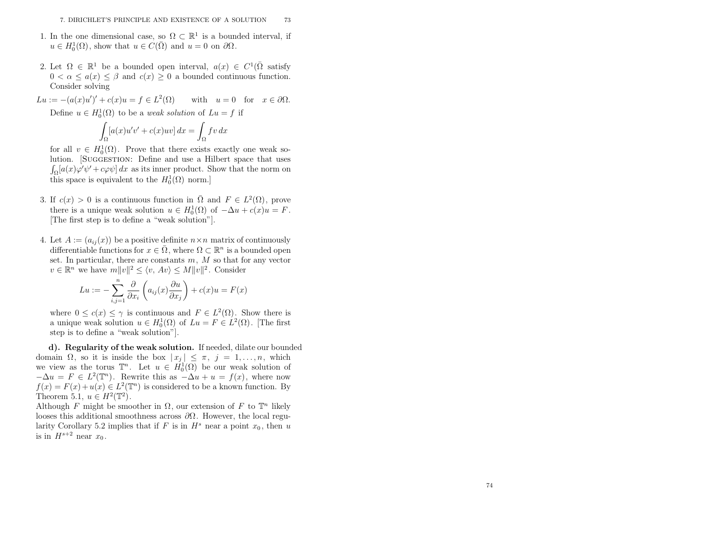- 1. In the one dimensional case, so  $\Omega \subset \mathbb{R}^1$  is a bounded interval, if  $u \in H_0^1(\Omega)$ , show that  $u \in C(\overline{\Omega})$  and  $u = 0$  on  $\partial\Omega$ .
- 2. Let  $\Omega \in \mathbb{R}^1$  be a bounded open interval,  $a(x) \in C^1(\overline{\Omega} \text{ satisfy})$  $0 < \alpha \leq a(x) \leq \beta$  and  $c(x) \geq 0$  a bounded continuous function. Consider solving

$$
Lu := -(a(x)u')' + c(x)u = f \in L^{2}(\Omega) \quad \text{with} \quad u = 0 \quad \text{for} \quad x \in \partial\Omega.
$$

Define  $u \in H_0^1(\Omega)$  to be a *weak solution* of  $Lu = f$  if

$$
\int_{\Omega} [a(x)u'v' + c(x)uv] dx = \int_{\Omega} fv dx
$$

for all  $v \in H_0^1(\Omega)$ . Prove that there exists exactly one weak solution. [SUGGESTION: Define and use a Hilbert space that uses  $\int_{\Omega} [a(x)\varphi'\psi' + c\varphi\psi] dx$  as its inner product. Show that the norm on this space is equivalent to the  $H_0^1(\Omega)$  norm.

- 3. If  $c(x) > 0$  is a continuous function in  $\overline{\Omega}$  and  $F \in L^2(\Omega)$ , prove there is a unique weak solution  $u \in H_0^1(\Omega)$  of  $-\Delta u + c(x)u = F$ <br>[The first star is to define a "uncel solution"] The first step is to define a "weak solution"].
- 4. Let  $A := (a_{ij}(x))$  be a positive definite  $n \times n$  matrix of continuously differentiable functions for  $x \in \overline{\Omega}$ , where  $\Omega \subset \mathbb{R}^n$  is a bounded open set. In particular, there are constants  $m, M$  so that for any vector<br> $w \in \mathbb{R}^n$  we have  $m||w||^2 \le |w - Av| \le M||w||^2$ . Consider  $v \in \mathbb{R}^n$  we have  $m||v||^2 \le \langle v, Av \rangle \le M||v||^2$ . Consider

$$
Lu := -\sum_{i,j=1}^{n} \frac{\partial}{\partial x_i} \left( a_{ij}(x) \frac{\partial u}{\partial x_j} \right) + c(x)u = F(x)
$$

where  $0 \leq c(x) \leq \gamma$  is continuous and  $F \in L^2(\Omega)$ . Show there is a unique weak solution  $u \in H_0^1(\Omega)$  of  $Lu = F \in L^2(\Omega)$ . [The first step is to define <sup>a</sup> "weak solution"].

d). Regularity of the weak solution. If needed, dilate our boundeddomain  $\Omega$ , so it is inside the box  $|x_j| \leq \pi$ ,  $j = 1, ..., n$ , which we view as the torus  $\mathbb{T}^n$ . Let  $u \in H_0^1(\Omega)$  be our weak solution of  $-\Delta u = F \in L^2(\mathbb{T}^n)$ . Rewrite this as  $-\Delta u + u = f(x)$ , where now  $f(x) = F(x) + u(x) \in L^2(\mathbb{T}^n)$  is considered to be a known function. By Theorem 5.1,  $u \in H^2(\mathbb{T}^2)$ .

Although F might be smoother in  $\Omega$ , our extension of F to  $\mathbb{T}^n$  likely looses this additional smoothness across  $\partial\Omega$ . However, the local regularity Corollary 5.2 implies that if F is in  $H^s$  near a point  $x_0$ , then u is in  $H^{s+2}$  near  $x_0$ .